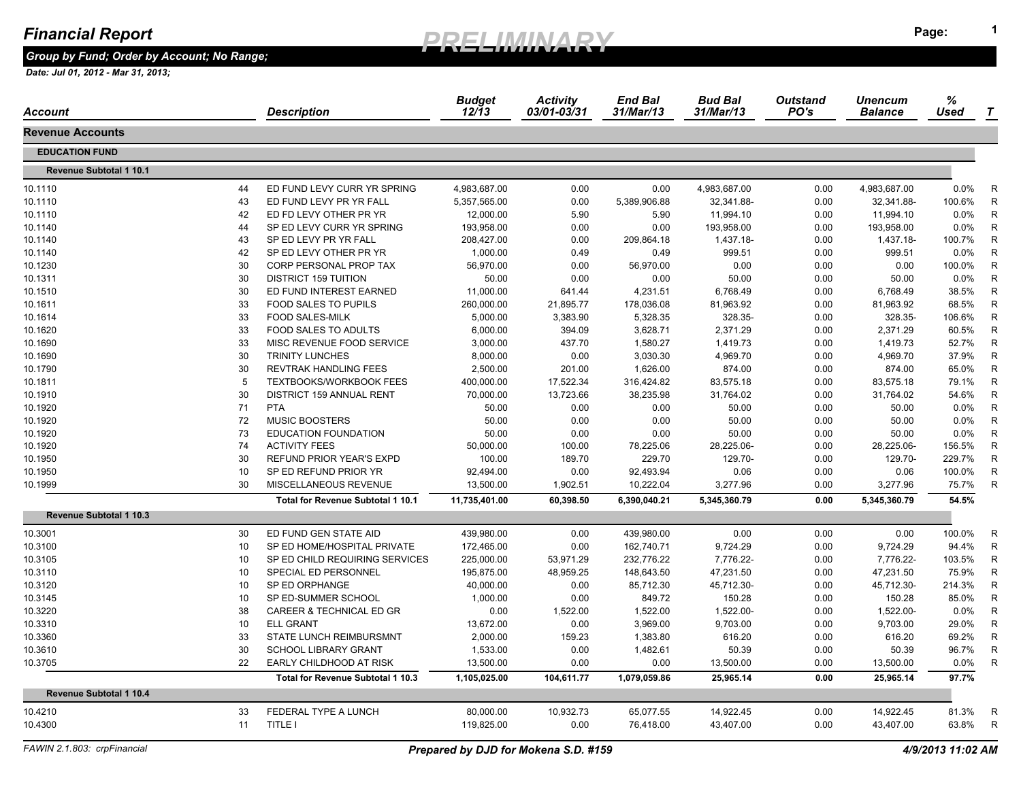*Group by Fund; Order by Account; No Range;* 

| Account                        | Description                                        | <b>Budget</b><br>$12/\overline{1}3$ | <b>Activity</b><br>03/01-03/31 | <b>End Bal</b><br>31/Mar/13 | <b>Bud Bal</b><br>31/Mar/13 | <b>Outstand</b><br>PO's | <b>Unencum</b><br><b>Balance</b> | %<br>Used      | T            |
|--------------------------------|----------------------------------------------------|-------------------------------------|--------------------------------|-----------------------------|-----------------------------|-------------------------|----------------------------------|----------------|--------------|
| <b>Revenue Accounts</b>        |                                                    |                                     |                                |                             |                             |                         |                                  |                |              |
| <b>EDUCATION FUND</b>          |                                                    |                                     |                                |                             |                             |                         |                                  |                |              |
| <b>Revenue Subtotal 1 10.1</b> |                                                    |                                     |                                |                             |                             |                         |                                  |                |              |
| 10.1110                        | ED FUND LEVY CURR YR SPRING<br>44                  | 4,983,687.00                        | 0.00                           | 0.00                        | 4,983,687.00                | 0.00                    | 4,983,687.00                     | $0.0\%$        | R            |
| 10.1110                        | 43<br>ED FUND LEVY PR YR FALL                      | 5,357,565.00                        | 0.00                           | 5,389,906.88                | 32,341.88-                  | 0.00                    | 32,341.88-                       | 100.6%         | $\mathsf{R}$ |
| 10.1110                        | 42<br>ED FD LEVY OTHER PR YR                       | 12,000.00                           | 5.90                           | 5.90                        | 11,994.10                   | 0.00                    | 11,994.10                        | 0.0%           | $\mathsf{R}$ |
| 10.1140                        | 44<br>SP ED LEVY CURR YR SPRING                    | 193,958.00                          | 0.00                           | 0.00                        | 193,958.00                  | 0.00                    | 193,958.00                       | $0.0\%$        | R            |
| 10.1140                        | 43<br>SP ED LEVY PR YR FALL                        | 208,427.00                          | 0.00                           | 209,864.18                  | 1,437.18-                   | 0.00                    | 1,437.18-                        | 100.7%         | $\mathsf{R}$ |
| 10.1140                        | 42<br>SP ED LEVY OTHER PR YR                       | 1,000.00                            | 0.49                           | 0.49                        | 999.51                      | 0.00                    | 999.51                           | $0.0\%$        | R            |
| 10.1230                        | 30<br>CORP PERSONAL PROP TAX                       | 56,970.00                           | 0.00                           | 56,970.00                   | 0.00                        | 0.00                    | 0.00                             | 100.0%         | $\mathsf{R}$ |
| 10.1311                        | 30<br><b>DISTRICT 159 TUITION</b>                  | 50.00                               | 0.00                           | 0.00                        | 50.00                       | 0.00                    | 50.00                            | $0.0\%$        | $\mathsf{R}$ |
| 10.1510                        | 30<br>ED FUND INTEREST EARNED                      | 11,000.00                           | 641.44                         | 4,231.51                    | 6,768.49                    | 0.00                    | 6,768.49                         | 38.5%          | $\mathsf{R}$ |
| 10.1611                        | 33<br><b>FOOD SALES TO PUPILS</b>                  | 260,000.00                          | 21,895.77                      | 178,036.08                  | 81,963.92                   | 0.00                    | 81,963.92                        | 68.5%          | $\mathsf{R}$ |
| 10.1614                        | 33<br><b>FOOD SALES-MILK</b>                       | 5,000.00                            | 3,383.90                       | 5,328.35                    | 328.35-                     | 0.00                    | 328.35-                          | 106.6%         | $\mathsf{R}$ |
| 10.1620                        | 33<br>FOOD SALES TO ADULTS                         | 6,000.00                            | 394.09                         | 3,628.71                    | 2,371.29                    | 0.00                    | 2,371.29                         | 60.5%          | $\mathsf{R}$ |
| 10.1690                        | 33<br>MISC REVENUE FOOD SERVICE                    | 3,000.00                            | 437.70                         | 1,580.27                    | 1,419.73                    | 0.00                    | 1,419.73                         | 52.7%          | $\mathsf{R}$ |
| 10.1690                        | 30<br><b>TRINITY LUNCHES</b>                       | 8,000.00                            | 0.00                           | 3,030.30                    | 4,969.70                    | 0.00                    | 4,969.70                         | 37.9%          | $\mathsf{R}$ |
| 10.1790                        | 30<br><b>REVTRAK HANDLING FEES</b>                 | 2,500.00                            | 201.00                         | 1,626.00                    | 874.00                      | 0.00                    | 874.00                           | 65.0%          | $\mathsf{R}$ |
| 10.1811                        | -5<br><b>TEXTBOOKS/WORKBOOK FEES</b>               | 400,000.00                          | 17,522.34                      | 316,424.82                  | 83,575.18                   | 0.00                    | 83,575.18                        | 79.1%          | $\mathsf{R}$ |
| 10.1910                        | 30<br>DISTRICT 159 ANNUAL RENT                     | 70,000.00                           | 13,723.66                      | 38,235.98                   | 31,764.02                   | 0.00                    | 31,764.02                        | 54.6%          | $\mathsf{R}$ |
| 10.1920                        | 71<br><b>PTA</b>                                   | 50.00                               | 0.00                           | 0.00                        | 50.00                       | 0.00                    | 50.00                            | 0.0%           | $\mathsf{R}$ |
| 10.1920                        | 72<br><b>MUSIC BOOSTERS</b>                        | 50.00                               | 0.00                           | 0.00                        | 50.00                       | 0.00                    | 50.00                            | 0.0%           | $\mathsf{R}$ |
| 10.1920                        | 73<br><b>EDUCATION FOUNDATION</b>                  | 50.00                               | 0.00                           | 0.00                        | 50.00                       | 0.00                    | 50.00                            | 0.0%           | $\mathsf{R}$ |
| 10.1920                        | <b>ACTIVITY FEES</b><br>74                         | 50,000.00                           | 100.00                         | 78,225.06                   | 28,225.06-                  | 0.00                    | 28,225.06-                       | 156.5%         | $\mathsf{R}$ |
| 10.1950                        | 30<br>REFUND PRIOR YEAR'S EXPD                     | 100.00                              | 189.70                         | 229.70                      | 129.70-                     | 0.00                    | 129.70-                          | 229.7%         | $\mathsf{R}$ |
| 10.1950                        | 10<br>SP ED REFUND PRIOR YR                        | 92,494.00                           | 0.00                           | 92,493.94                   | 0.06                        | 0.00                    | 0.06                             | 100.0%         | $\mathsf{R}$ |
| 10.1999                        | 30<br>MISCELLANEOUS REVENUE                        | 13.500.00                           | 1,902.51                       | 10.222.04                   | 3.277.96                    | 0.00                    | 3,277.96                         | 75.7%          | R            |
|                                | Total for Revenue Subtotal 1 10.1                  | 11,735,401.00                       | 60,398.50                      | 6,390,040.21                | 5,345,360.79                | 0.00                    | 5,345,360.79                     | 54.5%          |              |
| <b>Revenue Subtotal 1 10.3</b> |                                                    |                                     |                                |                             |                             |                         |                                  |                |              |
| 10.3001                        | 30<br>ED FUND GEN STATE AID                        | 439,980.00                          | 0.00                           | 439,980.00                  | 0.00                        | 0.00                    | 0.00                             | 100.0%         | $\mathsf{R}$ |
| 10.3100                        | 10<br>SP ED HOME/HOSPITAL PRIVATE                  | 172,465.00                          | 0.00                           | 162,740.71                  | 9,724.29                    | 0.00                    | 9,724.29                         | 94.4%          | $\mathsf{R}$ |
| 10.3105                        | 10 <sup>10</sup><br>SP ED CHILD REQUIRING SERVICES | 225,000.00                          | 53,971.29                      | 232,776.22                  | 7,776.22-                   | 0.00                    | 7,776.22-                        | 103.5%         | R            |
| 10.3110                        | 10 <sup>10</sup><br>SPECIAL ED PERSONNEL           | 195,875.00                          | 48,959.25                      | 148,643.50                  | 47,231.50                   | 0.00                    | 47,231.50                        | 75.9%          | $\mathsf{R}$ |
| 10.3120                        | 10<br>SP ED ORPHANGE                               | 40,000.00                           | 0.00                           | 85,712.30                   | 45,712.30-                  | 0.00                    | 45,712.30-                       | 214.3%         | $\mathsf{R}$ |
| 10.3145                        | 10 <sup>10</sup><br>SP ED-SUMMER SCHOOL            | 1,000.00                            | 0.00                           | 849.72                      | 150.28                      | 0.00                    | 150.28                           | 85.0%          | R            |
| 10.3220                        | 38<br><b>CAREER &amp; TECHNICAL ED GR</b>          | 0.00                                | 1,522.00                       | 1,522.00                    | 1,522.00-                   | 0.00                    | 1,522.00-                        | $0.0\%$        | R            |
|                                | <b>ELL GRANT</b>                                   |                                     |                                |                             |                             | 0.00                    |                                  |                |              |
| 10.3310                        | 10                                                 | 13,672.00                           | 0.00                           | 3,969.00                    | 9,703.00                    |                         | 9,703.00                         | 29.0%<br>69.2% | $\mathsf{R}$ |
| 10.3360                        | 33<br><b>STATE LUNCH REIMBURSMNT</b>               | 2,000.00                            | 159.23                         | 1,383.80                    | 616.20                      | 0.00                    | 616.20                           |                | $\mathsf{R}$ |
| 10.3610                        | 30<br><b>SCHOOL LIBRARY GRANT</b><br>22            | 1,533.00                            | 0.00                           | 1,482.61                    | 50.39                       | 0.00                    | 50.39                            | 96.7%          | R            |
| 10.3705                        | EARLY CHILDHOOD AT RISK                            | 13,500.00                           | 0.00                           | 0.00                        | 13,500.00                   | 0.00                    | 13,500.00                        | 0.0%           | $\mathsf{R}$ |
| Revenue Subtotal 1 10.4        | Total for Revenue Subtotal 1 10.3                  | 1,105,025.00                        | 104,611.77                     | 1,079,059.86                | 25,965.14                   | 0.00                    | 25.965.14                        | 97.7%          |              |
|                                |                                                    |                                     |                                |                             |                             |                         |                                  |                |              |
| 10.4210                        | 33<br>FEDERAL TYPE A LUNCH                         | 80,000.00                           | 10,932.73                      | 65,077.55                   | 14,922.45                   | 0.00                    | 14,922.45                        | 81.3%          | R            |
| 10.4300                        | 11<br><b>TITLE I</b>                               | 119,825.00                          | 0.00                           | 76,418.00                   | 43,407.00                   | 0.00                    | 43,407.00                        | 63.8%          | R            |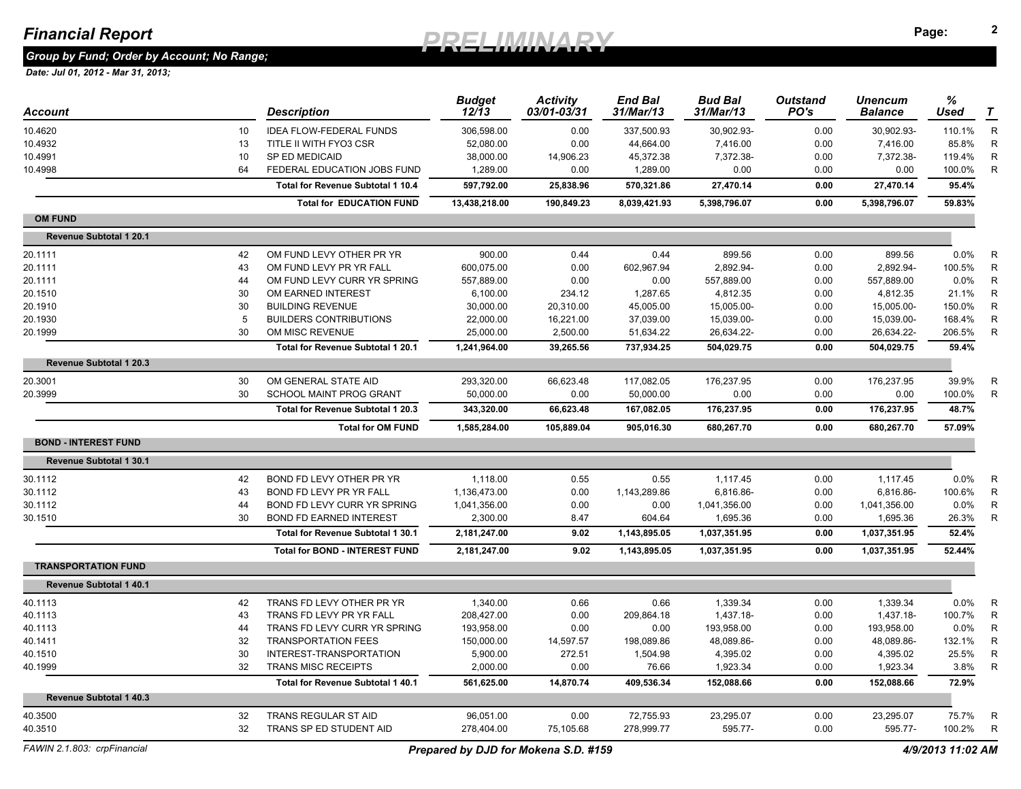*Group by Fund; Order by Account; No Range;* 

| Account                        |    | <b>Description</b>                    | <b>Budget</b><br>12/13 | <b>Activity</b><br>03/01-03/31 | <b>End Bal</b><br>31/Mar/13 | <b>Bud Bal</b><br>31/Mar/13 | <b>Outstand</b><br>PO's | <b>Unencum</b><br><b>Balance</b> | %<br>Used | T            |
|--------------------------------|----|---------------------------------------|------------------------|--------------------------------|-----------------------------|-----------------------------|-------------------------|----------------------------------|-----------|--------------|
| 10.4620                        | 10 | <b>IDEA FLOW-FEDERAL FUNDS</b>        | 306,598.00             | 0.00                           | 337,500.93                  | 30,902.93-                  | 0.00                    | 30,902.93-                       | 110.1%    | $\mathsf{R}$ |
| 10.4932                        | 13 | TITLE II WITH FYO3 CSR                | 52,080.00              | 0.00                           | 44,664.00                   | 7,416.00                    | 0.00                    | 7,416.00                         | 85.8%     | $\mathsf{R}$ |
| 10.4991                        | 10 | SP ED MEDICAID                        | 38,000.00              | 14,906.23                      | 45,372.38                   | 7,372.38-                   | 0.00                    | 7,372.38-                        | 119.4%    | R            |
| 10.4998                        | 64 | FEDERAL EDUCATION JOBS FUND           | 1,289.00               | 0.00                           | 1,289.00                    | 0.00                        | 0.00                    | 0.00                             | 100.0%    | $\mathsf{R}$ |
|                                |    | Total for Revenue Subtotal 1 10.4     | 597,792.00             | 25,838.96                      | 570,321.86                  | 27,470.14                   | 0.00                    | 27,470.14                        | 95.4%     |              |
|                                |    | <b>Total for EDUCATION FUND</b>       | 13,438,218.00          | 190,849.23                     | 8,039,421.93                | 5,398,796.07                | 0.00                    | 5,398,796.07                     | 59.83%    |              |
| <b>OM FUND</b>                 |    |                                       |                        |                                |                             |                             |                         |                                  |           |              |
| <b>Revenue Subtotal 1 20.1</b> |    |                                       |                        |                                |                             |                             |                         |                                  |           |              |
| 20.1111                        | 42 | OM FUND LEVY OTHER PR YR              | 900.00                 | 0.44                           | 0.44                        | 899.56                      | 0.00                    | 899.56                           | 0.0%      | R            |
| 20.1111                        | 43 | OM FUND LEVY PR YR FALL               | 600,075.00             | 0.00                           | 602,967.94                  | 2,892.94-                   | 0.00                    | 2.892.94-                        | 100.5%    | $\mathsf{R}$ |
| 20.1111                        | 44 | OM FUND LEVY CURR YR SPRING           | 557,889.00             | 0.00                           | 0.00                        | 557,889.00                  | 0.00                    | 557,889.00                       | 0.0%      | R            |
| 20.1510                        | 30 | OM EARNED INTEREST                    | 6,100.00               | 234.12                         | 1,287.65                    | 4,812.35                    | 0.00                    | 4,812.35                         | 21.1%     | R            |
| 20.1910                        | 30 | <b>BUILDING REVENUE</b>               | 30,000.00              | 20,310.00                      | 45,005.00                   | 15,005.00-                  | 0.00                    | 15,005.00-                       | 150.0%    | $\mathsf{R}$ |
| 20.1930                        | 5  | <b>BUILDERS CONTRIBUTIONS</b>         | 22,000.00              | 16,221.00                      | 37,039.00                   | 15,039.00-                  | 0.00                    | 15,039.00-                       | 168.4%    | $\mathsf{R}$ |
| 20.1999                        | 30 | OM MISC REVENUE                       | 25,000.00              | 2,500.00                       | 51,634.22                   | 26,634.22-                  | 0.00                    | 26,634.22-                       | 206.5%    | $\mathsf{R}$ |
|                                |    | Total for Revenue Subtotal 1 20.1     | 1,241,964.00           | 39,265.56                      | 737,934.25                  | 504,029.75                  | 0.00                    | 504,029.75                       | 59.4%     |              |
| <b>Revenue Subtotal 1 20.3</b> |    |                                       |                        |                                |                             |                             |                         |                                  |           |              |
| 20.3001                        | 30 | OM GENERAL STATE AID                  | 293,320.00             | 66,623.48                      | 117,082.05                  | 176,237.95                  | 0.00                    | 176,237.95                       | 39.9%     | R            |
| 20.3999                        | 30 | <b>SCHOOL MAINT PROG GRANT</b>        | 50,000.00              | 0.00                           | 50,000.00                   | 0.00                        | 0.00                    | 0.00                             | 100.0%    | $\mathsf{R}$ |
|                                |    | Total for Revenue Subtotal 1 20.3     | 343,320.00             | 66,623.48                      | 167,082.05                  | 176,237.95                  | 0.00                    | 176,237.95                       | 48.7%     |              |
|                                |    | <b>Total for OM FUND</b>              | 1,585,284.00           | 105,889.04                     | 905,016.30                  | 680,267.70                  | 0.00                    | 680,267.70                       | 57.09%    |              |
| <b>BOND - INTEREST FUND</b>    |    |                                       |                        |                                |                             |                             |                         |                                  |           |              |
| Revenue Subtotal 1 30.1        |    |                                       |                        |                                |                             |                             |                         |                                  |           |              |
| 30.1112                        | 42 | BOND FD LEVY OTHER PR YR              | 1,118.00               | 0.55                           | 0.55                        | 1,117.45                    | 0.00                    | 1,117.45                         | 0.0%      | R            |
| 30.1112                        | 43 | BOND FD LEVY PR YR FALL               | 1,136,473.00           | 0.00                           | 1,143,289.86                | 6,816.86-                   | 0.00                    | 6.816.86-                        | 100.6%    | R            |
| 30.1112                        | 44 | BOND FD LEVY CURR YR SPRING           | 1,041,356.00           | 0.00                           | 0.00                        | 1,041,356.00                | 0.00                    | 1,041,356.00                     | 0.0%      | R            |
| 30.1510                        | 30 | <b>BOND FD EARNED INTEREST</b>        | 2,300.00               | 8.47                           | 604.64                      | 1,695.36                    | 0.00                    | 1,695.36                         | 26.3%     | $\mathsf{R}$ |
|                                |    | Total for Revenue Subtotal 1 30.1     | 2,181,247.00           | 9.02                           | 1,143,895.05                | 1,037,351.95                | 0.00                    | 1,037,351.95                     | 52.4%     |              |
|                                |    | <b>Total for BOND - INTEREST FUND</b> | 2,181,247.00           | 9.02                           | 1,143,895.05                | 1,037,351.95                | 0.00                    | 1,037,351.95                     | 52.44%    |              |
| <b>TRANSPORTATION FUND</b>     |    |                                       |                        |                                |                             |                             |                         |                                  |           |              |
| <b>Revenue Subtotal 1 40.1</b> |    |                                       |                        |                                |                             |                             |                         |                                  |           |              |
| 40.1113                        | 42 | TRANS FD LEVY OTHER PR YR             | 1,340.00               | 0.66                           | 0.66                        | 1,339.34                    | 0.00                    | 1,339.34                         | 0.0%      | $\mathsf{R}$ |
| 40.1113                        | 43 | TRANS FD LEVY PR YR FALL              | 208,427.00             | 0.00                           | 209,864.18                  | 1,437.18-                   | 0.00                    | 1,437.18-                        | 100.7%    | $\mathsf{R}$ |
| 40.1113                        | 44 | TRANS FD LEVY CURR YR SPRING          | 193,958.00             | 0.00                           | 0.00                        | 193,958.00                  | 0.00                    | 193,958.00                       | 0.0%      | $\mathsf{R}$ |
| 40.1411                        | 32 | <b>TRANSPORTATION FEES</b>            | 150,000.00             | 14,597.57                      | 198,089.86                  | 48,089.86-                  | 0.00                    | 48,089.86-                       | 132.1%    | $\mathsf{R}$ |
| 40.1510                        | 30 | INTEREST-TRANSPORTATION               | 5,900.00               | 272.51                         | 1,504.98                    | 4,395.02                    | 0.00                    | 4,395.02                         | 25.5%     | R            |
| 40.1999                        | 32 | <b>TRANS MISC RECEIPTS</b>            | 2,000.00               | 0.00                           | 76.66                       | 1,923.34                    | 0.00                    | 1,923.34                         | 3.8%      | R            |
|                                |    | Total for Revenue Subtotal 1 40.1     | 561,625.00             | 14,870.74                      | 409,536.34                  | 152,088.66                  | 0.00                    | 152,088.66                       | 72.9%     |              |
| <b>Revenue Subtotal 1 40.3</b> |    |                                       |                        |                                |                             |                             |                         |                                  |           |              |
| 40.3500                        | 32 | <b>TRANS REGULAR ST AID</b>           | 96,051.00              | 0.00                           | 72,755.93                   | 23,295.07                   | 0.00                    | 23,295.07                        | 75.7%     | R            |
| 40.3510                        | 32 | TRANS SP ED STUDENT AID               | 278,404.00             | 75,105.68                      | 278,999.77                  | 595.77-                     | 0.00                    | 595.77-                          | 100.2%    | R            |
|                                |    |                                       |                        |                                |                             |                             |                         |                                  |           |              |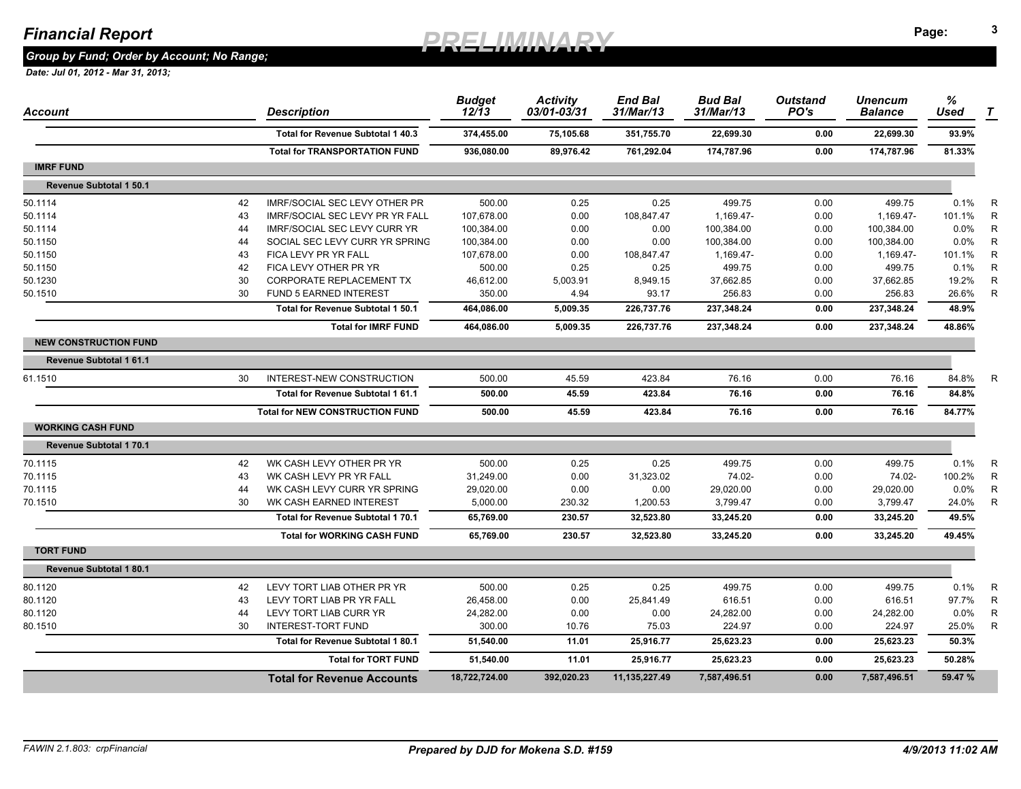*Group by Fund; Order by Account; No Range;* 

| Account                       |    | <b>Description</b>                     | <b>Budget</b><br>$12/\bar{1}3$ | <b>Activity</b><br>03/01-03/31 | <b>End Bal</b><br>31/Mar/13 | <b>Bud Bal</b><br>31/Mar/13 | <b>Outstand</b><br>PO's | <b>Unencum</b><br><b>Balance</b> | %<br><b>Used</b> | $\tau$       |
|-------------------------------|----|----------------------------------------|--------------------------------|--------------------------------|-----------------------------|-----------------------------|-------------------------|----------------------------------|------------------|--------------|
|                               |    | Total for Revenue Subtotal 1 40.3      | 374,455.00                     | 75,105.68                      | 351,755.70                  | 22,699.30                   | 0.00                    | 22,699.30                        | 93.9%            |              |
|                               |    | <b>Total for TRANSPORTATION FUND</b>   | 936,080.00                     | 89,976.42                      | 761,292.04                  | 174,787.96                  | 0.00                    | 174,787.96                       | 81.33%           |              |
| <b>IMRF FUND</b>              |    |                                        |                                |                                |                             |                             |                         |                                  |                  |              |
| Revenue Subtotal 1 50.1       |    |                                        |                                |                                |                             |                             |                         |                                  |                  |              |
| 50.1114                       | 42 | IMRF/SOCIAL SEC LEVY OTHER PR          | 500.00                         | 0.25                           | 0.25                        | 499.75                      | 0.00                    | 499.75                           | 0.1%             | R            |
| 50.1114                       | 43 | <b>IMRF/SOCIAL SEC LEVY PR YR FALL</b> | 107,678.00                     | 0.00                           | 108,847.47                  | 1,169.47-                   | 0.00                    | 1,169.47-                        | 101.1%           | $\mathsf{R}$ |
| 50.1114                       | 44 | <b>IMRF/SOCIAL SEC LEVY CURR YR</b>    | 100,384.00                     | 0.00                           | 0.00                        | 100,384.00                  | 0.00                    | 100,384.00                       | 0.0%             | $\mathsf{R}$ |
| 50.1150                       | 44 | SOCIAL SEC LEVY CURR YR SPRING         | 100,384.00                     | 0.00                           | 0.00                        | 100,384.00                  | 0.00                    | 100,384.00                       | 0.0%             | $\mathsf{R}$ |
| 50.1150                       | 43 | FICA LEVY PR YR FALL                   | 107,678.00                     | 0.00                           | 108,847.47                  | 1,169.47-                   | 0.00                    | 1,169.47-                        | 101.1%           | $\mathsf{R}$ |
| 50.1150                       | 42 | FICA LEVY OTHER PR YR                  | 500.00                         | 0.25                           | 0.25                        | 499.75                      | 0.00                    | 499.75                           | 0.1%             | $\mathsf{R}$ |
| 50.1230                       | 30 | CORPORATE REPLACEMENT TX               | 46,612.00                      | 5,003.91                       | 8,949.15                    | 37,662.85                   | 0.00                    | 37,662.85                        | 19.2%            | R            |
| 50.1510                       | 30 | FUND 5 EARNED INTEREST                 | 350.00                         | 4.94                           | 93.17                       | 256.83                      | 0.00                    | 256.83                           | 26.6%            | R            |
|                               |    | Total for Revenue Subtotal 1 50.1      | 464,086.00                     | 5,009.35                       | 226,737.76                  | 237,348.24                  | 0.00                    | 237,348.24                       | 48.9%            |              |
|                               |    | <b>Total for IMRF FUND</b>             | 464,086.00                     | 5,009.35                       | 226.737.76                  | 237,348.24                  | 0.00                    | 237.348.24                       | 48.86%           |              |
| <b>NEW CONSTRUCTION FUND</b>  |    |                                        |                                |                                |                             |                             |                         |                                  |                  |              |
| Revenue Subtotal 1 61.1       |    |                                        |                                |                                |                             |                             |                         |                                  |                  |              |
| 61.1510                       | 30 | INTEREST-NEW CONSTRUCTION              | 500.00                         | 45.59                          | 423.84                      | 76.16                       | 0.00                    | 76.16                            | 84.8%            | $\mathsf{R}$ |
|                               |    | Total for Revenue Subtotal 1 61.1      | 500.00                         | 45.59                          | 423.84                      | 76.16                       | 0.00                    | 76.16                            | 84.8%            |              |
|                               |    | <b>Total for NEW CONSTRUCTION FUND</b> | 500.00                         | 45.59                          | 423.84                      | 76.16                       | 0.00                    | 76.16                            | 84.77%           |              |
| <b>WORKING CASH FUND</b>      |    |                                        |                                |                                |                             |                             |                         |                                  |                  |              |
| <b>Revenue Subtotal 170.1</b> |    |                                        |                                |                                |                             |                             |                         |                                  |                  |              |
| 70.1115                       | 42 | WK CASH LEVY OTHER PR YR               | 500.00                         | 0.25                           | 0.25                        | 499.75                      | 0.00                    | 499.75                           | 0.1%             | R            |
| 70.1115                       | 43 | WK CASH LEVY PR YR FALL                | 31,249.00                      | 0.00                           | 31,323.02                   | 74.02-                      | 0.00                    | 74.02-                           | 100.2%           | $\mathsf{R}$ |
| 70.1115                       | 44 | WK CASH LEVY CURR YR SPRING            | 29,020.00                      | 0.00                           | 0.00                        | 29,020.00                   | 0.00                    | 29,020.00                        | 0.0%             | R            |
| 70.1510                       | 30 | WK CASH EARNED INTEREST                | 5,000.00                       | 230.32                         | 1,200.53                    | 3,799.47                    | 0.00                    | 3,799.47                         | 24.0%            | R            |
|                               |    | Total for Revenue Subtotal 1 70.1      | 65,769.00                      | 230.57                         | 32,523.80                   | 33,245.20                   | 0.00                    | 33,245.20                        | 49.5%            |              |
|                               |    | <b>Total for WORKING CASH FUND</b>     | 65,769.00                      | 230.57                         | 32,523.80                   | 33,245.20                   | 0.00                    | 33,245.20                        | 49.45%           |              |
| <b>TORT FUND</b>              |    |                                        |                                |                                |                             |                             |                         |                                  |                  |              |
| Revenue Subtotal 1 80.1       |    |                                        |                                |                                |                             |                             |                         |                                  |                  |              |
| 80.1120                       | 42 | LEVY TORT LIAB OTHER PR YR             | 500.00                         | 0.25                           | 0.25                        | 499.75                      | 0.00                    | 499.75                           | 0.1%             | R            |
| 80.1120                       | 43 | LEVY TORT LIAB PR YR FALL              | 26,458.00                      | 0.00                           | 25,841.49                   | 616.51                      | 0.00                    | 616.51                           | 97.7%            | $\mathsf{R}$ |
| 80.1120                       | 44 | LEVY TORT LIAB CURR YR                 | 24,282.00                      | 0.00                           | 0.00                        | 24,282.00                   | 0.00                    | 24,282.00                        | 0.0%             | $\mathsf{R}$ |
| 80.1510                       | 30 | <b>INTEREST-TORT FUND</b>              | 300.00                         | 10.76                          | 75.03                       | 224.97                      | 0.00                    | 224.97                           | 25.0%            | R            |
|                               |    | Total for Revenue Subtotal 1 80.1      | 51,540.00                      | 11.01                          | 25,916.77                   | 25,623.23                   | 0.00                    | 25,623.23                        | 50.3%            |              |
|                               |    | <b>Total for TORT FUND</b>             | 51,540.00                      | 11.01                          | 25,916.77                   | 25,623.23                   | 0.00                    | 25,623.23                        | 50.28%           |              |
|                               |    | <b>Total for Revenue Accounts</b>      | 18,722,724.00                  | 392,020.23                     | 11,135,227.49               | 7,587,496.51                | 0.00                    | 7,587,496.51                     | 59.47%           |              |
|                               |    |                                        |                                |                                |                             |                             |                         |                                  |                  |              |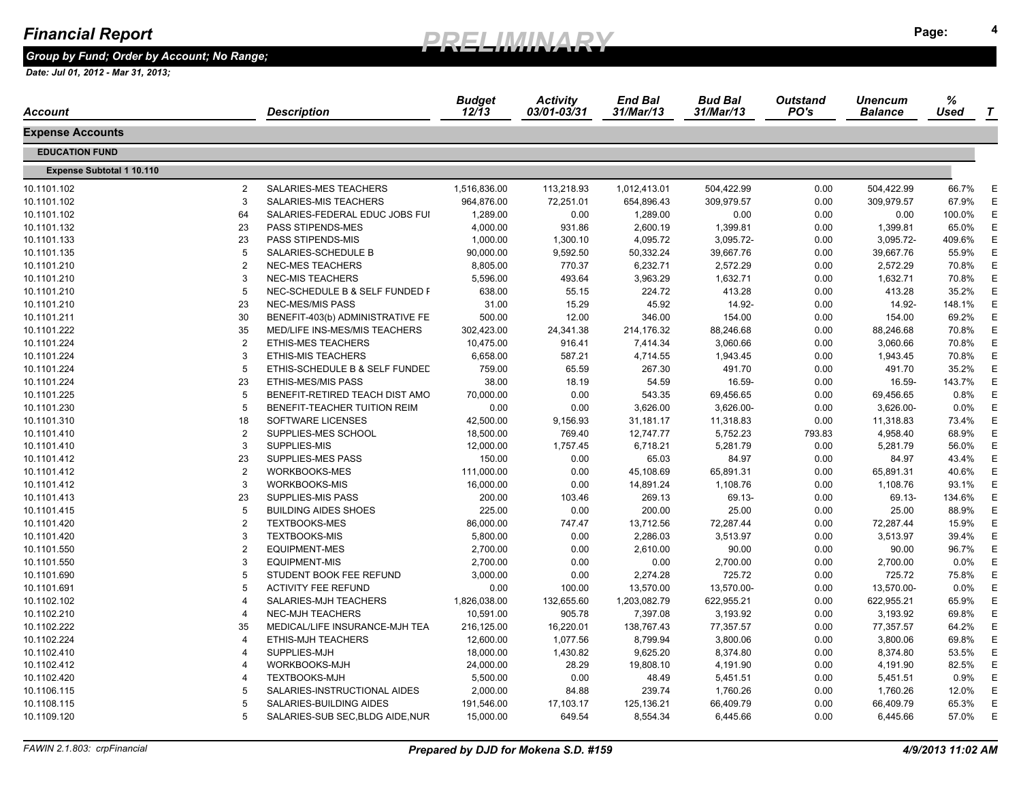*Group by Fund; Order by Account; No Range;* 

| Account                          |                | <b>Description</b>               | <b>Budget</b><br>$12/\overline{1}3$ | <b>Activity</b><br>03/01-03/31 | <b>End Bal</b><br>31/Mar/13 | <b>Bud Bal</b><br>31/Mar/13 | <b>Outstand</b><br>PO's | <b>Unencum</b><br><b>Balance</b> | %<br><b>Used</b> | $\tau$ |
|----------------------------------|----------------|----------------------------------|-------------------------------------|--------------------------------|-----------------------------|-----------------------------|-------------------------|----------------------------------|------------------|--------|
| Expense Accounts                 |                |                                  |                                     |                                |                             |                             |                         |                                  |                  |        |
| <b>EDUCATION FUND</b>            |                |                                  |                                     |                                |                             |                             |                         |                                  |                  |        |
| <b>Expense Subtotal 1 10.110</b> |                |                                  |                                     |                                |                             |                             |                         |                                  |                  |        |
| 10.1101.102                      | $\overline{2}$ | SALARIES-MES TEACHERS            | 1,516,836.00                        | 113,218.93                     | 1,012,413.01                | 504,422.99                  | 0.00                    | 504,422.99                       | 66.7%            | E      |
| 10.1101.102                      | 3              | SALARIES-MIS TEACHERS            | 964,876.00                          | 72,251.01                      | 654,896.43                  | 309,979.57                  | 0.00                    | 309,979.57                       | 67.9%            | E      |
| 10.1101.102                      | 64             | SALARIES-FEDERAL EDUC JOBS FUI   | 1,289.00                            | 0.00                           | 1,289.00                    | 0.00                        | 0.00                    | 0.00                             | 100.0%           | E      |
| 10.1101.132                      | 23             | <b>PASS STIPENDS-MES</b>         | 4,000.00                            | 931.86                         | 2,600.19                    | 1,399.81                    | 0.00                    | 1,399.81                         | 65.0%            | E      |
| 10.1101.133                      | 23             | PASS STIPENDS-MIS                | 1,000.00                            | 1,300.10                       | 4,095.72                    | 3,095.72-                   | 0.00                    | 3,095.72-                        | 409.6%           | E      |
| 10.1101.135                      | 5              | SALARIES-SCHEDULE B              | 90,000.00                           | 9,592.50                       | 50,332.24                   | 39,667.76                   | 0.00                    | 39,667.76                        | 55.9%            | E      |
| 10.1101.210                      | $\overline{2}$ | NEC-MES TEACHERS                 | 8,805.00                            | 770.37                         | 6,232.71                    | 2,572.29                    | 0.00                    | 2,572.29                         | 70.8%            | Е      |
| 10.1101.210                      | 3              | <b>NEC-MIS TEACHERS</b>          | 5,596.00                            | 493.64                         | 3,963.29                    | 1,632.71                    | 0.00                    | 1,632.71                         | 70.8%            | E      |
| 10.1101.210                      | 5              | NEC-SCHEDULE B & SELF FUNDED F   | 638.00                              | 55.15                          | 224.72                      | 413.28                      | 0.00                    | 413.28                           | 35.2%            | Е      |
| 10.1101.210                      | 23             | NEC-MES/MIS PASS                 | 31.00                               | 15.29                          | 45.92                       | 14.92-                      | 0.00                    | 14.92-                           | 148.1%           | E      |
| 10.1101.211                      | 30             | BENEFIT-403(b) ADMINISTRATIVE FE | 500.00                              | 12.00                          | 346.00                      | 154.00                      | 0.00                    | 154.00                           | 69.2%            | Е      |
| 10.1101.222                      | 35             | MED/LIFE INS-MES/MIS TEACHERS    | 302,423.00                          | 24,341.38                      | 214,176.32                  | 88,246.68                   | 0.00                    | 88,246.68                        | 70.8%            | E      |
| 10.1101.224                      | $\overline{2}$ | <b>ETHIS-MES TEACHERS</b>        | 10,475.00                           | 916.41                         | 7,414.34                    | 3,060.66                    | 0.00                    | 3,060.66                         | 70.8%            | E      |
| 10.1101.224                      | 3              | <b>ETHIS-MIS TEACHERS</b>        | 6,658.00                            | 587.21                         | 4,714.55                    | 1,943.45                    | 0.00                    | 1,943.45                         | 70.8%            | Е      |
| 10.1101.224                      | 5              | ETHIS-SCHEDULE B & SELF FUNDED   | 759.00                              | 65.59                          | 267.30                      | 491.70                      | 0.00                    | 491.70                           | 35.2%            | E      |
| 10.1101.224                      | 23             | <b>ETHIS-MES/MIS PASS</b>        | 38.00                               | 18.19                          | 54.59                       | 16.59-                      | 0.00                    | 16.59-                           | 143.7%           | E      |
| 10.1101.225                      | 5              | BENEFIT-RETIRED TEACH DIST AMO   | 70,000.00                           | 0.00                           | 543.35                      | 69,456.65                   | 0.00                    | 69,456.65                        | 0.8%             | E      |
| 10.1101.230                      | 5              | BENEFIT-TEACHER TUITION REIM     | 0.00                                | 0.00                           | 3,626.00                    | 3,626.00-                   | 0.00                    | 3,626.00-                        | $0.0\%$          | E      |
| 10.1101.310                      | 18             | SOFTWARE LICENSES                | 42,500.00                           | 9,156.93                       | 31,181.17                   | 11,318.83                   | 0.00                    | 11,318.83                        | 73.4%            | E      |
| 10.1101.410                      | $\overline{2}$ | SUPPLIES-MES SCHOOL              | 18,500.00                           | 769.40                         | 12,747.77                   | 5,752.23                    | 793.83                  | 4,958.40                         | 68.9%            | E      |
| 10.1101.410                      | 3              | SUPPLIES-MIS                     | 12,000.00                           | 1,757.45                       | 6,718.21                    | 5,281.79                    | 0.00                    | 5,281.79                         | 56.0%            | E      |
| 10.1101.412                      | 23             | SUPPLIES-MES PASS                | 150.00                              | 0.00                           | 65.03                       | 84.97                       | 0.00                    | 84.97                            | 43.4%            | Е      |
| 10.1101.412                      | $\overline{2}$ | <b>WORKBOOKS-MES</b>             | 111,000.00                          | 0.00                           | 45,108.69                   | 65,891.31                   | 0.00                    | 65,891.31                        | 40.6%            | E      |
| 10.1101.412                      | 3              | WORKBOOKS-MIS                    | 16,000.00                           | 0.00                           | 14,891.24                   | 1,108.76                    | 0.00                    | 1,108.76                         | 93.1%            | E      |
| 10.1101.413                      | 23             | <b>SUPPLIES-MIS PASS</b>         | 200.00                              | 103.46                         | 269.13                      | 69.13-                      | 0.00                    | 69.13-                           | 134.6%           | E      |
| 10.1101.415                      | 5              | <b>BUILDING AIDES SHOES</b>      | 225.00                              | 0.00                           | 200.00                      | 25.00                       | 0.00                    | 25.00                            | 88.9%            | E      |
| 10.1101.420                      | $\overline{2}$ | <b>TEXTBOOKS-MES</b>             | 86,000.00                           | 747.47                         | 13,712.56                   | 72,287.44                   | 0.00                    | 72,287.44                        | 15.9%            | E      |
| 10.1101.420                      | 3              | <b>TEXTBOOKS-MIS</b>             | 5,800.00                            | 0.00                           | 2,286.03                    | 3,513.97                    | 0.00                    | 3,513.97                         | 39.4%            | Е      |
| 10.1101.550                      | $\overline{2}$ | <b>EQUIPMENT-MES</b>             | 2,700.00                            | 0.00                           | 2,610.00                    | 90.00                       | 0.00                    | 90.00                            | 96.7%            | E      |
| 10.1101.550                      | 3              | <b>EQUIPMENT-MIS</b>             | 2,700.00                            | 0.00                           | 0.00                        | 2,700.00                    | 0.00                    | 2,700.00                         | 0.0%             | E      |
| 10.1101.690                      | 5              | STUDENT BOOK FEE REFUND          | 3,000.00                            | 0.00                           | 2,274.28                    | 725.72                      | 0.00                    | 725.72                           | 75.8%            | Е      |
| 10.1101.691                      | 5              | <b>ACTIVITY FEE REFUND</b>       | 0.00                                | 100.00                         | 13,570.00                   | 13,570.00-                  | 0.00                    | 13,570.00-                       | 0.0%             | Е      |
| 10.1102.102                      | $\overline{4}$ | SALARIES-MJH TEACHERS            | 1,826,038.00                        | 132,655.60                     | 1,203,082.79                | 622,955.21                  | 0.00                    | 622,955.21                       | 65.9%            | E      |
| 10.1102.210                      | $\overline{4}$ | <b>NEC-MJH TEACHERS</b>          | 10,591.00                           | 905.78                         | 7,397.08                    | 3,193.92                    | 0.00                    | 3,193.92                         | 69.8%            | Е      |
| 10.1102.222                      | 35             | MEDICAL/LIFE INSURANCE-MJH TEA   | 216,125.00                          | 16,220.01                      | 138,767.43                  | 77,357.57                   | 0.00                    | 77,357.57                        | 64.2%            | E      |
| 10.1102.224                      | $\overline{4}$ | <b>ETHIS-MJH TEACHERS</b>        | 12,600.00                           | 1,077.56                       | 8,799.94                    | 3,800.06                    | 0.00                    | 3,800.06                         | 69.8%            | E      |
| 10.1102.410                      | $\overline{4}$ | SUPPLIES-MJH                     | 18,000.00                           | 1,430.82                       | 9,625.20                    | 8,374.80                    | 0.00                    | 8,374.80                         | 53.5%            | E      |
| 10.1102.412                      | $\overline{4}$ | WORKBOOKS-MJH                    | 24,000.00                           | 28.29                          | 19,808.10                   | 4,191.90                    | 0.00                    | 4,191.90                         | 82.5%            | E      |
| 10.1102.420                      | $\overline{4}$ | <b>TEXTBOOKS-MJH</b>             | 5,500.00                            | 0.00                           | 48.49                       | 5,451.51                    | 0.00                    | 5,451.51                         | 0.9%             | E      |
| 10.1106.115                      | 5              | SALARIES-INSTRUCTIONAL AIDES     | 2,000.00                            | 84.88                          | 239.74                      | 1,760.26                    | 0.00                    | 1,760.26                         | 12.0%            | E      |
| 10.1108.115                      | 5              | SALARIES-BUILDING AIDES          | 191,546.00                          | 17,103.17                      | 125,136.21                  | 66,409.79                   | 0.00                    | 66,409.79                        | 65.3%            | Е      |
| 10.1109.120                      | 5              | SALARIES-SUB SEC, BLDG AIDE, NUR | 15,000.00                           | 649.54                         | 8,554.34                    | 6,445.66                    | 0.00                    | 6,445.66                         | 57.0%            | E      |
|                                  |                |                                  |                                     |                                |                             |                             |                         |                                  |                  |        |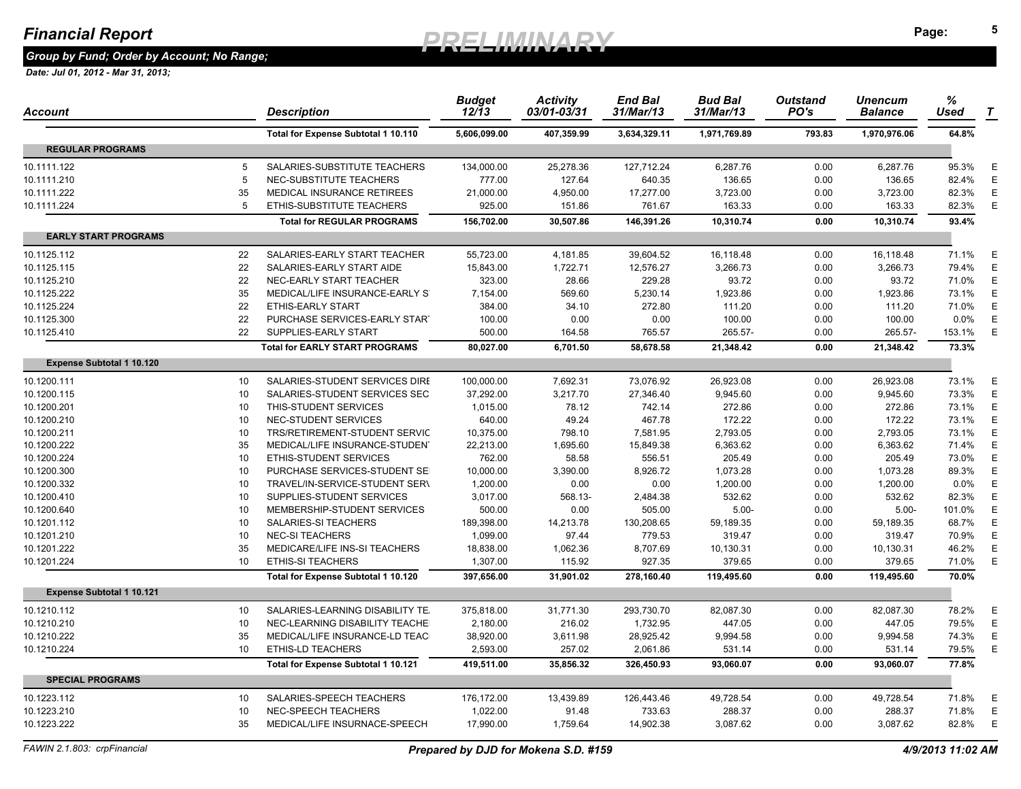*Group by Fund; Order by Account; No Range;* 

| Account                          |                 | Description                           | <b>Budget</b><br>$12/\overline{1}3$ | <b>Activity</b><br>03/01-03/31 | <b>End Bal</b><br>31/Mar/13 | <b>Bud Bal</b><br>31/Mar/13 | <b>Outstand</b><br>PO's | Unencum<br><b>Balance</b> | %<br>Used | $\boldsymbol{\tau}$ |
|----------------------------------|-----------------|---------------------------------------|-------------------------------------|--------------------------------|-----------------------------|-----------------------------|-------------------------|---------------------------|-----------|---------------------|
|                                  |                 | Total for Expense Subtotal 1 10.110   | 5,606,099.00                        | 407,359.99                     | 3,634,329.11                | 1,971,769.89                | 793.83                  | 1,970,976.06              | 64.8%     |                     |
| <b>REGULAR PROGRAMS</b>          |                 |                                       |                                     |                                |                             |                             |                         |                           |           |                     |
| 10.1111.122                      | 5               | SALARIES-SUBSTITUTE TEACHERS          | 134,000.00                          | 25,278.36                      | 127,712.24                  | 6,287.76                    | 0.00                    | 6,287.76                  | 95.3%     | Ε                   |
| 10.1111.210                      | 5               | NEC-SUBSTITUTE TEACHERS               | 777.00                              | 127.64                         | 640.35                      | 136.65                      | 0.00                    | 136.65                    | 82.4%     | E                   |
| 10.1111.222                      | 35              | MEDICAL INSURANCE RETIREES            | 21,000.00                           | 4,950.00                       | 17,277.00                   | 3,723.00                    | 0.00                    | 3,723.00                  | 82.3%     | E                   |
| 10.1111.224                      | 5               | ETHIS-SUBSTITUTE TEACHERS             | 925.00                              | 151.86                         | 761.67                      | 163.33                      | 0.00                    | 163.33                    | 82.3%     | Ε                   |
|                                  |                 | <b>Total for REGULAR PROGRAMS</b>     | 156,702.00                          | 30,507.86                      | 146,391.26                  | 10,310.74                   | 0.00                    | 10,310.74                 | 93.4%     |                     |
| <b>EARLY START PROGRAMS</b>      |                 |                                       |                                     |                                |                             |                             |                         |                           |           |                     |
| 10.1125.112                      | 22              | SALARIES-EARLY START TEACHER          | 55,723.00                           | 4,181.85                       | 39,604.52                   | 16,118.48                   | 0.00                    | 16,118.48                 | 71.1%     | E                   |
| 10.1125.115                      | 22              | SALARIES-EARLY START AIDE             | 15,843.00                           | 1,722.71                       | 12,576.27                   | 3,266.73                    | 0.00                    | 3,266.73                  | 79.4%     | Ε                   |
| 10.1125.210                      | 22              | NEC-EARLY START TEACHER               | 323.00                              | 28.66                          | 229.28                      | 93.72                       | 0.00                    | 93.72                     | 71.0%     | Ε                   |
| 10.1125.222                      | 35              | MEDICAL/LIFE INSURANCE-EARLY ST       | 7,154.00                            | 569.60                         | 5.230.14                    | 1,923.86                    | 0.00                    | 1,923.86                  | 73.1%     | Ε                   |
| 10.1125.224                      | 22              | <b>ETHIS-EARLY START</b>              | 384.00                              | 34.10                          | 272.80                      | 111.20                      | 0.00                    | 111.20                    | 71.0%     | Ε                   |
| 10.1125.300                      | 22              | PURCHASE SERVICES-EARLY START         | 100.00                              | 0.00                           | 0.00                        | 100.00                      | 0.00                    | 100.00                    | 0.0%      | Ε                   |
| 10.1125.410                      | 22              | SUPPLIES-EARLY START                  | 500.00                              | 164.58                         | 765.57                      | 265.57-                     | 0.00                    | 265.57-                   | 153.1%    | Ε                   |
|                                  |                 | <b>Total for EARLY START PROGRAMS</b> | 80,027.00                           | 6,701.50                       | 58,678.58                   | 21,348.42                   | 0.00                    | 21,348.42                 | 73.3%     |                     |
| <b>Expense Subtotal 1 10.120</b> |                 |                                       |                                     |                                |                             |                             |                         |                           |           |                     |
| 10.1200.111                      | 10 <sup>°</sup> | SALARIES-STUDENT SERVICES DIRE        | 100,000.00                          | 7,692.31                       | 73,076.92                   | 26,923.08                   | 0.00                    | 26,923.08                 | 73.1%     | Е                   |
| 10.1200.115                      | 10              | SALARIES-STUDENT SERVICES SEC         | 37,292.00                           | 3,217.70                       | 27,346.40                   | 9,945.60                    | 0.00                    | 9,945.60                  | 73.3%     | E                   |
| 10.1200.201                      | 10              | THIS-STUDENT SERVICES                 | 1,015.00                            | 78.12                          | 742.14                      | 272.86                      | 0.00                    | 272.86                    | 73.1%     | Е                   |
| 10.1200.210                      | 10              | NEC-STUDENT SERVICES                  | 640.00                              | 49.24                          | 467.78                      | 172.22                      | 0.00                    | 172.22                    | 73.1%     | Ε                   |
| 10.1200.211                      | 10              | TRS/RETIREMENT-STUDENT SERVIC         | 10,375.00                           | 798.10                         | 7,581.95                    | 2,793.05                    | 0.00                    | 2,793.05                  | 73.1%     | E                   |
| 10.1200.222                      | 35              | MEDICAL/LIFE INSURANCE-STUDEN'        | 22,213.00                           | 1,695.60                       | 15,849.38                   | 6,363.62                    | 0.00                    | 6,363.62                  | 71.4%     | E                   |
| 10.1200.224                      | 10              | ETHIS-STUDENT SERVICES                | 762.00                              | 58.58                          | 556.51                      | 205.49                      | 0.00                    | 205.49                    | 73.0%     | E                   |
| 10.1200.300                      | 10              | PURCHASE SERVICES-STUDENT SE          | 10,000.00                           | 3,390.00                       | 8,926.72                    | 1,073.28                    | 0.00                    | 1,073.28                  | 89.3%     | Ε                   |
| 10.1200.332                      | 10              | TRAVEL/IN-SERVICE-STUDENT SER\        | 1,200.00                            | 0.00                           | 0.00                        | 1,200.00                    | 0.00                    | 1,200.00                  | 0.0%      | E                   |
| 10.1200.410                      | 10              | SUPPLIES-STUDENT SERVICES             | 3,017.00                            | 568.13-                        | 2,484.38                    | 532.62                      | 0.00                    | 532.62                    | 82.3%     | E                   |
| 10.1200.640                      | 10              | MEMBERSHIP-STUDENT SERVICES           | 500.00                              | 0.00                           | 505.00                      | $5.00 -$                    | 0.00                    | $5.00 -$                  | 101.0%    | E                   |
| 10.1201.112                      | 10              | SALARIES-SI TEACHERS                  | 189,398.00                          | 14,213.78                      | 130,208.65                  | 59,189.35                   | 0.00                    | 59,189.35                 | 68.7%     | Ε                   |
| 10.1201.210                      | 10              | <b>NEC-SI TEACHERS</b>                | 1,099.00                            | 97.44                          | 779.53                      | 319.47                      | 0.00                    | 319.47                    | 70.9%     | E                   |
| 10.1201.222                      | 35              | MEDICARE/LIFE INS-SI TEACHERS         | 18,838.00                           | 1,062.36                       | 8,707.69                    | 10,130.31                   | 0.00                    | 10,130.31                 | 46.2%     | E                   |
| 10.1201.224                      | 10              | <b>ETHIS-SI TEACHERS</b>              | 1,307.00                            | 115.92                         | 927.35                      | 379.65                      | 0.00                    | 379.65                    | 71.0%     | E                   |
|                                  |                 | Total for Expense Subtotal 1 10.120   | 397,656.00                          | 31,901.02                      | 278,160.40                  | 119,495.60                  | 0.00                    | 119,495.60                | 70.0%     |                     |
| <b>Expense Subtotal 1 10.121</b> |                 |                                       |                                     |                                |                             |                             |                         |                           |           |                     |
| 10.1210.112                      | 10              | SALARIES-LEARNING DISABILITY TE.      | 375,818.00                          | 31,771.30                      | 293,730.70                  | 82,087.30                   | 0.00                    | 82,087.30                 | 78.2%     | Ε                   |
| 10.1210.210                      | 10              | NEC-LEARNING DISABILITY TEACHE        | 2,180.00                            | 216.02                         | 1,732.95                    | 447.05                      | 0.00                    | 447.05                    | 79.5%     | E                   |
| 10.1210.222                      | 35              | MEDICAL/LIFE INSURANCE-LD TEAC        | 38,920.00                           | 3,611.98                       | 28,925.42                   | 9,994.58                    | 0.00                    | 9,994.58                  | 74.3%     | Ε                   |
| 10.1210.224                      | 10              | <b>ETHIS-LD TEACHERS</b>              | 2,593.00                            | 257.02                         | 2,061.86                    | 531.14                      | 0.00                    | 531.14                    | 79.5%     | Ε                   |
|                                  |                 | Total for Expense Subtotal 1 10.121   | 419,511.00                          | 35,856.32                      | 326,450.93                  | 93,060.07                   | 0.00                    | 93.060.07                 | 77.8%     |                     |
| <b>SPECIAL PROGRAMS</b>          |                 |                                       |                                     |                                |                             |                             |                         |                           |           |                     |
| 10.1223.112                      | 10 <sup>°</sup> | SALARIES-SPEECH TEACHERS              | 176,172.00                          | 13,439.89                      | 126,443.46                  | 49,728.54                   | 0.00                    | 49,728.54                 | 71.8%     | Е                   |
| 10.1223.210                      | 10              | NEC-SPEECH TEACHERS                   | 1,022.00                            | 91.48                          | 733.63                      | 288.37                      | 0.00                    | 288.37                    | 71.8%     | Ε                   |
| 10.1223.222                      | 35              | MEDICAL/LIFE INSURNACE-SPEECH         | 17,990.00                           | 1,759.64                       | 14,902.38                   | 3,087.62                    | 0.00                    | 3,087.62                  | 82.8%     | Ε                   |
|                                  |                 |                                       |                                     |                                |                             |                             |                         |                           |           |                     |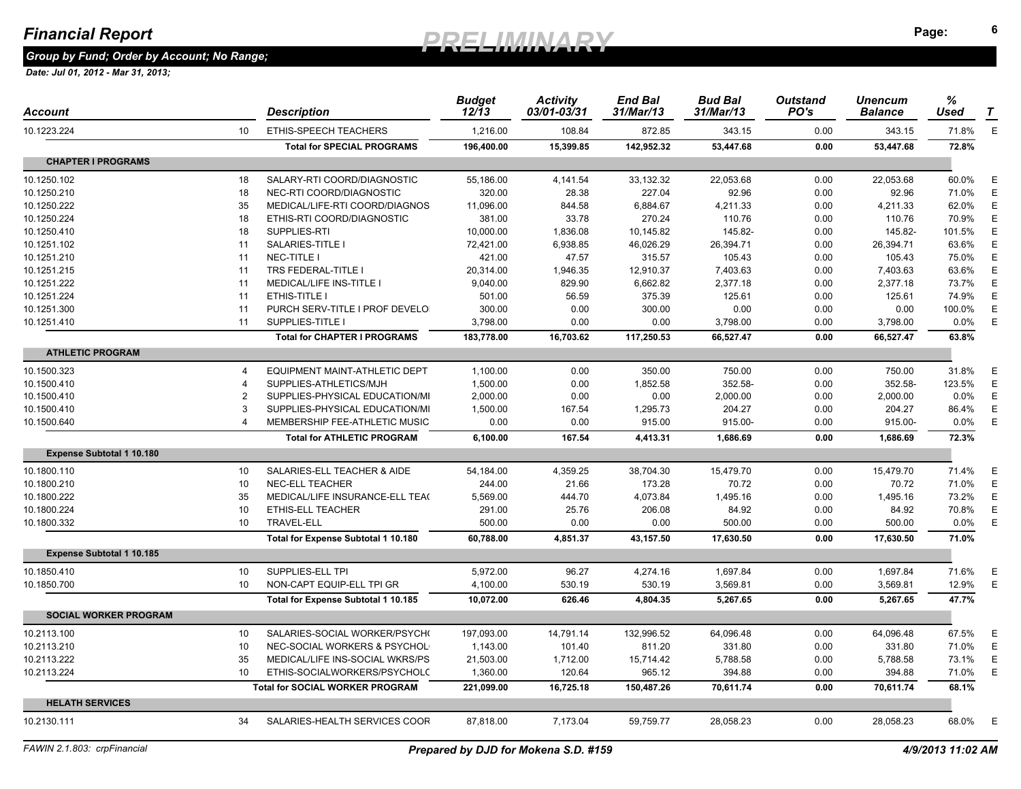*Group by Fund; Order by Account; No Range;* 

| Account                          |                       | Description                            | <b>Budget</b><br>$12/\overline{1}3$ | <b>Activity</b><br>03/01-03/31 | <b>End Bal</b><br>31/Mar/13 | <b>Bud Bal</b><br>31/Mar/13 | <b>Outstand</b><br>PO's | <b>Unencum</b><br><b>Balance</b> | %<br>Used | T |
|----------------------------------|-----------------------|----------------------------------------|-------------------------------------|--------------------------------|-----------------------------|-----------------------------|-------------------------|----------------------------------|-----------|---|
| 10.1223.224                      | 10                    | ETHIS-SPEECH TEACHERS                  | 1.216.00                            | 108.84                         | 872.85                      | 343.15                      | 0.00                    | 343.15                           | 71.8%     | E |
|                                  |                       | <b>Total for SPECIAL PROGRAMS</b>      | 196.400.00                          | 15,399.85                      | 142.952.32                  | 53.447.68                   | 0.00                    | 53,447.68                        | 72.8%     |   |
| <b>CHAPTER I PROGRAMS</b>        |                       |                                        |                                     |                                |                             |                             |                         |                                  |           |   |
| 10.1250.102                      | 18                    | SALARY-RTI COORD/DIAGNOSTIC            | 55,186.00                           | 4,141.54                       | 33,132.32                   | 22,053.68                   | 0.00                    | 22,053.68                        | 60.0%     | Ε |
| 10.1250.210                      | 18                    | NEC-RTI COORD/DIAGNOSTIC               | 320.00                              | 28.38                          | 227.04                      | 92.96                       | 0.00                    | 92.96                            | 71.0%     | E |
| 10.1250.222                      | 35                    | MEDICAL/LIFE-RTI COORD/DIAGNOS         | 11,096.00                           | 844.58                         | 6,884.67                    | 4,211.33                    | 0.00                    | 4,211.33                         | 62.0%     | E |
| 10.1250.224                      | 18                    | ETHIS-RTI COORD/DIAGNOSTIC             | 381.00                              | 33.78                          | 270.24                      | 110.76                      | 0.00                    | 110.76                           | 70.9%     | Ε |
| 10.1250.410                      | 18                    | SUPPLIES-RTI                           | 10,000.00                           | 1,836.08                       | 10,145.82                   | 145.82-                     | 0.00                    | 145.82-                          | 101.5%    | Ε |
| 10.1251.102                      | 11                    | SALARIES-TITLE I                       | 72,421.00                           | 6,938.85                       | 46,026.29                   | 26,394.71                   | 0.00                    | 26,394.71                        | 63.6%     | Ε |
| 10.1251.210                      | 11                    | NEC-TITLE I                            | 421.00                              | 47.57                          | 315.57                      | 105.43                      | 0.00                    | 105.43                           | 75.0%     | Ε |
| 10.1251.215                      | 11                    | TRS FEDERAL-TITLE I                    | 20,314.00                           | 1,946.35                       | 12,910.37                   | 7,403.63                    | 0.00                    | 7,403.63                         | 63.6%     | Ε |
| 10.1251.222                      | 11                    | MEDICAL/LIFE INS-TITLE I               | 9,040.00                            | 829.90                         | 6,662.82                    | 2,377.18                    | 0.00                    | 2,377.18                         | 73.7%     | E |
| 10.1251.224                      | 11                    | ETHIS-TITLE I                          | 501.00                              | 56.59                          | 375.39                      | 125.61                      | 0.00                    | 125.61                           | 74.9%     | Ε |
| 10.1251.300                      | 11                    | PURCH SERV-TITLE I PROF DEVELO         | 300.00                              | 0.00                           | 300.00                      | 0.00                        | 0.00                    | 0.00                             | 100.0%    | Ε |
| 10.1251.410                      | 11                    | SUPPLIES-TITLE I                       | 3,798.00                            | 0.00                           | 0.00                        | 3,798.00                    | 0.00                    | 3,798.00                         | $0.0\%$   | E |
|                                  |                       | <b>Total for CHAPTER I PROGRAMS</b>    | 183,778.00                          | 16,703.62                      | 117,250.53                  | 66,527.47                   | 0.00                    | 66,527.47                        | 63.8%     |   |
| <b>ATHLETIC PROGRAM</b>          |                       |                                        |                                     |                                |                             |                             |                         |                                  |           |   |
| 10.1500.323                      | $\boldsymbol{\Delta}$ | EQUIPMENT MAINT-ATHLETIC DEPT          | 1,100.00                            | 0.00                           | 350.00                      | 750.00                      | 0.00                    | 750.00                           | 31.8%     | Ε |
| 10.1500.410                      | 4                     | SUPPLIES-ATHLETICS/MJH                 | 1,500.00                            | 0.00                           | 1,852.58                    | 352.58-                     | 0.00                    | 352.58-                          | 123.5%    | E |
| 10.1500.410                      | $\overline{2}$        | SUPPLIES-PHYSICAL EDUCATION/MI         | 2,000.00                            | 0.00                           | 0.00                        | 2,000.00                    | 0.00                    | 2,000.00                         | 0.0%      | Ε |
| 10.1500.410                      | 3                     | SUPPLIES-PHYSICAL EDUCATION/MI         | 1,500.00                            | 167.54                         | 1,295.73                    | 204.27                      | 0.00                    | 204.27                           | 86.4%     | Ε |
| 10.1500.640                      |                       | MEMBERSHIP FEE-ATHLETIC MUSIC          | 0.00                                | 0.00                           | 915.00                      | 915.00-                     | 0.00                    | 915.00-                          | $0.0\%$   | E |
|                                  |                       | <b>Total for ATHLETIC PROGRAM</b>      | 6,100.00                            | 167.54                         | 4,413.31                    | 1,686.69                    | 0.00                    | 1,686.69                         | 72.3%     |   |
| <b>Expense Subtotal 1 10.180</b> |                       |                                        |                                     |                                |                             |                             |                         |                                  |           |   |
| 10.1800.110                      | 10                    | SALARIES-ELL TEACHER & AIDE            | 54,184.00                           | 4.359.25                       | 38,704.30                   | 15,479.70                   | 0.00                    | 15.479.70                        | 71.4%     | E |
| 10.1800.210                      | 10                    | <b>NEC-ELL TEACHER</b>                 | 244.00                              | 21.66                          | 173.28                      | 70.72                       | 0.00                    | 70.72                            | 71.0%     | E |
| 10.1800.222                      | 35                    | MEDICAL/LIFE INSURANCE-ELL TEA(        | 5,569.00                            | 444.70                         | 4,073.84                    | 1,495.16                    | 0.00                    | 1,495.16                         | 73.2%     | E |
| 10.1800.224                      | 10                    | <b>ETHIS-ELL TEACHER</b>               | 291.00                              | 25.76                          | 206.08                      | 84.92                       | 0.00                    | 84.92                            | 70.8%     | Ε |
| 10.1800.332                      | 10                    | <b>TRAVEL-ELL</b>                      | 500.00                              | 0.00                           | 0.00                        | 500.00                      | 0.00                    | 500.00                           | 0.0%      | E |
|                                  |                       | Total for Expense Subtotal 1 10.180    | 60,788.00                           | 4,851.37                       | 43.157.50                   | 17.630.50                   | 0.00                    | 17.630.50                        | 71.0%     |   |
| <b>Expense Subtotal 1 10.185</b> |                       |                                        |                                     |                                |                             |                             |                         |                                  |           |   |
| 10.1850.410                      | 10                    | SUPPLIES-ELL TPI                       | 5,972.00                            | 96.27                          | 4,274.16                    | 1,697.84                    | 0.00                    | 1,697.84                         | 71.6%     | Ε |
| 10.1850.700                      | 10                    | NON-CAPT EQUIP-ELL TPI GR              | 4,100.00                            | 530.19                         | 530.19                      | 3,569.81                    | 0.00                    | 3,569.81                         | 12.9%     | E |
|                                  |                       | Total for Expense Subtotal 1 10.185    | 10,072.00                           | 626.46                         | 4,804.35                    | 5.267.65                    | 0.00                    | 5.267.65                         | 47.7%     |   |
| <b>SOCIAL WORKER PROGRAM</b>     |                       |                                        |                                     |                                |                             |                             |                         |                                  |           |   |
| 10.2113.100                      | 10 <sup>°</sup>       | SALARIES-SOCIAL WORKER/PSYCH(          | 197,093.00                          | 14,791.14                      | 132,996.52                  | 64,096.48                   | 0.00                    | 64,096.48                        | 67.5%     | E |
| 10.2113.210                      | 10                    | NEC-SOCIAL WORKERS & PSYCHOL           | 1,143.00                            | 101.40                         | 811.20                      | 331.80                      | 0.00                    | 331.80                           | 71.0%     | E |
| 10.2113.222                      | 35                    | MEDICAL/LIFE INS-SOCIAL WKRS/PS        | 21,503.00                           | 1,712.00                       | 15,714.42                   | 5,788.58                    | 0.00                    | 5,788.58                         | 73.1%     | Ε |
| 10.2113.224                      | 10                    | ETHIS-SOCIALWORKERS/PSYCHOLO           | 1,360.00                            | 120.64                         | 965.12                      | 394.88                      | 0.00                    | 394.88                           | 71.0%     | Ε |
|                                  |                       | <b>Total for SOCIAL WORKER PROGRAM</b> | 221,099.00                          | 16,725.18                      | 150,487.26                  | 70,611.74                   | 0.00                    | 70,611.74                        | 68.1%     |   |
| <b>HELATH SERVICES</b>           |                       |                                        |                                     |                                |                             |                             |                         |                                  |           |   |
| 10.2130.111                      | 34                    | SALARIES-HEALTH SERVICES COOR          | 87,818.00                           | 7,173.04                       | 59,759.77                   | 28,058.23                   | 0.00                    | 28,058.23                        | 68.0%     | E |
|                                  |                       |                                        |                                     |                                |                             |                             |                         |                                  |           |   |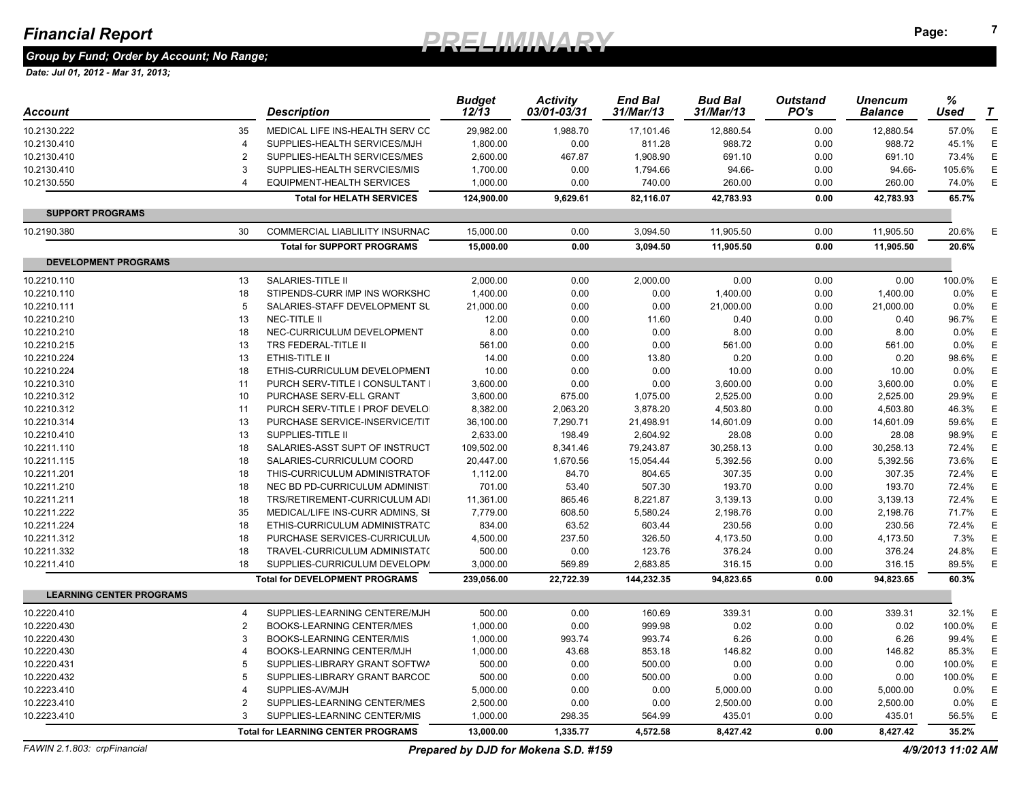*Group by Fund; Order by Account; No Range;* 

| Account                         |                | <b>Description</b>                                            | <b>Budget</b><br>12/13 | <b>Activity</b><br>03/01-03/31       | <b>End Bal</b><br>31/Mar/13 | <b>Bud Bal</b><br>31/Mar/13 | <b>Outstand</b><br>PO's | Unencum<br><b>Balance</b> | %<br>Used         | T           |
|---------------------------------|----------------|---------------------------------------------------------------|------------------------|--------------------------------------|-----------------------------|-----------------------------|-------------------------|---------------------------|-------------------|-------------|
| 10.2130.222                     | 35             | MEDICAL LIFE INS-HEALTH SERV CC                               | 29,982.00              | 1,988.70                             | 17,101.46                   | 12,880.54                   | 0.00                    | 12,880.54                 | 57.0%             | $\mathsf E$ |
| 10.2130.410                     | $\overline{4}$ | SUPPLIES-HEALTH SERVICES/MJH                                  | 1,800.00               | 0.00                                 | 811.28                      | 988.72                      | 0.00                    | 988.72                    | 45.1%             | E           |
| 10.2130.410                     | $\overline{2}$ | SUPPLIES-HEALTH SERVICES/MES                                  | 2,600.00               | 467.87                               | 1,908.90                    | 691.10                      | 0.00                    | 691.10                    | 73.4%             | Ε           |
| 10.2130.410                     | 3              | SUPPLIES-HEALTH SERVCIES/MIS                                  | 1,700.00               | 0.00                                 | 1,794.66                    | 94.66-                      | 0.00                    | 94.66-                    | 105.6%            | Ε           |
| 10.2130.550                     | 4              | EQUIPMENT-HEALTH SERVICES                                     | 1,000.00               | 0.00                                 | 740.00                      | 260.00                      | 0.00                    | 260.00                    | 74.0%             | $\mathsf E$ |
|                                 |                | <b>Total for HELATH SERVICES</b>                              | 124.900.00             | 9,629.61                             | 82.116.07                   | 42,783.93                   | 0.00                    | 42.783.93                 | 65.7%             |             |
| <b>SUPPORT PROGRAMS</b>         |                |                                                               |                        |                                      |                             |                             |                         |                           |                   |             |
| 10.2190.380                     | 30             | COMMERCIAL LIABLILITY INSURNAC                                | 15,000.00              | 0.00                                 | 3,094.50                    | 11,905.50                   | 0.00                    | 11,905.50                 | 20.6%             | Ε           |
|                                 |                | <b>Total for SUPPORT PROGRAMS</b>                             | 15,000.00              | 0.00                                 | 3.094.50                    | 11,905.50                   | 0.00                    | 11.905.50                 | 20.6%             |             |
| <b>DEVELOPMENT PROGRAMS</b>     |                |                                                               |                        |                                      |                             |                             |                         |                           |                   |             |
| 10.2210.110                     | 13             | SALARIES-TITLE II                                             | 2,000.00               | 0.00                                 | 2,000.00                    | 0.00                        | 0.00                    | 0.00                      | 100.0%            | Ε           |
| 10.2210.110                     | 18             | STIPENDS-CURR IMP INS WORKSHO                                 | 1,400.00               | 0.00                                 | 0.00                        | 1,400.00                    | 0.00                    | 1,400.00                  | 0.0%              | E           |
| 10.2210.111                     | 5              | SALARIES-STAFF DEVELOPMENT SU                                 | 21,000.00              | 0.00                                 | 0.00                        | 21,000.00                   | 0.00                    | 21,000.00                 | 0.0%              | $\mathsf E$ |
| 10.2210.210                     | 13             | NEC-TITLE II                                                  | 12.00                  | 0.00                                 | 11.60                       | 0.40                        | 0.00                    | 0.40                      | 96.7%             | E           |
| 10.2210.210                     | 18             | NEC-CURRICULUM DEVELOPMENT                                    | 8.00                   | 0.00                                 | 0.00                        | 8.00                        | 0.00                    | 8.00                      | 0.0%              | Ε           |
| 10.2210.215                     | 13             | TRS FEDERAL-TITLE II                                          | 561.00                 | 0.00                                 | 0.00                        | 561.00                      | 0.00                    | 561.00                    | 0.0%              | Ε           |
| 10.2210.224                     | 13             | ETHIS-TITLE II                                                | 14.00                  | 0.00                                 | 13.80                       | 0.20                        | 0.00                    | 0.20                      | 98.6%             | Ε           |
| 10.2210.224                     | 18             | ETHIS-CURRICULUM DEVELOPMENT                                  | 10.00                  | 0.00                                 | 0.00                        | 10.00                       | 0.00                    | 10.00                     | 0.0%              | $\mathsf E$ |
| 10.2210.310                     | 11             | PURCH SERV-TITLE I CONSULTANT I                               | 3,600.00               | 0.00                                 | 0.00                        | 3,600.00                    | 0.00                    | 3,600.00                  | 0.0%              | $\mathsf E$ |
| 10.2210.312                     | 10             | PURCHASE SERV-ELL GRANT                                       | 3,600.00               | 675.00                               | 1,075.00                    | 2,525.00                    | 0.00                    | 2,525.00                  | 29.9%             | Ε           |
| 10.2210.312                     | 11             | PURCH SERV-TITLE I PROF DEVELO                                | 8,382.00               | 2,063.20                             | 3,878.20                    | 4,503.80                    | 0.00                    | 4,503.80                  | 46.3%             | Ε           |
| 10.2210.314                     | 13             | PURCHASE SERVICE-INSERVICE/TIT                                | 36,100.00              | 7,290.71                             | 21,498.91                   | 14,601.09                   | 0.00                    | 14,601.09                 | 59.6%             | $\mathsf E$ |
| 10.2210.410                     | 13             | SUPPLIES-TITLE II                                             | 2,633.00               | 198.49                               | 2,604.92                    | 28.08                       | 0.00                    | 28.08                     | 98.9%             | Ε           |
| 10.2211.110                     | 18             | SALARIES-ASST SUPT OF INSTRUCT                                | 109,502.00             | 8,341.46                             | 79,243.87                   | 30,258.13                   | 0.00                    | 30,258.13                 | 72.4%             | E           |
| 10.2211.115                     | 18             | SALARIES-CURRICULUM COORD                                     | 20,447.00              | 1,670.56                             | 15,054.44                   | 5,392.56                    | 0.00                    | 5,392.56                  | 73.6%             | $\mathsf E$ |
|                                 | 18             | THIS-CURRICULUM ADMINISTRATOF                                 |                        |                                      | 804.65                      | 307.35                      | 0.00                    | 307.35                    | 72.4%             | Ε           |
| 10.2211.201                     | 18             |                                                               | 1,112.00               | 84.70                                |                             |                             |                         |                           |                   | E           |
| 10.2211.210                     |                | NEC BD PD-CURRICULUM ADMINIST                                 | 701.00                 | 53.40                                | 507.30                      | 193.70                      | 0.00                    | 193.70                    | 72.4%             | $\mathsf E$ |
| 10.2211.211                     | 18             | TRS/RETIREMENT-CURRICULUM ADI                                 | 11,361.00              | 865.46                               | 8,221.87                    | 3,139.13                    | 0.00                    | 3,139.13                  | 72.4%             | Ε           |
| 10.2211.222                     | 35             | MEDICAL/LIFE INS-CURR ADMINS, SI                              | 7,779.00               | 608.50                               | 5,580.24                    | 2,198.76                    | 0.00                    | 2,198.76<br>230.56        | 71.7%<br>72.4%    | $\mathsf E$ |
| 10.2211.224<br>10.2211.312      | 18<br>18       | ETHIS-CURRICULUM ADMINISTRATC<br>PURCHASE SERVICES-CURRICULUM | 834.00                 | 63.52<br>237.50                      | 603.44<br>326.50            | 230.56                      | 0.00<br>0.00            | 4,173.50                  | 7.3%              | $\mathsf E$ |
| 10.2211.332                     | 18             | TRAVEL-CURRICULUM ADMINISTAT(                                 | 4,500.00<br>500.00     | 0.00                                 | 123.76                      | 4,173.50<br>376.24          | 0.00                    | 376.24                    | 24.8%             | Ε           |
|                                 | 18             | SUPPLIES-CURRICULUM DEVELOPM                                  | 3,000.00               | 569.89                               | 2,683.85                    | 316.15                      | 0.00                    | 316.15                    | 89.5%             | $\mathsf E$ |
| 10.2211.410                     |                | <b>Total for DEVELOPMENT PROGRAMS</b>                         | 239,056.00             | 22,722.39                            | 144,232.35                  | 94,823.65                   | 0.00                    | 94,823.65                 | 60.3%             |             |
| <b>LEARNING CENTER PROGRAMS</b> |                |                                                               |                        |                                      |                             |                             |                         |                           |                   |             |
| 10.2220.410                     | $\overline{4}$ | SUPPLIES-LEARNING CENTERE/MJH                                 | 500.00                 | 0.00                                 | 160.69                      | 339.31                      | 0.00                    | 339.31                    | 32.1%             | Ε           |
| 10.2220.430                     | $\overline{2}$ | <b>BOOKS-LEARNING CENTER/MES</b>                              | 1,000.00               | 0.00                                 | 999.98                      | 0.02                        | 0.00                    | 0.02                      | 100.0%            | E           |
| 10.2220.430                     | 3              | BOOKS-LEARNING CENTER/MIS                                     | 1,000.00               | 993.74                               | 993.74                      | 6.26                        | 0.00                    | 6.26                      | 99.4%             | Ε           |
| 10.2220.430                     | $\overline{4}$ | BOOKS-LEARNING CENTER/MJH                                     | 1,000.00               | 43.68                                | 853.18                      | 146.82                      | 0.00                    | 146.82                    | 85.3%             | Ε           |
| 10.2220.431                     | 5              | SUPPLIES-LIBRARY GRANT SOFTWA                                 | 500.00                 |                                      |                             | 0.00                        | 0.00                    | 0.00                      | 100.0%            | E           |
| 10.2220.432                     | 5              | SUPPLIES-LIBRARY GRANT BARCOL                                 | 500.00                 | 0.00<br>0.00                         | 500.00<br>500.00            | 0.00                        | 0.00                    | 0.00                      | 100.0%            | Ε           |
| 10.2223.410                     |                | SUPPLIES-AV/MJH                                               | 5,000.00               | 0.00                                 | 0.00                        |                             | 0.00                    | 5,000.00                  | 0.0%              | E           |
| 10.2223.410                     | $\overline{2}$ | SUPPLIES-LEARNING CENTER/MES                                  | 2,500.00               | 0.00                                 | 0.00                        | 5,000.00<br>2,500.00        | 0.00                    | 2,500.00                  | 0.0%              | Ε           |
| 10.2223.410                     | 3              | SUPPLIES-LEARNINC CENTER/MIS                                  | 1,000.00               | 298.35                               | 564.99                      | 435.01                      | 0.00                    | 435.01                    | 56.5%             | Ε           |
|                                 |                | <b>Total for LEARNING CENTER PROGRAMS</b>                     | 13,000.00              | 1,335.77                             | 4,572.58                    | 8,427.42                    | 0.00                    | 8,427.42                  | 35.2%             |             |
|                                 |                |                                                               |                        |                                      |                             |                             |                         |                           |                   |             |
| FAWIN 2.1.803: crpFinancial     |                |                                                               |                        | Prepared by DJD for Mokena S.D. #159 |                             |                             |                         |                           | 4/9/2013 11:02 AM |             |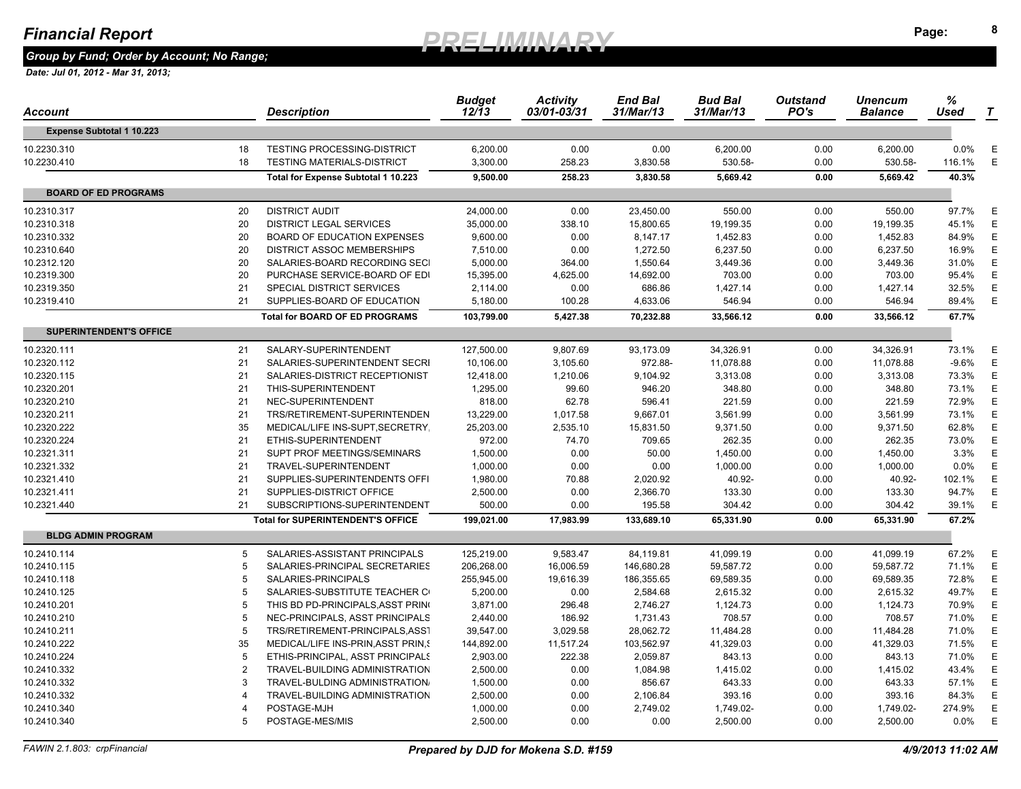*Group by Fund; Order by Account; No Range;* 

| Account                          |                | Description                              | <b>Budget</b><br>12/13 | <b>Activity</b><br>03/01-03/31 | <b>End Bal</b><br>31/Mar/13 | <b>Bud Bal</b><br>31/Mar/13 | <b>Outstand</b><br>PO's | Unencum<br><b>Balance</b> | %<br>Used | $\boldsymbol{\tau}$ |
|----------------------------------|----------------|------------------------------------------|------------------------|--------------------------------|-----------------------------|-----------------------------|-------------------------|---------------------------|-----------|---------------------|
| <b>Expense Subtotal 1 10.223</b> |                |                                          |                        |                                |                             |                             |                         |                           |           |                     |
| 10.2230.310                      | 18             | <b>TESTING PROCESSING-DISTRICT</b>       | 6,200.00               | 0.00                           | 0.00                        | 6,200.00                    | 0.00                    | 6,200.00                  | $0.0\%$   | Е                   |
| 10.2230.410                      | 18             | <b>TESTING MATERIALS-DISTRICT</b>        | 3,300.00               | 258.23                         | 3,830.58                    | 530.58-                     | 0.00                    | 530.58-                   | 116.1%    | E                   |
|                                  |                | Total for Expense Subtotal 1 10.223      | 9,500.00               | 258.23                         | 3.830.58                    | 5,669.42                    | 0.00                    | 5,669.42                  | 40.3%     |                     |
| <b>BOARD OF ED PROGRAMS</b>      |                |                                          |                        |                                |                             |                             |                         |                           |           |                     |
| 10.2310.317                      | 20             | <b>DISTRICT AUDIT</b>                    | 24,000.00              | 0.00                           | 23,450.00                   | 550.00                      | 0.00                    | 550.00                    | 97.7%     | E                   |
| 10.2310.318                      | 20             | <b>DISTRICT LEGAL SERVICES</b>           | 35,000.00              | 338.10                         | 15,800.65                   | 19,199.35                   | 0.00                    | 19,199.35                 | 45.1%     | E                   |
| 10.2310.332                      | 20             | <b>BOARD OF EDUCATION EXPENSES</b>       | 9,600.00               | 0.00                           | 8,147.17                    | 1,452.83                    | 0.00                    | 1,452.83                  | 84.9%     | E                   |
| 10.2310.640                      | 20             | <b>DISTRICT ASSOC MEMBERSHIPS</b>        | 7,510.00               | 0.00                           | 1,272.50                    | 6,237.50                    | 0.00                    | 6,237.50                  | 16.9%     | Ε                   |
| 10.2312.120                      | 20             | SALARIES-BOARD RECORDING SECI            | 5,000.00               | 364.00                         | 1,550.64                    | 3,449.36                    | 0.00                    | 3,449.36                  | 31.0%     | Ε                   |
| 10.2319.300                      | 20             | PURCHASE SERVICE-BOARD OF EDI            | 15,395.00              | 4,625.00                       | 14,692.00                   | 703.00                      | 0.00                    | 703.00                    | 95.4%     | E                   |
| 10.2319.350                      | 21             | SPECIAL DISTRICT SERVICES                | 2,114.00               | 0.00                           | 686.86                      | 1,427.14                    | 0.00                    | 1,427.14                  | 32.5%     | E                   |
| 10.2319.410                      | 21             | SUPPLIES-BOARD OF EDUCATION              | 5,180.00               | 100.28                         | 4,633.06                    | 546.94                      | 0.00                    | 546.94                    | 89.4%     | E                   |
|                                  |                | <b>Total for BOARD OF ED PROGRAMS</b>    | 103,799.00             | 5,427.38                       | 70,232.88                   | 33,566.12                   | 0.00                    | 33,566.12                 | 67.7%     |                     |
| <b>SUPERINTENDENT'S OFFICE</b>   |                |                                          |                        |                                |                             |                             |                         |                           |           |                     |
| 10.2320.111                      | 21             | SALARY-SUPERINTENDENT                    | 127,500.00             | 9,807.69                       | 93,173.09                   | 34,326.91                   | 0.00                    | 34,326.91                 | 73.1%     | E                   |
| 10.2320.112                      | 21             | SALARIES-SUPERINTENDENT SECRI            | 10,106.00              | 3,105.60                       | 972.88-                     | 11,078.88                   | 0.00                    | 11,078.88                 | $-9.6%$   | Ε                   |
| 10.2320.115                      | 21             | SALARIES-DISTRICT RECEPTIONIST           | 12,418.00              | 1,210.06                       | 9,104.92                    | 3,313.08                    | 0.00                    | 3,313.08                  | 73.3%     | Ε                   |
| 10.2320.201                      | 21             | THIS-SUPERINTENDENT                      | 1,295.00               | 99.60                          | 946.20                      | 348.80                      | 0.00                    | 348.80                    | 73.1%     | E                   |
| 10.2320.210                      | 21             | NEC-SUPERINTENDENT                       | 818.00                 | 62.78                          | 596.41                      | 221.59                      | 0.00                    | 221.59                    | 72.9%     | E                   |
| 10.2320.211                      | 21             | TRS/RETIREMENT-SUPERINTENDEN             | 13,229.00              | 1,017.58                       | 9,667.01                    | 3,561.99                    | 0.00                    | 3,561.99                  | 73.1%     | E                   |
| 10.2320.222                      | 35             | MEDICAL/LIFE INS-SUPT, SECRETRY.         | 25,203.00              | 2,535.10                       | 15,831.50                   | 9,371.50                    | 0.00                    | 9,371.50                  | 62.8%     | E                   |
| 10.2320.224                      | 21             | ETHIS-SUPERINTENDENT                     | 972.00                 | 74.70                          | 709.65                      | 262.35                      | 0.00                    | 262.35                    | 73.0%     | E                   |
| 10.2321.311                      | 21             | SUPT PROF MEETINGS/SEMINARS              | 1,500.00               | 0.00                           | 50.00                       | 1,450.00                    | 0.00                    | 1,450.00                  | 3.3%      | Ε                   |
| 10.2321.332                      | 21             | TRAVEL-SUPERINTENDENT                    | 1,000.00               | 0.00                           | 0.00                        | 1,000.00                    | 0.00                    | 1,000.00                  | 0.0%      | E                   |
| 10.2321.410                      | 21             | SUPPLIES-SUPERINTENDENTS OFFI            | 1,980.00               | 70.88                          | 2,020.92                    | 40.92-                      | 0.00                    | 40.92-                    | 102.1%    | E                   |
| 10.2321.411                      | 21             | SUPPLIES-DISTRICT OFFICE                 | 2,500.00               | 0.00                           | 2,366.70                    | 133.30                      | 0.00                    | 133.30                    | 94.7%     | Ε                   |
| 10.2321.440                      | 21             | SUBSCRIPTIONS-SUPERINTENDENT             | 500.00                 | 0.00                           | 195.58                      | 304.42                      | 0.00                    | 304.42                    | 39.1%     | E                   |
|                                  |                | <b>Total for SUPERINTENDENT'S OFFICE</b> | 199,021.00             | 17,983.99                      | 133,689.10                  | 65,331.90                   | 0.00                    | 65,331.90                 | 67.2%     |                     |
| <b>BLDG ADMIN PROGRAM</b>        |                |                                          |                        |                                |                             |                             |                         |                           |           |                     |
| 10.2410.114                      | 5              | SALARIES-ASSISTANT PRINCIPALS            | 125,219.00             | 9,583.47                       | 84,119.81                   | 41,099.19                   | 0.00                    | 41,099.19                 | 67.2%     | Ε                   |
| 10.2410.115                      | 5              | SALARIES-PRINCIPAL SECRETARIES           | 206,268.00             | 16,006.59                      | 146,680.28                  | 59,587.72                   | 0.00                    | 59,587.72                 | 71.1%     | Ε                   |
| 10.2410.118                      | -5             | SALARIES-PRINCIPALS                      | 255,945.00             | 19,616.39                      | 186,355.65                  | 69,589.35                   | 0.00                    | 69,589.35                 | 72.8%     | E                   |
| 10.2410.125                      | 5              | SALARIES-SUBSTITUTE TEACHER C            | 5,200.00               | 0.00                           | 2,584.68                    | 2,615.32                    | 0.00                    | 2,615.32                  | 49.7%     | E                   |
| 10.2410.201                      | 5              | THIS BD PD-PRINCIPALS, ASST PRING        | 3,871.00               | 296.48                         | 2,746.27                    | 1,124.73                    | 0.00                    | 1,124.73                  | 70.9%     | Ε                   |
| 10.2410.210                      | 5              | NEC-PRINCIPALS, ASST PRINCIPALS          | 2,440.00               | 186.92                         | 1,731.43                    | 708.57                      | 0.00                    | 708.57                    | 71.0%     | E                   |
| 10.2410.211                      | 5              | TRS/RETIREMENT-PRINCIPALS, ASS1          | 39,547.00              | 3,029.58                       | 28,062.72                   | 11,484.28                   | 0.00                    | 11,484.28                 | 71.0%     | Ε                   |
| 10.2410.222                      | 35             | MEDICAL/LIFE INS-PRIN, ASST PRIN, 9      | 144,892.00             | 11,517.24                      | 103,562.97                  | 41,329.03                   | 0.00                    | 41,329.03                 | 71.5%     | E                   |
| 10.2410.224                      | 5              | ETHIS-PRINCIPAL, ASST PRINCIPALS         | 2,903.00               | 222.38                         | 2,059.87                    | 843.13                      | 0.00                    | 843.13                    | 71.0%     | Е                   |
| 10.2410.332                      | $\overline{2}$ | TRAVEL-BUILDING ADMINISTRATION           | 2,500.00               | 0.00                           | 1,084.98                    | 1,415.02                    | 0.00                    | 1,415.02                  | 43.4%     | Ε                   |
| 10.2410.332                      | 3              | TRAVEL-BULDING ADMINISTRATION            | 1,500.00               | 0.00                           | 856.67                      | 643.33                      | 0.00                    | 643.33                    | 57.1%     | E                   |
| 10.2410.332                      | $\overline{4}$ | TRAVEL-BUILDING ADMINISTRATION           | 2,500.00               | 0.00                           | 2,106.84                    | 393.16                      | 0.00                    | 393.16                    | 84.3%     | Е                   |
| 10.2410.340                      | $\overline{4}$ | POSTAGE-MJH                              | 1,000.00               | 0.00                           | 2,749.02                    | 1,749.02-                   | 0.00                    | 1,749.02-                 | 274.9%    | Е                   |
| 10.2410.340                      | 5              | POSTAGE-MES/MIS                          | 2,500.00               | 0.00                           | 0.00                        | 2,500.00                    | 0.00                    | 2,500.00                  | 0.0%      | E                   |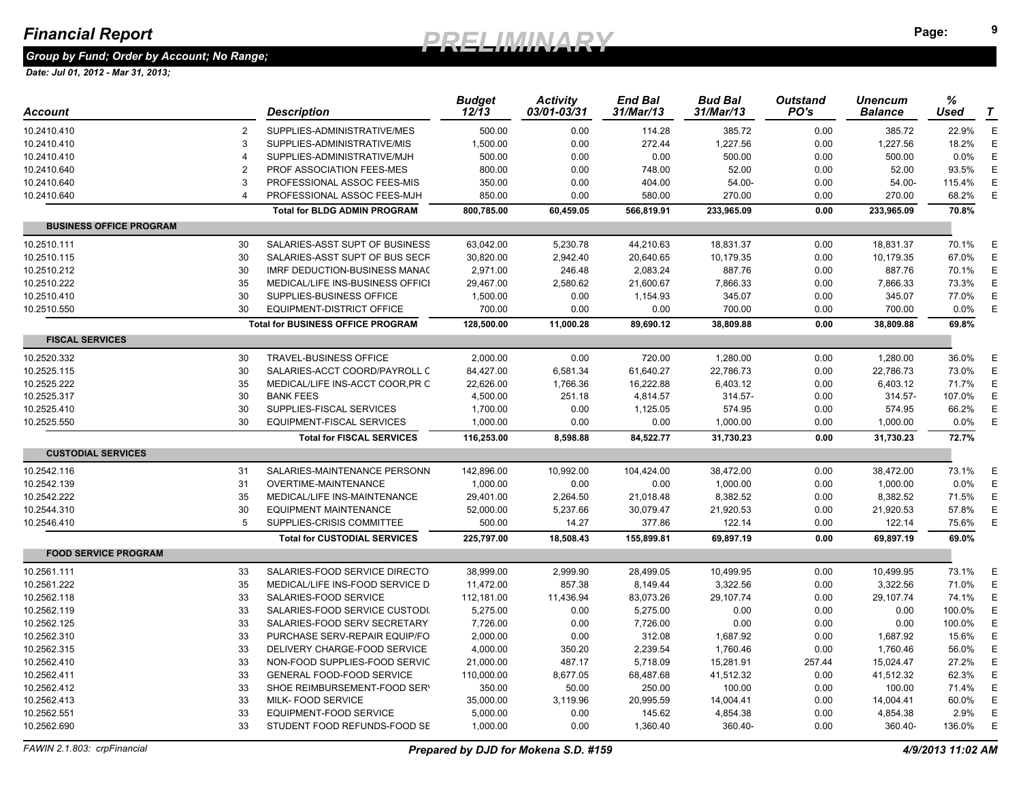*Group by Fund; Order by Account; No Range;* 

| Account                        |                | <b>Description</b>                       | <b>Budget</b><br>12/13 | <b>Activity</b><br>03/01-03/31 | End Bal<br>31/Mar/13 | <b>Bud Bal</b><br>31/Mar/13 | <b>Outstand</b><br>PO's | Unencum<br><b>Balance</b> | %<br>Used | $\boldsymbol{\tau}$ |
|--------------------------------|----------------|------------------------------------------|------------------------|--------------------------------|----------------------|-----------------------------|-------------------------|---------------------------|-----------|---------------------|
| 10.2410.410                    | 2              | SUPPLIES-ADMINISTRATIVE/MES              | 500.00                 | 0.00                           | 114.28               | 385.72                      | 0.00                    | 385.72                    | 22.9%     | E                   |
| 10.2410.410                    | 3              | SUPPLIES-ADMINISTRATIVE/MIS              | 1,500.00               | 0.00                           | 272.44               | 1,227.56                    | 0.00                    | 1,227.56                  | 18.2%     | E                   |
| 10.2410.410                    |                | SUPPLIES-ADMINISTRATIVE/MJH              | 500.00                 | 0.00                           | 0.00                 | 500.00                      | 0.00                    | 500.00                    | 0.0%      | Ε                   |
| 10.2410.640                    | $\overline{2}$ | <b>PROF ASSOCIATION FEES-MES</b>         | 800.00                 | 0.00                           | 748.00               | 52.00                       | 0.00                    | 52.00                     | 93.5%     | E                   |
| 10.2410.640                    | 3              | PROFESSIONAL ASSOC FEES-MIS              | 350.00                 | 0.00                           | 404.00               | 54.00-                      | 0.00                    | 54.00-                    | 115.4%    | Ε                   |
| 10.2410.640                    |                | PROFESSIONAL ASSOC FEES-MJH              | 850.00                 | 0.00                           | 580.00               | 270.00                      | 0.00                    | 270.00                    | 68.2%     | Ε                   |
|                                |                | <b>Total for BLDG ADMIN PROGRAM</b>      | 800,785.00             | 60,459.05                      | 566,819.91           | 233,965.09                  | 0.00                    | 233,965.09                | 70.8%     |                     |
| <b>BUSINESS OFFICE PROGRAM</b> |                |                                          |                        |                                |                      |                             |                         |                           |           |                     |
| 10.2510.111                    | 30             | SALARIES-ASST SUPT OF BUSINESS           | 63,042.00              | 5,230.78                       | 44,210.63            | 18,831.37                   | 0.00                    | 18,831.37                 | 70.1%     | Ε                   |
| 10.2510.115                    | 30             | SALARIES-ASST SUPT OF BUS SECF           | 30,820.00              | 2,942.40                       | 20,640.65            | 10,179.35                   | 0.00                    | 10,179.35                 | 67.0%     | Ε                   |
| 10.2510.212                    | 30             | IMRF DEDUCTION-BUSINESS MANAC            | 2,971.00               | 246.48                         | 2,083.24             | 887.76                      | 0.00                    | 887.76                    | 70.1%     | E                   |
| 10.2510.222                    | 35             | MEDICAL/LIFE INS-BUSINESS OFFICI         | 29,467.00              | 2,580.62                       | 21,600.67            | 7,866.33                    | 0.00                    | 7,866.33                  | 73.3%     | Ε                   |
| 10.2510.410                    | 30             | SUPPLIES-BUSINESS OFFICE                 | 1,500.00               | 0.00                           | 1,154.93             | 345.07                      | 0.00                    | 345.07                    | 77.0%     | E                   |
| 10.2510.550                    | 30             | EQUIPMENT-DISTRICT OFFICE                | 700.00                 | 0.00                           | 0.00                 | 700.00                      | 0.00                    | 700.00                    | 0.0%      | Ε                   |
|                                |                | <b>Total for BUSINESS OFFICE PROGRAM</b> | 128,500.00             | 11,000.28                      | 89,690.12            | 38,809.88                   | 0.00                    | 38,809.88                 | 69.8%     |                     |
| <b>FISCAL SERVICES</b>         |                |                                          |                        |                                |                      |                             |                         |                           |           |                     |
| 10.2520.332                    | 30             | <b>TRAVEL-BUSINESS OFFICE</b>            | 2,000.00               | 0.00                           | 720.00               | 1,280.00                    | 0.00                    | 1,280.00                  | 36.0%     | Ε                   |
| 10.2525.115                    | 30             | SALARIES-ACCT COORD/PAYROLL C            | 84,427.00              | 6,581.34                       | 61,640.27            | 22,786.73                   | 0.00                    | 22,786.73                 | 73.0%     | E                   |
| 10.2525.222                    | 35             | MEDICAL/LIFE INS-ACCT COOR, PR C         | 22,626.00              | 1,766.36                       | 16,222.88            | 6,403.12                    | 0.00                    | 6,403.12                  | 71.7%     | Ε                   |
| 10.2525.317                    | 30             | <b>BANK FEES</b>                         | 4,500.00               | 251.18                         | 4,814.57             | 314.57-                     | 0.00                    | 314.57-                   | 107.0%    | E                   |
| 10.2525.410                    | 30             | SUPPLIES-FISCAL SERVICES                 | 1,700.00               | 0.00                           | 1,125.05             | 574.95                      | 0.00                    | 574.95                    | 66.2%     | Ε                   |
| 10.2525.550                    | 30             | EQUIPMENT-FISCAL SERVICES                | 1,000.00               | 0.00                           | 0.00                 | 1,000.00                    | 0.00                    | 1,000.00                  | 0.0%      | E                   |
|                                |                | <b>Total for FISCAL SERVICES</b>         | 116,253.00             | 8,598.88                       | 84,522.77            | 31,730.23                   | 0.00                    | 31,730.23                 | 72.7%     |                     |
| <b>CUSTODIAL SERVICES</b>      |                |                                          |                        |                                |                      |                             |                         |                           |           |                     |
| 10.2542.116                    | 31             | SALARIES-MAINTENANCE PERSONN             | 142,896.00             | 10,992.00                      | 104,424.00           | 38,472.00                   | 0.00                    | 38,472.00                 | 73.1%     | E                   |
| 10.2542.139                    | 31             | <b>OVERTIME-MAINTENANCE</b>              | 1,000.00               | 0.00                           | 0.00                 | 1,000.00                    | 0.00                    | 1,000.00                  | 0.0%      | E                   |
| 10.2542.222                    | 35             | MEDICAL/LIFE INS-MAINTENANCE             | 29,401.00              | 2,264.50                       | 21,018.48            | 8,382.52                    | 0.00                    | 8,382.52                  | 71.5%     | E                   |
| 10.2544.310                    | 30             | <b>EQUIPMENT MAINTENANCE</b>             | 52,000.00              | 5,237.66                       | 30,079.47            | 21,920.53                   | 0.00                    | 21,920.53                 | 57.8%     | E                   |
| 10.2546.410                    | 5              | SUPPLIES-CRISIS COMMITTEE                | 500.00                 | 14.27                          | 377.86               | 122.14                      | 0.00                    | 122.14                    | 75.6%     | E                   |
|                                |                | <b>Total for CUSTODIAL SERVICES</b>      | 225,797.00             | 18,508.43                      | 155,899.81           | 69,897.19                   | 0.00                    | 69,897.19                 | 69.0%     |                     |
| <b>FOOD SERVICE PROGRAM</b>    |                |                                          |                        |                                |                      |                             |                         |                           |           |                     |
| 10.2561.111                    | 33             | SALARIES-FOOD SERVICE DIRECTO            | 38,999.00              | 2,999.90                       | 28,499.05            | 10,499.95                   | 0.00                    | 10,499.95                 | 73.1%     | Ε                   |
| 10.2561.222                    | 35             | MEDICAL/LIFE INS-FOOD SERVICE D          | 11,472.00              | 857.38                         | 8,149.44             | 3,322.56                    | 0.00                    | 3,322.56                  | 71.0%     | Ε                   |
| 10.2562.118                    | 33             | SALARIES-FOOD SERVICE                    | 112,181.00             | 11,436.94                      | 83,073.26            | 29,107.74                   | 0.00                    | 29,107.74                 | 74.1%     | Ε                   |
| 10.2562.119                    | 33             | SALARIES-FOOD SERVICE CUSTODI.           | 5,275.00               | 0.00                           | 5,275.00             | 0.00                        | 0.00                    | 0.00                      | 100.0%    | Ε                   |
| 10.2562.125                    | 33             | SALARIES-FOOD SERV SECRETARY             | 7,726.00               | 0.00                           | 7,726.00             | 0.00                        | 0.00                    | 0.00                      | 100.0%    | Ε                   |
| 10.2562.310                    | 33             | PURCHASE SERV-REPAIR EQUIP/FO            | 2,000.00               | 0.00                           | 312.08               | 1,687.92                    | 0.00                    | 1,687.92                  | 15.6%     | Ε                   |
| 10.2562.315                    | 33             | DELIVERY CHARGE-FOOD SERVICE             | 4,000.00               | 350.20                         | 2,239.54             | 1,760.46                    | 0.00                    | 1,760.46                  | 56.0%     | E                   |
| 10.2562.410                    | 33             | NON-FOOD SUPPLIES-FOOD SERVIC            | 21,000.00              | 487.17                         | 5,718.09             | 15,281.91                   | 257.44                  | 15,024.47                 | 27.2%     | Ε                   |
| 10.2562.411                    | 33             | GENERAL FOOD-FOOD SERVICE                | 110,000.00             | 8,677.05                       | 68,487.68            | 41,512.32                   | 0.00                    | 41,512.32                 | 62.3%     | E                   |
| 10.2562.412                    | 33             | SHOE REIMBURSEMENT-FOOD SERY             | 350.00                 | 50.00                          | 250.00               | 100.00                      | 0.00                    | 100.00                    | 71.4%     | Ε                   |
| 10.2562.413                    | 33             | MILK- FOOD SERVICE                       | 35,000.00              | 3,119.96                       | 20,995.59            | 14,004.41                   | 0.00                    | 14,004.41                 | 60.0%     | Е                   |
| 10.2562.551                    | 33             | <b>EQUIPMENT-FOOD SERVICE</b>            | 5,000.00               | 0.00                           | 145.62               | 4,854.38                    | 0.00                    | 4,854.38                  | 2.9%      | Ε                   |
| 10.2562.690                    | 33             | STUDENT FOOD REFUNDS-FOOD SE             | 1,000.00               | 0.00                           | 1,360.40             | 360.40-                     | 0.00                    | 360.40-                   | 136.0%    | E                   |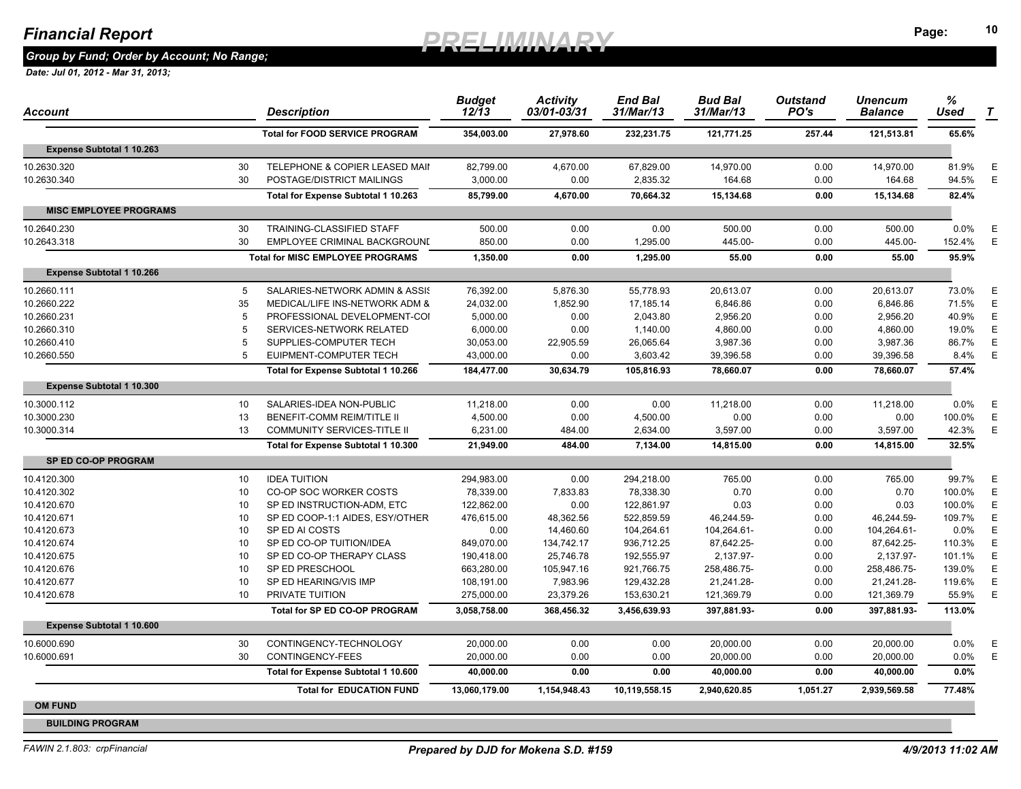#### Financial Report **10 10** *DDEI IMINADV* Page: <sup>10</sup> **Page:** *PRELIMINARY*

*Group by Fund; Order by Account; No Range;* 

| Account                          |    | Description                             | <b>Budget</b><br>12/13 | <b>Activity</b><br>03/01-03/31 | <b>End Bal</b><br>31/Mar/13 | <b>Bud Bal</b><br>31/Mar/13 | <b>Outstand</b><br>PO's | <b>Unencum</b><br><b>Balance</b> | $\%$<br>Used | T |
|----------------------------------|----|-----------------------------------------|------------------------|--------------------------------|-----------------------------|-----------------------------|-------------------------|----------------------------------|--------------|---|
|                                  |    | <b>Total for FOOD SERVICE PROGRAM</b>   | 354,003.00             | 27,978.60                      | 232,231.75                  | 121,771.25                  | 257.44                  | 121,513.81                       | 65.6%        |   |
| <b>Expense Subtotal 1 10.263</b> |    |                                         |                        |                                |                             |                             |                         |                                  |              |   |
| 10.2630.320                      | 30 | TELEPHONE & COPIER LEASED MAII          | 82,799.00              | 4,670.00                       | 67,829.00                   | 14,970.00                   | 0.00                    | 14,970.00                        | 81.9%        | E |
| 10.2630.340                      | 30 | POSTAGE/DISTRICT MAILINGS               | 3,000.00               | 0.00                           | 2,835.32                    | 164.68                      | 0.00                    | 164.68                           | 94.5%        | E |
|                                  |    | Total for Expense Subtotal 1 10.263     | 85,799.00              | 4,670.00                       | 70,664.32                   | 15,134.68                   | 0.00                    | 15,134.68                        | 82.4%        |   |
| <b>MISC EMPLOYEE PROGRAMS</b>    |    |                                         |                        |                                |                             |                             |                         |                                  |              |   |
| 10.2640.230                      | 30 | TRAINING-CLASSIFIED STAFF               | 500.00                 | 0.00                           | 0.00                        | 500.00                      | 0.00                    | 500.00                           | $0.0\%$      | Ε |
| 10.2643.318                      | 30 | EMPLOYEE CRIMINAL BACKGROUND            | 850.00                 | 0.00                           | 1,295.00                    | 445.00-                     | 0.00                    | 445.00-                          | 152.4%       | E |
|                                  |    | <b>Total for MISC EMPLOYEE PROGRAMS</b> | 1,350.00               | 0.00                           | 1,295.00                    | 55.00                       | 0.00                    | 55.00                            | 95.9%        |   |
| <b>Expense Subtotal 1 10.266</b> |    |                                         |                        |                                |                             |                             |                         |                                  |              |   |
| 10.2660.111                      | 5  | SALARIES-NETWORK ADMIN & ASSIS          | 76,392.00              | 5,876.30                       | 55,778.93                   | 20,613.07                   | 0.00                    | 20,613.07                        | 73.0%        | E |
| 10.2660.222                      | 35 | MEDICAL/LIFE INS-NETWORK ADM &          | 24,032.00              | 1,852.90                       | 17,185.14                   | 6,846.86                    | 0.00                    | 6,846.86                         | 71.5%        | Ε |
| 10.2660.231                      | 5  | PROFESSIONAL DEVELOPMENT-COI            | 5,000.00               | 0.00                           | 2,043.80                    | 2,956.20                    | 0.00                    | 2,956.20                         | 40.9%        | Е |
| 10.2660.310                      | 5  | SERVICES-NETWORK RELATED                | 6,000.00               | 0.00                           | 1,140.00                    | 4,860.00                    | 0.00                    | 4,860.00                         | 19.0%        | Ε |
| 10.2660.410                      | 5  | SUPPLIES-COMPUTER TECH                  | 30,053.00              | 22,905.59                      | 26,065.64                   | 3,987.36                    | 0.00                    | 3,987.36                         | 86.7%        | E |
| 10.2660.550                      | 5  | EUIPMENT-COMPUTER TECH                  | 43,000.00              | 0.00                           | 3,603.42                    | 39,396.58                   | 0.00                    | 39,396.58                        | 8.4%         | Ε |
|                                  |    | Total for Expense Subtotal 1 10.266     | 184,477.00             | 30,634.79                      | 105,816.93                  | 78,660.07                   | 0.00                    | 78,660.07                        | 57.4%        |   |
| <b>Expense Subtotal 1 10.300</b> |    |                                         |                        |                                |                             |                             |                         |                                  |              |   |
| 10.3000.112                      | 10 | SALARIES-IDEA NON-PUBLIC                | 11,218.00              | 0.00                           | 0.00                        | 11,218.00                   | 0.00                    | 11,218.00                        | $0.0\%$      | Ε |
| 10.3000.230                      | 13 | BENEFIT-COMM REIM/TITLE II              | 4,500.00               | 0.00                           | 4,500.00                    | 0.00                        | 0.00                    | 0.00                             | 100.0%       | Ε |
| 10.3000.314                      | 13 | COMMUNITY SERVICES-TITLE II             | 6,231.00               | 484.00                         | 2,634.00                    | 3,597.00                    | 0.00                    | 3,597.00                         | 42.3%        | Ε |
|                                  |    | Total for Expense Subtotal 1 10.300     | 21,949.00              | 484.00                         | 7,134.00                    | 14,815.00                   | 0.00                    | 14,815.00                        | 32.5%        |   |
| <b>SP ED CO-OP PROGRAM</b>       |    |                                         |                        |                                |                             |                             |                         |                                  |              |   |
| 10.4120.300                      | 10 | <b>IDEA TUITION</b>                     | 294,983.00             | 0.00                           | 294,218.00                  | 765.00                      | 0.00                    | 765.00                           | 99.7%        | Ε |
| 10.4120.302                      | 10 | CO-OP SOC WORKER COSTS                  | 78,339.00              | 7,833.83                       | 78,338.30                   | 0.70                        | 0.00                    | 0.70                             | 100.0%       | Ε |
| 10.4120.670                      | 10 | SP ED INSTRUCTION-ADM, ETC              | 122,862.00             | 0.00                           | 122,861.97                  | 0.03                        | 0.00                    | 0.03                             | 100.0%       | Е |
| 10.4120.671                      | 10 | SP ED COOP-1:1 AIDES, ESY/OTHER         | 476,615.00             | 48,362.56                      | 522,859.59                  | 46,244.59-                  | 0.00                    | 46,244.59-                       | 109.7%       | Ε |
| 10.4120.673                      | 10 | SP ED AI COSTS                          | 0.00                   | 14,460.60                      | 104,264.61                  | 104,264.61-                 | 0.00                    | 104,264.61-                      | $0.0\%$      | Е |
| 10.4120.674                      | 10 | SP ED CO-OP TUITION/IDEA                | 849,070.00             | 134,742.17                     | 936,712.25                  | 87,642.25-                  | 0.00                    | 87,642.25-                       | 110.3%       | Ε |
| 10.4120.675                      | 10 | SP ED CO-OP THERAPY CLASS               | 190,418.00             | 25,746.78                      | 192,555.97                  | 2,137.97-                   | 0.00                    | 2,137.97-                        | 101.1%       | E |
| 10.4120.676                      | 10 | SP ED PRESCHOOL                         | 663,280.00             | 105,947.16                     | 921,766.75                  | 258,486.75-                 | 0.00                    | 258,486.75-                      | 139.0%       | Ε |
| 10.4120.677                      | 10 | SP ED HEARING/VIS IMP                   | 108,191.00             | 7,983.96                       | 129,432.28                  | 21,241.28-                  | 0.00                    | 21.241.28-                       | 119.6%       | E |
| 10.4120.678                      | 10 | PRIVATE TUITION                         | 275,000.00             | 23,379.26                      | 153,630.21                  | 121,369.79                  | 0.00                    | 121,369.79                       | 55.9%        | Ε |
|                                  |    | Total for SP ED CO-OP PROGRAM           | 3,058,758.00           | 368,456.32                     | 3,456,639.93                | 397,881.93-                 | 0.00                    | 397,881.93-                      | 113.0%       |   |
| <b>Expense Subtotal 1 10.600</b> |    |                                         |                        |                                |                             |                             |                         |                                  |              |   |
| 10.6000.690                      | 30 | CONTINGENCY-TECHNOLOGY                  | 20,000.00              | 0.00                           | 0.00                        | 20,000.00                   | 0.00                    | 20,000.00                        | 0.0%         | Ε |
| 10.6000.691                      | 30 | CONTINGENCY-FEES                        | 20,000.00              | 0.00                           | 0.00                        | 20,000.00                   | 0.00                    | 20,000.00                        | $0.0\%$      | Ε |
|                                  |    | Total for Expense Subtotal 1 10.600     | 40,000.00              | 0.00                           | 0.00                        | 40,000.00                   | 0.00                    | 40,000.00                        | 0.0%         |   |
|                                  |    | <b>Total for EDUCATION FUND</b>         | 13,060,179.00          | 1,154,948.43                   | 10,119,558.15               | 2,940,620.85                | 1,051.27                | 2,939,569.58                     | 77.48%       |   |
| <b>OM FUND</b>                   |    |                                         |                        |                                |                             |                             |                         |                                  |              |   |
| <b>BUILDING PROGRAM</b>          |    |                                         |                        |                                |                             |                             |                         |                                  |              |   |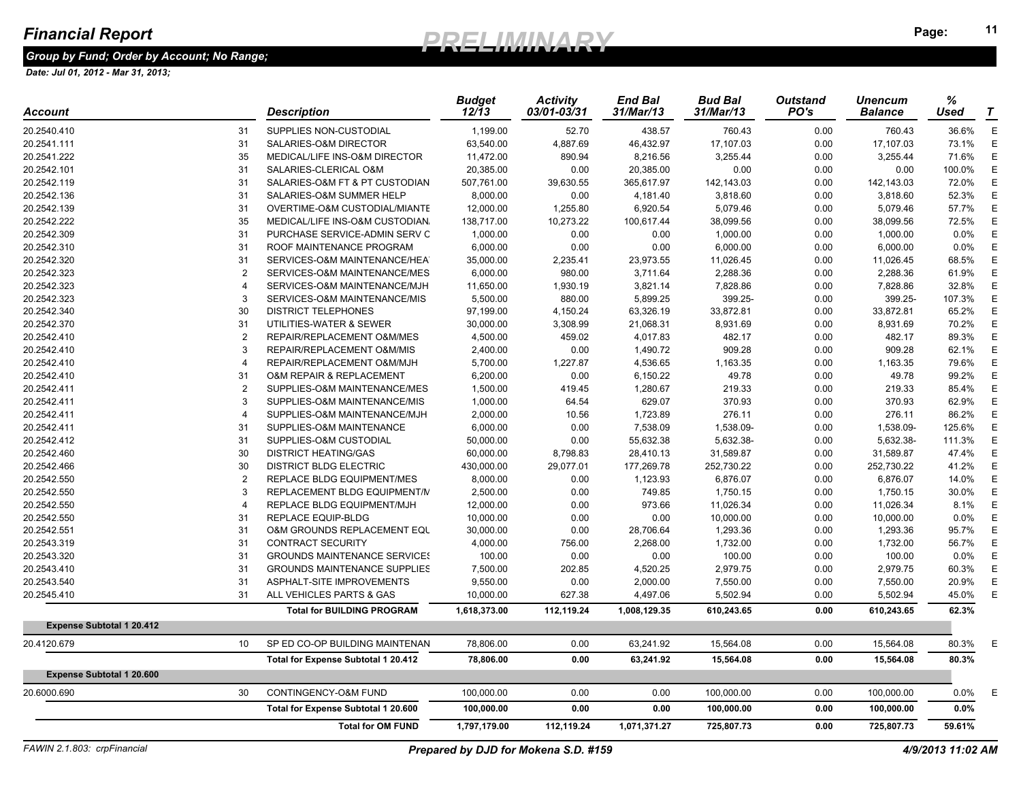### *Group by Fund; Order by Account; No Range;*

| SUPPLIES NON-CUSTODIAL<br>1,199.00<br>52.70<br>438.57<br>0.00<br>760.43<br>36.6%<br>31<br>760.43<br>73.1%<br>31<br>SALARIES-O&M DIRECTOR<br>63,540.00<br>4,887.69<br>46,432.97<br>17,107.03<br>0.00<br>17,107.03<br>35<br>MEDICAL/LIFE INS-O&M DIRECTOR<br>11,472.00<br>890.94<br>8,216.56<br>3,255.44<br>0.00<br>3,255.44<br>71.6%<br>31<br>SALARIES-CLERICAL O&M<br>20,385.00<br>0.00<br>20,385.00<br>0.00<br>0.00<br>0.00<br>100.0%<br>31<br>142,143.03<br>72.0%<br>SALARIES-O&M FT & PT CUSTODIAN<br>507,761.00<br>39,630.55<br>365,617.97<br>142,143.03<br>0.00<br>31<br>3,818.60<br>0.00<br>52.3%<br>SALARIES-O&M SUMMER HELP<br>8,000.00<br>0.00<br>4,181.40<br>3,818.60<br>31<br>57.7%<br>OVERTIME-O&M CUSTODIAL/MIANTE<br>12,000.00<br>1,255.80<br>6,920.54<br>5,079.46<br>0.00<br>5,079.46<br>35<br>72.5%<br>MEDICAL/LIFE INS-O&M CUSTODIAN.<br>138,717.00<br>10,273.22<br>100,617.44<br>38,099.56<br>0.00<br>38,099.56<br>31<br>PURCHASE SERVICE-ADMIN SERV C<br>1,000.00<br>0.00<br>0.00<br>1,000.00<br>0.00<br>1,000.00<br>$0.0\%$<br>31<br>ROOF MAINTENANCE PROGRAM<br>6,000.00<br>0.00<br>0.00<br>6,000.00<br>0.00<br>6,000.00<br>$0.0\%$<br>31<br>SERVICES-O&M MAINTENANCE/HEA<br>35,000.00<br>23,973.55<br>11,026.45<br>0.00<br>11,026.45<br>68.5%<br>2,235.41<br>$\overline{2}$<br>SERVICES-O&M MAINTENANCE/MES<br>6,000.00<br>2,288.36<br>0.00<br>2,288.36<br>61.9%<br>980.00<br>3,711.64<br>SERVICES-O&M MAINTENANCE/MJH<br>11,650.00<br>7,828.86<br>0.00<br>7,828.86<br>32.8%<br>$\overline{4}$<br>1,930.19<br>3,821.14<br>-3<br>5,500.00<br>399.25-<br>0.00<br>399.25-<br>107.3%<br>SERVICES-O&M MAINTENANCE/MIS<br>880.00<br>5,899.25<br>30<br><b>DISTRICT TELEPHONES</b><br>97,199.00<br>33,872.81<br>0.00<br>33,872.81<br>65.2%<br>4,150.24<br>63,326.19<br>31<br>UTILITIES-WATER & SEWER<br>30,000.00<br>8,931.69<br>0.00<br>70.2%<br>3,308.99<br>21,068.31<br>8,931.69<br>$\overline{2}$<br>REPAIR/REPLACEMENT O&M/MES<br>4,500.00<br>459.02<br>4,017.83<br>482.17<br>0.00<br>482.17<br>89.3%<br>-3<br>REPAIR/REPLACEMENT O&M/MIS<br>2,400.00<br>0.00<br>1,490.72<br>909.28<br>0.00<br>909.28<br>62.1%<br>REPAIR/REPLACEMENT O&M/MJH<br>5,700.00<br>1,227.87<br>4,536.65<br>1,163.35<br>0.00<br>1,163.35<br>79.6%<br>$\overline{4}$<br>31<br>6,200.00<br>49.78<br>0.00<br>49.78<br>99.2%<br><b>O&amp;M REPAIR &amp; REPLACEMENT</b><br>0.00<br>6,150.22<br>$\overline{2}$<br>1,500.00<br>219.33<br>0.00<br>SUPPLIES-O&M MAINTENANCE/MES<br>419.45<br>1,280.67<br>219.33<br>85.4%<br>1,000.00<br>370.93<br>370.93<br>62.9%<br>3<br>SUPPLIES-O&M MAINTENANCE/MIS<br>64.54<br>629.07<br>0.00<br>2,000.00<br>SUPPLIES-O&M MAINTENANCE/MJH<br>10.56<br>1,723.89<br>276.11<br>0.00<br>276.11<br>86.2%<br>$\overline{4}$<br>31<br>SUPPLIES-O&M MAINTENANCE<br>6,000.00<br>0.00<br>7,538.09<br>1,538.09-<br>0.00<br>1,538.09-<br>125.6%<br>31<br>SUPPLIES-O&M CUSTODIAL<br>50,000.00<br>0.00<br>55,632.38<br>5,632.38-<br>0.00<br>5,632.38-<br>111.3%<br>30<br><b>DISTRICT HEATING/GAS</b><br>31,589.87<br>47.4%<br>60,000.00<br>8,798.83<br>28,410.13<br>0.00<br>31,589.87<br>30<br><b>DISTRICT BLDG ELECTRIC</b><br>430,000.00<br>29,077.01<br>177,269.78<br>252,730.22<br>0.00<br>252,730.22<br>41.2%<br>$\overline{2}$<br>8,000.00<br>6,876.07<br>0.00<br>6,876.07<br>REPLACE BLDG EQUIPMENT/MES<br>0.00<br>1,123.93<br>14.0%<br>$\mathbf{3}$<br>2,500.00<br>30.0%<br>REPLACEMENT BLDG EQUIPMENT/N<br>0.00<br>749.85<br>1,750.15<br>0.00<br>1,750.15<br>11,026.34<br>8.1%<br>REPLACE BLDG EQUIPMENT/MJH<br>12,000.00<br>0.00<br>973.66<br>11,026.34<br>0.00<br>$\overline{4}$<br><b>REPLACE EQUIP-BLDG</b><br>10,000.00<br>0.00<br>10,000.00<br>0.0%<br>31<br>0.00<br>0.00<br>10,000.00<br>31<br><b>O&amp;M GROUNDS REPLACEMENT EQU</b><br>30,000.00<br>0.00<br>28,706.64<br>1,293.36<br>0.00<br>1,293.36<br>95.7%<br>31<br><b>CONTRACT SECURITY</b><br>4,000.00<br>756.00<br>2,268.00<br>1,732.00<br>0.00<br>1,732.00<br>56.7%<br>31<br><b>GROUNDS MAINTENANCE SERVICES</b><br>100.00<br>0.00<br>100.00<br>0.00<br>100.00<br>0.0%<br>0.00<br>31<br>7,500.00<br>4,520.25<br>2,979.75<br>2,979.75<br>60.3%<br><b>GROUNDS MAINTENANCE SUPPLIES</b><br>202.85<br>0.00<br>31<br>ASPHALT-SITE IMPROVEMENTS<br>9,550.00<br>0.00<br>2,000.00<br>7,550.00<br>0.00<br>7,550.00<br>20.9%<br>31<br>10,000.00<br>5,502.94<br>5,502.94<br>ALL VEHICLES PARTS & GAS<br>627.38<br>4,497.06<br>0.00<br>45.0%<br>62.3%<br><b>Total for BUILDING PROGRAM</b><br>1,618,373.00<br>112,119.24<br>1,008,129.35<br>610,243.65<br>0.00<br>610,243.65<br><b>Expense Subtotal 1 20.412</b><br>SP ED CO-OP BUILDING MAINTENAN<br>10 <sup>1</sup><br>78,806.00<br>0.00<br>63,241.92<br>15,564.08<br>0.00<br>15,564.08<br>80.3%<br>Total for Expense Subtotal 1 20.412<br>78,806.00<br>0.00<br>63,241.92<br>15,564.08<br>0.00<br>15,564.08<br>80.3%<br><b>Expense Subtotal 1 20.600</b><br>CONTINGENCY-O&M FUND<br>30<br>100,000.00<br>0.00<br>0.00<br>100,000.00<br>0.00<br>100,000.00<br>$0.0\%$<br>Total for Expense Subtotal 1 20.600<br>0.00<br>0.00<br>0.0%<br>100,000.00<br>100,000.00<br>0.00<br>100,000.00<br>59.61%<br><b>Total for OM FUND</b><br>1,797,179.00<br>112,119.24<br>1,071,371.27<br>725,807.73<br>0.00<br>725,807.73 | Account     | Description | <b>Budget</b><br>12/13 | <b>Activity</b><br>03/01-03/31 | <b>End Bal</b><br>31/Mar/13 | <b>Bud Bal</b><br>31/Mar/13 | <b>Outstand</b><br>PO's | <b>Unencum</b><br><b>Balance</b> | %<br>Used | T |
|---------------------------------------------------------------------------------------------------------------------------------------------------------------------------------------------------------------------------------------------------------------------------------------------------------------------------------------------------------------------------------------------------------------------------------------------------------------------------------------------------------------------------------------------------------------------------------------------------------------------------------------------------------------------------------------------------------------------------------------------------------------------------------------------------------------------------------------------------------------------------------------------------------------------------------------------------------------------------------------------------------------------------------------------------------------------------------------------------------------------------------------------------------------------------------------------------------------------------------------------------------------------------------------------------------------------------------------------------------------------------------------------------------------------------------------------------------------------------------------------------------------------------------------------------------------------------------------------------------------------------------------------------------------------------------------------------------------------------------------------------------------------------------------------------------------------------------------------------------------------------------------------------------------------------------------------------------------------------------------------------------------------------------------------------------------------------------------------------------------------------------------------------------------------------------------------------------------------------------------------------------------------------------------------------------------------------------------------------------------------------------------------------------------------------------------------------------------------------------------------------------------------------------------------------------------------------------------------------------------------------------------------------------------------------------------------------------------------------------------------------------------------------------------------------------------------------------------------------------------------------------------------------------------------------------------------------------------------------------------------------------------------------------------------------------------------------------------------------------------------------------------------------------------------------------------------------------------------------------------------------------------------------------------------------------------------------------------------------------------------------------------------------------------------------------------------------------------------------------------------------------------------------------------------------------------------------------------------------------------------------------------------------------------------------------------------------------------------------------------------------------------------------------------------------------------------------------------------------------------------------------------------------------------------------------------------------------------------------------------------------------------------------------------------------------------------------------------------------------------------------------------------------------------------------------------------------------------------------------------------------------------------------------------------------------------------------------------------------------------------------------------------------------------------------------------------------------------------------------------------------------------------------------------------------------------------------------------------------------------------------------------------------------------------------------------------------------------------------------------------------------------------------------------------------------------------------------------------------------------------------------------------------------------------------------------------------------------------------------------------------------------------------------------------------------------------------------------------------------------------------------------------------------------------------------------------------------------------------------------|-------------|-------------|------------------------|--------------------------------|-----------------------------|-----------------------------|-------------------------|----------------------------------|-----------|---|
|                                                                                                                                                                                                                                                                                                                                                                                                                                                                                                                                                                                                                                                                                                                                                                                                                                                                                                                                                                                                                                                                                                                                                                                                                                                                                                                                                                                                                                                                                                                                                                                                                                                                                                                                                                                                                                                                                                                                                                                                                                                                                                                                                                                                                                                                                                                                                                                                                                                                                                                                                                                                                                                                                                                                                                                                                                                                                                                                                                                                                                                                                                                                                                                                                                                                                                                                                                                                                                                                                                                                                                                                                                                                                                                                                                                                                                                                                                                                                                                                                                                                                                                                                                                                                                                                                                                                                                                                                                                                                                                                                                                                                                                                                                                                                                                                                                                                                                                                                                                                                                                                                                                                                                                                                                       | 20.2540.410 |             |                        |                                |                             |                             |                         |                                  |           | E |
|                                                                                                                                                                                                                                                                                                                                                                                                                                                                                                                                                                                                                                                                                                                                                                                                                                                                                                                                                                                                                                                                                                                                                                                                                                                                                                                                                                                                                                                                                                                                                                                                                                                                                                                                                                                                                                                                                                                                                                                                                                                                                                                                                                                                                                                                                                                                                                                                                                                                                                                                                                                                                                                                                                                                                                                                                                                                                                                                                                                                                                                                                                                                                                                                                                                                                                                                                                                                                                                                                                                                                                                                                                                                                                                                                                                                                                                                                                                                                                                                                                                                                                                                                                                                                                                                                                                                                                                                                                                                                                                                                                                                                                                                                                                                                                                                                                                                                                                                                                                                                                                                                                                                                                                                                                       | 20.2541.111 |             |                        |                                |                             |                             |                         |                                  |           | Ε |
|                                                                                                                                                                                                                                                                                                                                                                                                                                                                                                                                                                                                                                                                                                                                                                                                                                                                                                                                                                                                                                                                                                                                                                                                                                                                                                                                                                                                                                                                                                                                                                                                                                                                                                                                                                                                                                                                                                                                                                                                                                                                                                                                                                                                                                                                                                                                                                                                                                                                                                                                                                                                                                                                                                                                                                                                                                                                                                                                                                                                                                                                                                                                                                                                                                                                                                                                                                                                                                                                                                                                                                                                                                                                                                                                                                                                                                                                                                                                                                                                                                                                                                                                                                                                                                                                                                                                                                                                                                                                                                                                                                                                                                                                                                                                                                                                                                                                                                                                                                                                                                                                                                                                                                                                                                       | 20.2541.222 |             |                        |                                |                             |                             |                         |                                  |           | Ε |
|                                                                                                                                                                                                                                                                                                                                                                                                                                                                                                                                                                                                                                                                                                                                                                                                                                                                                                                                                                                                                                                                                                                                                                                                                                                                                                                                                                                                                                                                                                                                                                                                                                                                                                                                                                                                                                                                                                                                                                                                                                                                                                                                                                                                                                                                                                                                                                                                                                                                                                                                                                                                                                                                                                                                                                                                                                                                                                                                                                                                                                                                                                                                                                                                                                                                                                                                                                                                                                                                                                                                                                                                                                                                                                                                                                                                                                                                                                                                                                                                                                                                                                                                                                                                                                                                                                                                                                                                                                                                                                                                                                                                                                                                                                                                                                                                                                                                                                                                                                                                                                                                                                                                                                                                                                       | 20.2542.101 |             |                        |                                |                             |                             |                         |                                  |           | E |
|                                                                                                                                                                                                                                                                                                                                                                                                                                                                                                                                                                                                                                                                                                                                                                                                                                                                                                                                                                                                                                                                                                                                                                                                                                                                                                                                                                                                                                                                                                                                                                                                                                                                                                                                                                                                                                                                                                                                                                                                                                                                                                                                                                                                                                                                                                                                                                                                                                                                                                                                                                                                                                                                                                                                                                                                                                                                                                                                                                                                                                                                                                                                                                                                                                                                                                                                                                                                                                                                                                                                                                                                                                                                                                                                                                                                                                                                                                                                                                                                                                                                                                                                                                                                                                                                                                                                                                                                                                                                                                                                                                                                                                                                                                                                                                                                                                                                                                                                                                                                                                                                                                                                                                                                                                       | 20.2542.119 |             |                        |                                |                             |                             |                         |                                  |           | Ε |
|                                                                                                                                                                                                                                                                                                                                                                                                                                                                                                                                                                                                                                                                                                                                                                                                                                                                                                                                                                                                                                                                                                                                                                                                                                                                                                                                                                                                                                                                                                                                                                                                                                                                                                                                                                                                                                                                                                                                                                                                                                                                                                                                                                                                                                                                                                                                                                                                                                                                                                                                                                                                                                                                                                                                                                                                                                                                                                                                                                                                                                                                                                                                                                                                                                                                                                                                                                                                                                                                                                                                                                                                                                                                                                                                                                                                                                                                                                                                                                                                                                                                                                                                                                                                                                                                                                                                                                                                                                                                                                                                                                                                                                                                                                                                                                                                                                                                                                                                                                                                                                                                                                                                                                                                                                       | 20.2542.136 |             |                        |                                |                             |                             |                         |                                  |           | E |
|                                                                                                                                                                                                                                                                                                                                                                                                                                                                                                                                                                                                                                                                                                                                                                                                                                                                                                                                                                                                                                                                                                                                                                                                                                                                                                                                                                                                                                                                                                                                                                                                                                                                                                                                                                                                                                                                                                                                                                                                                                                                                                                                                                                                                                                                                                                                                                                                                                                                                                                                                                                                                                                                                                                                                                                                                                                                                                                                                                                                                                                                                                                                                                                                                                                                                                                                                                                                                                                                                                                                                                                                                                                                                                                                                                                                                                                                                                                                                                                                                                                                                                                                                                                                                                                                                                                                                                                                                                                                                                                                                                                                                                                                                                                                                                                                                                                                                                                                                                                                                                                                                                                                                                                                                                       | 20.2542.139 |             |                        |                                |                             |                             |                         |                                  |           | E |
|                                                                                                                                                                                                                                                                                                                                                                                                                                                                                                                                                                                                                                                                                                                                                                                                                                                                                                                                                                                                                                                                                                                                                                                                                                                                                                                                                                                                                                                                                                                                                                                                                                                                                                                                                                                                                                                                                                                                                                                                                                                                                                                                                                                                                                                                                                                                                                                                                                                                                                                                                                                                                                                                                                                                                                                                                                                                                                                                                                                                                                                                                                                                                                                                                                                                                                                                                                                                                                                                                                                                                                                                                                                                                                                                                                                                                                                                                                                                                                                                                                                                                                                                                                                                                                                                                                                                                                                                                                                                                                                                                                                                                                                                                                                                                                                                                                                                                                                                                                                                                                                                                                                                                                                                                                       | 20.2542.222 |             |                        |                                |                             |                             |                         |                                  |           | E |
|                                                                                                                                                                                                                                                                                                                                                                                                                                                                                                                                                                                                                                                                                                                                                                                                                                                                                                                                                                                                                                                                                                                                                                                                                                                                                                                                                                                                                                                                                                                                                                                                                                                                                                                                                                                                                                                                                                                                                                                                                                                                                                                                                                                                                                                                                                                                                                                                                                                                                                                                                                                                                                                                                                                                                                                                                                                                                                                                                                                                                                                                                                                                                                                                                                                                                                                                                                                                                                                                                                                                                                                                                                                                                                                                                                                                                                                                                                                                                                                                                                                                                                                                                                                                                                                                                                                                                                                                                                                                                                                                                                                                                                                                                                                                                                                                                                                                                                                                                                                                                                                                                                                                                                                                                                       | 20.2542.309 |             |                        |                                |                             |                             |                         |                                  |           | Ε |
|                                                                                                                                                                                                                                                                                                                                                                                                                                                                                                                                                                                                                                                                                                                                                                                                                                                                                                                                                                                                                                                                                                                                                                                                                                                                                                                                                                                                                                                                                                                                                                                                                                                                                                                                                                                                                                                                                                                                                                                                                                                                                                                                                                                                                                                                                                                                                                                                                                                                                                                                                                                                                                                                                                                                                                                                                                                                                                                                                                                                                                                                                                                                                                                                                                                                                                                                                                                                                                                                                                                                                                                                                                                                                                                                                                                                                                                                                                                                                                                                                                                                                                                                                                                                                                                                                                                                                                                                                                                                                                                                                                                                                                                                                                                                                                                                                                                                                                                                                                                                                                                                                                                                                                                                                                       | 20.2542.310 |             |                        |                                |                             |                             |                         |                                  |           | Ε |
|                                                                                                                                                                                                                                                                                                                                                                                                                                                                                                                                                                                                                                                                                                                                                                                                                                                                                                                                                                                                                                                                                                                                                                                                                                                                                                                                                                                                                                                                                                                                                                                                                                                                                                                                                                                                                                                                                                                                                                                                                                                                                                                                                                                                                                                                                                                                                                                                                                                                                                                                                                                                                                                                                                                                                                                                                                                                                                                                                                                                                                                                                                                                                                                                                                                                                                                                                                                                                                                                                                                                                                                                                                                                                                                                                                                                                                                                                                                                                                                                                                                                                                                                                                                                                                                                                                                                                                                                                                                                                                                                                                                                                                                                                                                                                                                                                                                                                                                                                                                                                                                                                                                                                                                                                                       | 20.2542.320 |             |                        |                                |                             |                             |                         |                                  |           | E |
|                                                                                                                                                                                                                                                                                                                                                                                                                                                                                                                                                                                                                                                                                                                                                                                                                                                                                                                                                                                                                                                                                                                                                                                                                                                                                                                                                                                                                                                                                                                                                                                                                                                                                                                                                                                                                                                                                                                                                                                                                                                                                                                                                                                                                                                                                                                                                                                                                                                                                                                                                                                                                                                                                                                                                                                                                                                                                                                                                                                                                                                                                                                                                                                                                                                                                                                                                                                                                                                                                                                                                                                                                                                                                                                                                                                                                                                                                                                                                                                                                                                                                                                                                                                                                                                                                                                                                                                                                                                                                                                                                                                                                                                                                                                                                                                                                                                                                                                                                                                                                                                                                                                                                                                                                                       | 20.2542.323 |             |                        |                                |                             |                             |                         |                                  |           | E |
|                                                                                                                                                                                                                                                                                                                                                                                                                                                                                                                                                                                                                                                                                                                                                                                                                                                                                                                                                                                                                                                                                                                                                                                                                                                                                                                                                                                                                                                                                                                                                                                                                                                                                                                                                                                                                                                                                                                                                                                                                                                                                                                                                                                                                                                                                                                                                                                                                                                                                                                                                                                                                                                                                                                                                                                                                                                                                                                                                                                                                                                                                                                                                                                                                                                                                                                                                                                                                                                                                                                                                                                                                                                                                                                                                                                                                                                                                                                                                                                                                                                                                                                                                                                                                                                                                                                                                                                                                                                                                                                                                                                                                                                                                                                                                                                                                                                                                                                                                                                                                                                                                                                                                                                                                                       | 20.2542.323 |             |                        |                                |                             |                             |                         |                                  |           | Ε |
|                                                                                                                                                                                                                                                                                                                                                                                                                                                                                                                                                                                                                                                                                                                                                                                                                                                                                                                                                                                                                                                                                                                                                                                                                                                                                                                                                                                                                                                                                                                                                                                                                                                                                                                                                                                                                                                                                                                                                                                                                                                                                                                                                                                                                                                                                                                                                                                                                                                                                                                                                                                                                                                                                                                                                                                                                                                                                                                                                                                                                                                                                                                                                                                                                                                                                                                                                                                                                                                                                                                                                                                                                                                                                                                                                                                                                                                                                                                                                                                                                                                                                                                                                                                                                                                                                                                                                                                                                                                                                                                                                                                                                                                                                                                                                                                                                                                                                                                                                                                                                                                                                                                                                                                                                                       | 20.2542.323 |             |                        |                                |                             |                             |                         |                                  |           | Ε |
|                                                                                                                                                                                                                                                                                                                                                                                                                                                                                                                                                                                                                                                                                                                                                                                                                                                                                                                                                                                                                                                                                                                                                                                                                                                                                                                                                                                                                                                                                                                                                                                                                                                                                                                                                                                                                                                                                                                                                                                                                                                                                                                                                                                                                                                                                                                                                                                                                                                                                                                                                                                                                                                                                                                                                                                                                                                                                                                                                                                                                                                                                                                                                                                                                                                                                                                                                                                                                                                                                                                                                                                                                                                                                                                                                                                                                                                                                                                                                                                                                                                                                                                                                                                                                                                                                                                                                                                                                                                                                                                                                                                                                                                                                                                                                                                                                                                                                                                                                                                                                                                                                                                                                                                                                                       | 20.2542.340 |             |                        |                                |                             |                             |                         |                                  |           | Ε |
|                                                                                                                                                                                                                                                                                                                                                                                                                                                                                                                                                                                                                                                                                                                                                                                                                                                                                                                                                                                                                                                                                                                                                                                                                                                                                                                                                                                                                                                                                                                                                                                                                                                                                                                                                                                                                                                                                                                                                                                                                                                                                                                                                                                                                                                                                                                                                                                                                                                                                                                                                                                                                                                                                                                                                                                                                                                                                                                                                                                                                                                                                                                                                                                                                                                                                                                                                                                                                                                                                                                                                                                                                                                                                                                                                                                                                                                                                                                                                                                                                                                                                                                                                                                                                                                                                                                                                                                                                                                                                                                                                                                                                                                                                                                                                                                                                                                                                                                                                                                                                                                                                                                                                                                                                                       | 20.2542.370 |             |                        |                                |                             |                             |                         |                                  |           | Ε |
|                                                                                                                                                                                                                                                                                                                                                                                                                                                                                                                                                                                                                                                                                                                                                                                                                                                                                                                                                                                                                                                                                                                                                                                                                                                                                                                                                                                                                                                                                                                                                                                                                                                                                                                                                                                                                                                                                                                                                                                                                                                                                                                                                                                                                                                                                                                                                                                                                                                                                                                                                                                                                                                                                                                                                                                                                                                                                                                                                                                                                                                                                                                                                                                                                                                                                                                                                                                                                                                                                                                                                                                                                                                                                                                                                                                                                                                                                                                                                                                                                                                                                                                                                                                                                                                                                                                                                                                                                                                                                                                                                                                                                                                                                                                                                                                                                                                                                                                                                                                                                                                                                                                                                                                                                                       | 20.2542.410 |             |                        |                                |                             |                             |                         |                                  |           | Е |
|                                                                                                                                                                                                                                                                                                                                                                                                                                                                                                                                                                                                                                                                                                                                                                                                                                                                                                                                                                                                                                                                                                                                                                                                                                                                                                                                                                                                                                                                                                                                                                                                                                                                                                                                                                                                                                                                                                                                                                                                                                                                                                                                                                                                                                                                                                                                                                                                                                                                                                                                                                                                                                                                                                                                                                                                                                                                                                                                                                                                                                                                                                                                                                                                                                                                                                                                                                                                                                                                                                                                                                                                                                                                                                                                                                                                                                                                                                                                                                                                                                                                                                                                                                                                                                                                                                                                                                                                                                                                                                                                                                                                                                                                                                                                                                                                                                                                                                                                                                                                                                                                                                                                                                                                                                       | 20.2542.410 |             |                        |                                |                             |                             |                         |                                  |           | Е |
|                                                                                                                                                                                                                                                                                                                                                                                                                                                                                                                                                                                                                                                                                                                                                                                                                                                                                                                                                                                                                                                                                                                                                                                                                                                                                                                                                                                                                                                                                                                                                                                                                                                                                                                                                                                                                                                                                                                                                                                                                                                                                                                                                                                                                                                                                                                                                                                                                                                                                                                                                                                                                                                                                                                                                                                                                                                                                                                                                                                                                                                                                                                                                                                                                                                                                                                                                                                                                                                                                                                                                                                                                                                                                                                                                                                                                                                                                                                                                                                                                                                                                                                                                                                                                                                                                                                                                                                                                                                                                                                                                                                                                                                                                                                                                                                                                                                                                                                                                                                                                                                                                                                                                                                                                                       | 20.2542.410 |             |                        |                                |                             |                             |                         |                                  |           | Ε |
|                                                                                                                                                                                                                                                                                                                                                                                                                                                                                                                                                                                                                                                                                                                                                                                                                                                                                                                                                                                                                                                                                                                                                                                                                                                                                                                                                                                                                                                                                                                                                                                                                                                                                                                                                                                                                                                                                                                                                                                                                                                                                                                                                                                                                                                                                                                                                                                                                                                                                                                                                                                                                                                                                                                                                                                                                                                                                                                                                                                                                                                                                                                                                                                                                                                                                                                                                                                                                                                                                                                                                                                                                                                                                                                                                                                                                                                                                                                                                                                                                                                                                                                                                                                                                                                                                                                                                                                                                                                                                                                                                                                                                                                                                                                                                                                                                                                                                                                                                                                                                                                                                                                                                                                                                                       | 20.2542.410 |             |                        |                                |                             |                             |                         |                                  |           | E |
|                                                                                                                                                                                                                                                                                                                                                                                                                                                                                                                                                                                                                                                                                                                                                                                                                                                                                                                                                                                                                                                                                                                                                                                                                                                                                                                                                                                                                                                                                                                                                                                                                                                                                                                                                                                                                                                                                                                                                                                                                                                                                                                                                                                                                                                                                                                                                                                                                                                                                                                                                                                                                                                                                                                                                                                                                                                                                                                                                                                                                                                                                                                                                                                                                                                                                                                                                                                                                                                                                                                                                                                                                                                                                                                                                                                                                                                                                                                                                                                                                                                                                                                                                                                                                                                                                                                                                                                                                                                                                                                                                                                                                                                                                                                                                                                                                                                                                                                                                                                                                                                                                                                                                                                                                                       | 20.2542.411 |             |                        |                                |                             |                             |                         |                                  |           | Ε |
|                                                                                                                                                                                                                                                                                                                                                                                                                                                                                                                                                                                                                                                                                                                                                                                                                                                                                                                                                                                                                                                                                                                                                                                                                                                                                                                                                                                                                                                                                                                                                                                                                                                                                                                                                                                                                                                                                                                                                                                                                                                                                                                                                                                                                                                                                                                                                                                                                                                                                                                                                                                                                                                                                                                                                                                                                                                                                                                                                                                                                                                                                                                                                                                                                                                                                                                                                                                                                                                                                                                                                                                                                                                                                                                                                                                                                                                                                                                                                                                                                                                                                                                                                                                                                                                                                                                                                                                                                                                                                                                                                                                                                                                                                                                                                                                                                                                                                                                                                                                                                                                                                                                                                                                                                                       | 20.2542.411 |             |                        |                                |                             |                             |                         |                                  |           | E |
|                                                                                                                                                                                                                                                                                                                                                                                                                                                                                                                                                                                                                                                                                                                                                                                                                                                                                                                                                                                                                                                                                                                                                                                                                                                                                                                                                                                                                                                                                                                                                                                                                                                                                                                                                                                                                                                                                                                                                                                                                                                                                                                                                                                                                                                                                                                                                                                                                                                                                                                                                                                                                                                                                                                                                                                                                                                                                                                                                                                                                                                                                                                                                                                                                                                                                                                                                                                                                                                                                                                                                                                                                                                                                                                                                                                                                                                                                                                                                                                                                                                                                                                                                                                                                                                                                                                                                                                                                                                                                                                                                                                                                                                                                                                                                                                                                                                                                                                                                                                                                                                                                                                                                                                                                                       | 20.2542.411 |             |                        |                                |                             |                             |                         |                                  |           | Ε |
|                                                                                                                                                                                                                                                                                                                                                                                                                                                                                                                                                                                                                                                                                                                                                                                                                                                                                                                                                                                                                                                                                                                                                                                                                                                                                                                                                                                                                                                                                                                                                                                                                                                                                                                                                                                                                                                                                                                                                                                                                                                                                                                                                                                                                                                                                                                                                                                                                                                                                                                                                                                                                                                                                                                                                                                                                                                                                                                                                                                                                                                                                                                                                                                                                                                                                                                                                                                                                                                                                                                                                                                                                                                                                                                                                                                                                                                                                                                                                                                                                                                                                                                                                                                                                                                                                                                                                                                                                                                                                                                                                                                                                                                                                                                                                                                                                                                                                                                                                                                                                                                                                                                                                                                                                                       | 20.2542.411 |             |                        |                                |                             |                             |                         |                                  |           | Е |
|                                                                                                                                                                                                                                                                                                                                                                                                                                                                                                                                                                                                                                                                                                                                                                                                                                                                                                                                                                                                                                                                                                                                                                                                                                                                                                                                                                                                                                                                                                                                                                                                                                                                                                                                                                                                                                                                                                                                                                                                                                                                                                                                                                                                                                                                                                                                                                                                                                                                                                                                                                                                                                                                                                                                                                                                                                                                                                                                                                                                                                                                                                                                                                                                                                                                                                                                                                                                                                                                                                                                                                                                                                                                                                                                                                                                                                                                                                                                                                                                                                                                                                                                                                                                                                                                                                                                                                                                                                                                                                                                                                                                                                                                                                                                                                                                                                                                                                                                                                                                                                                                                                                                                                                                                                       | 20.2542.412 |             |                        |                                |                             |                             |                         |                                  |           | E |
|                                                                                                                                                                                                                                                                                                                                                                                                                                                                                                                                                                                                                                                                                                                                                                                                                                                                                                                                                                                                                                                                                                                                                                                                                                                                                                                                                                                                                                                                                                                                                                                                                                                                                                                                                                                                                                                                                                                                                                                                                                                                                                                                                                                                                                                                                                                                                                                                                                                                                                                                                                                                                                                                                                                                                                                                                                                                                                                                                                                                                                                                                                                                                                                                                                                                                                                                                                                                                                                                                                                                                                                                                                                                                                                                                                                                                                                                                                                                                                                                                                                                                                                                                                                                                                                                                                                                                                                                                                                                                                                                                                                                                                                                                                                                                                                                                                                                                                                                                                                                                                                                                                                                                                                                                                       | 20.2542.460 |             |                        |                                |                             |                             |                         |                                  |           | E |
|                                                                                                                                                                                                                                                                                                                                                                                                                                                                                                                                                                                                                                                                                                                                                                                                                                                                                                                                                                                                                                                                                                                                                                                                                                                                                                                                                                                                                                                                                                                                                                                                                                                                                                                                                                                                                                                                                                                                                                                                                                                                                                                                                                                                                                                                                                                                                                                                                                                                                                                                                                                                                                                                                                                                                                                                                                                                                                                                                                                                                                                                                                                                                                                                                                                                                                                                                                                                                                                                                                                                                                                                                                                                                                                                                                                                                                                                                                                                                                                                                                                                                                                                                                                                                                                                                                                                                                                                                                                                                                                                                                                                                                                                                                                                                                                                                                                                                                                                                                                                                                                                                                                                                                                                                                       | 20.2542.466 |             |                        |                                |                             |                             |                         |                                  |           | E |
|                                                                                                                                                                                                                                                                                                                                                                                                                                                                                                                                                                                                                                                                                                                                                                                                                                                                                                                                                                                                                                                                                                                                                                                                                                                                                                                                                                                                                                                                                                                                                                                                                                                                                                                                                                                                                                                                                                                                                                                                                                                                                                                                                                                                                                                                                                                                                                                                                                                                                                                                                                                                                                                                                                                                                                                                                                                                                                                                                                                                                                                                                                                                                                                                                                                                                                                                                                                                                                                                                                                                                                                                                                                                                                                                                                                                                                                                                                                                                                                                                                                                                                                                                                                                                                                                                                                                                                                                                                                                                                                                                                                                                                                                                                                                                                                                                                                                                                                                                                                                                                                                                                                                                                                                                                       | 20.2542.550 |             |                        |                                |                             |                             |                         |                                  |           | Ε |
|                                                                                                                                                                                                                                                                                                                                                                                                                                                                                                                                                                                                                                                                                                                                                                                                                                                                                                                                                                                                                                                                                                                                                                                                                                                                                                                                                                                                                                                                                                                                                                                                                                                                                                                                                                                                                                                                                                                                                                                                                                                                                                                                                                                                                                                                                                                                                                                                                                                                                                                                                                                                                                                                                                                                                                                                                                                                                                                                                                                                                                                                                                                                                                                                                                                                                                                                                                                                                                                                                                                                                                                                                                                                                                                                                                                                                                                                                                                                                                                                                                                                                                                                                                                                                                                                                                                                                                                                                                                                                                                                                                                                                                                                                                                                                                                                                                                                                                                                                                                                                                                                                                                                                                                                                                       | 20.2542.550 |             |                        |                                |                             |                             |                         |                                  |           | Ε |
|                                                                                                                                                                                                                                                                                                                                                                                                                                                                                                                                                                                                                                                                                                                                                                                                                                                                                                                                                                                                                                                                                                                                                                                                                                                                                                                                                                                                                                                                                                                                                                                                                                                                                                                                                                                                                                                                                                                                                                                                                                                                                                                                                                                                                                                                                                                                                                                                                                                                                                                                                                                                                                                                                                                                                                                                                                                                                                                                                                                                                                                                                                                                                                                                                                                                                                                                                                                                                                                                                                                                                                                                                                                                                                                                                                                                                                                                                                                                                                                                                                                                                                                                                                                                                                                                                                                                                                                                                                                                                                                                                                                                                                                                                                                                                                                                                                                                                                                                                                                                                                                                                                                                                                                                                                       | 20.2542.550 |             |                        |                                |                             |                             |                         |                                  |           | Ε |
|                                                                                                                                                                                                                                                                                                                                                                                                                                                                                                                                                                                                                                                                                                                                                                                                                                                                                                                                                                                                                                                                                                                                                                                                                                                                                                                                                                                                                                                                                                                                                                                                                                                                                                                                                                                                                                                                                                                                                                                                                                                                                                                                                                                                                                                                                                                                                                                                                                                                                                                                                                                                                                                                                                                                                                                                                                                                                                                                                                                                                                                                                                                                                                                                                                                                                                                                                                                                                                                                                                                                                                                                                                                                                                                                                                                                                                                                                                                                                                                                                                                                                                                                                                                                                                                                                                                                                                                                                                                                                                                                                                                                                                                                                                                                                                                                                                                                                                                                                                                                                                                                                                                                                                                                                                       | 20.2542.550 |             |                        |                                |                             |                             |                         |                                  |           | E |
|                                                                                                                                                                                                                                                                                                                                                                                                                                                                                                                                                                                                                                                                                                                                                                                                                                                                                                                                                                                                                                                                                                                                                                                                                                                                                                                                                                                                                                                                                                                                                                                                                                                                                                                                                                                                                                                                                                                                                                                                                                                                                                                                                                                                                                                                                                                                                                                                                                                                                                                                                                                                                                                                                                                                                                                                                                                                                                                                                                                                                                                                                                                                                                                                                                                                                                                                                                                                                                                                                                                                                                                                                                                                                                                                                                                                                                                                                                                                                                                                                                                                                                                                                                                                                                                                                                                                                                                                                                                                                                                                                                                                                                                                                                                                                                                                                                                                                                                                                                                                                                                                                                                                                                                                                                       | 20.2542.551 |             |                        |                                |                             |                             |                         |                                  |           | E |
|                                                                                                                                                                                                                                                                                                                                                                                                                                                                                                                                                                                                                                                                                                                                                                                                                                                                                                                                                                                                                                                                                                                                                                                                                                                                                                                                                                                                                                                                                                                                                                                                                                                                                                                                                                                                                                                                                                                                                                                                                                                                                                                                                                                                                                                                                                                                                                                                                                                                                                                                                                                                                                                                                                                                                                                                                                                                                                                                                                                                                                                                                                                                                                                                                                                                                                                                                                                                                                                                                                                                                                                                                                                                                                                                                                                                                                                                                                                                                                                                                                                                                                                                                                                                                                                                                                                                                                                                                                                                                                                                                                                                                                                                                                                                                                                                                                                                                                                                                                                                                                                                                                                                                                                                                                       | 20.2543.319 |             |                        |                                |                             |                             |                         |                                  |           | E |
|                                                                                                                                                                                                                                                                                                                                                                                                                                                                                                                                                                                                                                                                                                                                                                                                                                                                                                                                                                                                                                                                                                                                                                                                                                                                                                                                                                                                                                                                                                                                                                                                                                                                                                                                                                                                                                                                                                                                                                                                                                                                                                                                                                                                                                                                                                                                                                                                                                                                                                                                                                                                                                                                                                                                                                                                                                                                                                                                                                                                                                                                                                                                                                                                                                                                                                                                                                                                                                                                                                                                                                                                                                                                                                                                                                                                                                                                                                                                                                                                                                                                                                                                                                                                                                                                                                                                                                                                                                                                                                                                                                                                                                                                                                                                                                                                                                                                                                                                                                                                                                                                                                                                                                                                                                       | 20.2543.320 |             |                        |                                |                             |                             |                         |                                  |           | E |
|                                                                                                                                                                                                                                                                                                                                                                                                                                                                                                                                                                                                                                                                                                                                                                                                                                                                                                                                                                                                                                                                                                                                                                                                                                                                                                                                                                                                                                                                                                                                                                                                                                                                                                                                                                                                                                                                                                                                                                                                                                                                                                                                                                                                                                                                                                                                                                                                                                                                                                                                                                                                                                                                                                                                                                                                                                                                                                                                                                                                                                                                                                                                                                                                                                                                                                                                                                                                                                                                                                                                                                                                                                                                                                                                                                                                                                                                                                                                                                                                                                                                                                                                                                                                                                                                                                                                                                                                                                                                                                                                                                                                                                                                                                                                                                                                                                                                                                                                                                                                                                                                                                                                                                                                                                       | 20.2543.410 |             |                        |                                |                             |                             |                         |                                  |           | Ε |
|                                                                                                                                                                                                                                                                                                                                                                                                                                                                                                                                                                                                                                                                                                                                                                                                                                                                                                                                                                                                                                                                                                                                                                                                                                                                                                                                                                                                                                                                                                                                                                                                                                                                                                                                                                                                                                                                                                                                                                                                                                                                                                                                                                                                                                                                                                                                                                                                                                                                                                                                                                                                                                                                                                                                                                                                                                                                                                                                                                                                                                                                                                                                                                                                                                                                                                                                                                                                                                                                                                                                                                                                                                                                                                                                                                                                                                                                                                                                                                                                                                                                                                                                                                                                                                                                                                                                                                                                                                                                                                                                                                                                                                                                                                                                                                                                                                                                                                                                                                                                                                                                                                                                                                                                                                       | 20.2543.540 |             |                        |                                |                             |                             |                         |                                  |           | E |
|                                                                                                                                                                                                                                                                                                                                                                                                                                                                                                                                                                                                                                                                                                                                                                                                                                                                                                                                                                                                                                                                                                                                                                                                                                                                                                                                                                                                                                                                                                                                                                                                                                                                                                                                                                                                                                                                                                                                                                                                                                                                                                                                                                                                                                                                                                                                                                                                                                                                                                                                                                                                                                                                                                                                                                                                                                                                                                                                                                                                                                                                                                                                                                                                                                                                                                                                                                                                                                                                                                                                                                                                                                                                                                                                                                                                                                                                                                                                                                                                                                                                                                                                                                                                                                                                                                                                                                                                                                                                                                                                                                                                                                                                                                                                                                                                                                                                                                                                                                                                                                                                                                                                                                                                                                       | 20.2545.410 |             |                        |                                |                             |                             |                         |                                  |           | Ε |
|                                                                                                                                                                                                                                                                                                                                                                                                                                                                                                                                                                                                                                                                                                                                                                                                                                                                                                                                                                                                                                                                                                                                                                                                                                                                                                                                                                                                                                                                                                                                                                                                                                                                                                                                                                                                                                                                                                                                                                                                                                                                                                                                                                                                                                                                                                                                                                                                                                                                                                                                                                                                                                                                                                                                                                                                                                                                                                                                                                                                                                                                                                                                                                                                                                                                                                                                                                                                                                                                                                                                                                                                                                                                                                                                                                                                                                                                                                                                                                                                                                                                                                                                                                                                                                                                                                                                                                                                                                                                                                                                                                                                                                                                                                                                                                                                                                                                                                                                                                                                                                                                                                                                                                                                                                       |             |             |                        |                                |                             |                             |                         |                                  |           |   |
|                                                                                                                                                                                                                                                                                                                                                                                                                                                                                                                                                                                                                                                                                                                                                                                                                                                                                                                                                                                                                                                                                                                                                                                                                                                                                                                                                                                                                                                                                                                                                                                                                                                                                                                                                                                                                                                                                                                                                                                                                                                                                                                                                                                                                                                                                                                                                                                                                                                                                                                                                                                                                                                                                                                                                                                                                                                                                                                                                                                                                                                                                                                                                                                                                                                                                                                                                                                                                                                                                                                                                                                                                                                                                                                                                                                                                                                                                                                                                                                                                                                                                                                                                                                                                                                                                                                                                                                                                                                                                                                                                                                                                                                                                                                                                                                                                                                                                                                                                                                                                                                                                                                                                                                                                                       |             |             |                        |                                |                             |                             |                         |                                  |           |   |
|                                                                                                                                                                                                                                                                                                                                                                                                                                                                                                                                                                                                                                                                                                                                                                                                                                                                                                                                                                                                                                                                                                                                                                                                                                                                                                                                                                                                                                                                                                                                                                                                                                                                                                                                                                                                                                                                                                                                                                                                                                                                                                                                                                                                                                                                                                                                                                                                                                                                                                                                                                                                                                                                                                                                                                                                                                                                                                                                                                                                                                                                                                                                                                                                                                                                                                                                                                                                                                                                                                                                                                                                                                                                                                                                                                                                                                                                                                                                                                                                                                                                                                                                                                                                                                                                                                                                                                                                                                                                                                                                                                                                                                                                                                                                                                                                                                                                                                                                                                                                                                                                                                                                                                                                                                       | 20.4120.679 |             |                        |                                |                             |                             |                         |                                  |           | Ε |
|                                                                                                                                                                                                                                                                                                                                                                                                                                                                                                                                                                                                                                                                                                                                                                                                                                                                                                                                                                                                                                                                                                                                                                                                                                                                                                                                                                                                                                                                                                                                                                                                                                                                                                                                                                                                                                                                                                                                                                                                                                                                                                                                                                                                                                                                                                                                                                                                                                                                                                                                                                                                                                                                                                                                                                                                                                                                                                                                                                                                                                                                                                                                                                                                                                                                                                                                                                                                                                                                                                                                                                                                                                                                                                                                                                                                                                                                                                                                                                                                                                                                                                                                                                                                                                                                                                                                                                                                                                                                                                                                                                                                                                                                                                                                                                                                                                                                                                                                                                                                                                                                                                                                                                                                                                       |             |             |                        |                                |                             |                             |                         |                                  |           |   |
|                                                                                                                                                                                                                                                                                                                                                                                                                                                                                                                                                                                                                                                                                                                                                                                                                                                                                                                                                                                                                                                                                                                                                                                                                                                                                                                                                                                                                                                                                                                                                                                                                                                                                                                                                                                                                                                                                                                                                                                                                                                                                                                                                                                                                                                                                                                                                                                                                                                                                                                                                                                                                                                                                                                                                                                                                                                                                                                                                                                                                                                                                                                                                                                                                                                                                                                                                                                                                                                                                                                                                                                                                                                                                                                                                                                                                                                                                                                                                                                                                                                                                                                                                                                                                                                                                                                                                                                                                                                                                                                                                                                                                                                                                                                                                                                                                                                                                                                                                                                                                                                                                                                                                                                                                                       |             |             |                        |                                |                             |                             |                         |                                  |           |   |
|                                                                                                                                                                                                                                                                                                                                                                                                                                                                                                                                                                                                                                                                                                                                                                                                                                                                                                                                                                                                                                                                                                                                                                                                                                                                                                                                                                                                                                                                                                                                                                                                                                                                                                                                                                                                                                                                                                                                                                                                                                                                                                                                                                                                                                                                                                                                                                                                                                                                                                                                                                                                                                                                                                                                                                                                                                                                                                                                                                                                                                                                                                                                                                                                                                                                                                                                                                                                                                                                                                                                                                                                                                                                                                                                                                                                                                                                                                                                                                                                                                                                                                                                                                                                                                                                                                                                                                                                                                                                                                                                                                                                                                                                                                                                                                                                                                                                                                                                                                                                                                                                                                                                                                                                                                       | 20.6000.690 |             |                        |                                |                             |                             |                         |                                  |           | Е |
|                                                                                                                                                                                                                                                                                                                                                                                                                                                                                                                                                                                                                                                                                                                                                                                                                                                                                                                                                                                                                                                                                                                                                                                                                                                                                                                                                                                                                                                                                                                                                                                                                                                                                                                                                                                                                                                                                                                                                                                                                                                                                                                                                                                                                                                                                                                                                                                                                                                                                                                                                                                                                                                                                                                                                                                                                                                                                                                                                                                                                                                                                                                                                                                                                                                                                                                                                                                                                                                                                                                                                                                                                                                                                                                                                                                                                                                                                                                                                                                                                                                                                                                                                                                                                                                                                                                                                                                                                                                                                                                                                                                                                                                                                                                                                                                                                                                                                                                                                                                                                                                                                                                                                                                                                                       |             |             |                        |                                |                             |                             |                         |                                  |           |   |
|                                                                                                                                                                                                                                                                                                                                                                                                                                                                                                                                                                                                                                                                                                                                                                                                                                                                                                                                                                                                                                                                                                                                                                                                                                                                                                                                                                                                                                                                                                                                                                                                                                                                                                                                                                                                                                                                                                                                                                                                                                                                                                                                                                                                                                                                                                                                                                                                                                                                                                                                                                                                                                                                                                                                                                                                                                                                                                                                                                                                                                                                                                                                                                                                                                                                                                                                                                                                                                                                                                                                                                                                                                                                                                                                                                                                                                                                                                                                                                                                                                                                                                                                                                                                                                                                                                                                                                                                                                                                                                                                                                                                                                                                                                                                                                                                                                                                                                                                                                                                                                                                                                                                                                                                                                       |             |             |                        |                                |                             |                             |                         |                                  |           |   |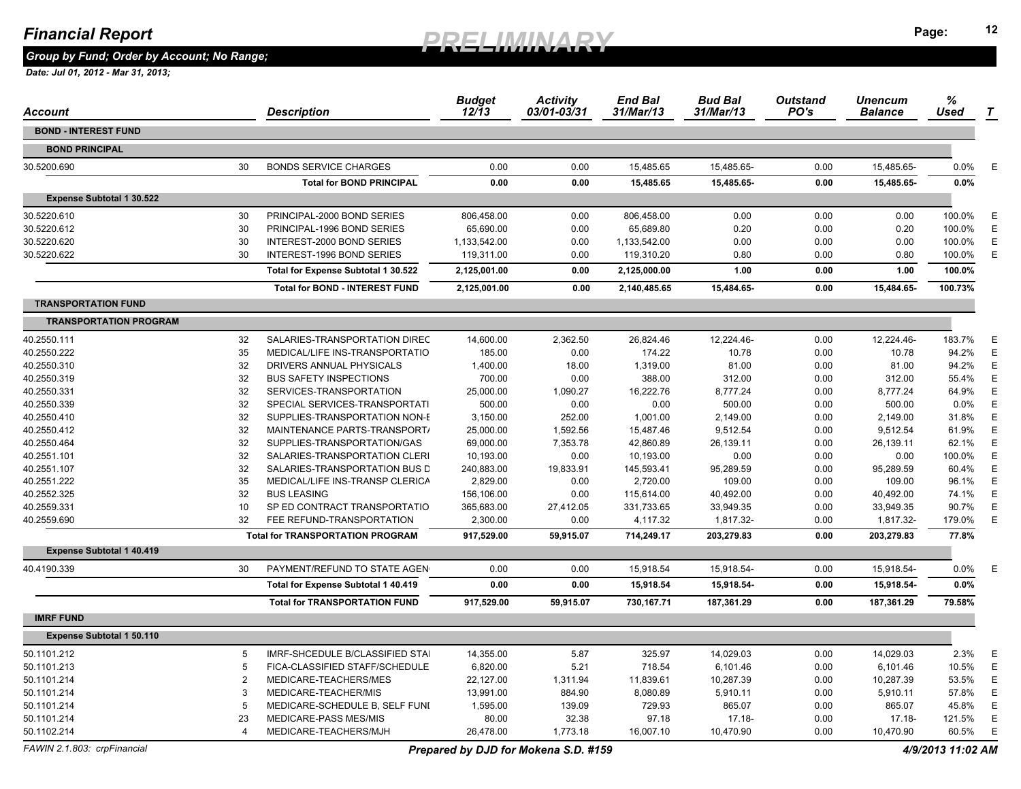*Group by Fund; Order by Account; No Range;* 

 *Date: Jul 01, 2012 - Mar 31, 2013;* 

| Account                          |                       | Description                             | <b>Budget</b><br>12/13 | <b>Activity</b><br>03/01-03/31 | <b>End Bal</b><br>31/Mar/13 | <b>Bud Bal</b><br>31/Mar/13 | <b>Outstand</b><br>PO's | Unencum<br><b>Balance</b> | $\%$<br>Used | T |
|----------------------------------|-----------------------|-----------------------------------------|------------------------|--------------------------------|-----------------------------|-----------------------------|-------------------------|---------------------------|--------------|---|
| <b>BOND - INTEREST FUND</b>      |                       |                                         |                        |                                |                             |                             |                         |                           |              |   |
| <b>BOND PRINCIPAL</b>            |                       |                                         |                        |                                |                             |                             |                         |                           |              |   |
| 30.5200.690                      | 30                    | <b>BONDS SERVICE CHARGES</b>            | 0.00                   | 0.00                           | 15,485.65                   | 15,485.65-                  | 0.00                    | 15,485.65-                | $0.0\%$      | E |
|                                  |                       | <b>Total for BOND PRINCIPAL</b>         | 0.00                   | 0.00                           | 15,485.65                   | 15,485.65-                  | 0.00                    | 15,485.65-                | 0.0%         |   |
| <b>Expense Subtotal 1 30.522</b> |                       |                                         |                        |                                |                             |                             |                         |                           |              |   |
| 30.5220.610                      | 30                    | PRINCIPAL-2000 BOND SERIES              | 806,458.00             | 0.00                           | 806,458.00                  | 0.00                        | 0.00                    | 0.00                      | 100.0%       | Е |
| 30.5220.612                      | 30                    | PRINCIPAL-1996 BOND SERIES              | 65,690.00              | 0.00                           | 65,689.80                   | 0.20                        | 0.00                    | 0.20                      | 100.0%       | E |
| 30.5220.620                      | 30                    | INTEREST-2000 BOND SERIES               | 1,133,542.00           | 0.00                           | 1,133,542.00                | 0.00                        | 0.00                    | 0.00                      | 100.0%       | E |
| 30.5220.622                      | 30                    | INTEREST-1996 BOND SERIES               | 119,311.00             | 0.00                           | 119,310.20                  | 0.80                        | 0.00                    | 0.80                      | 100.0%       | Ε |
|                                  |                       | Total for Expense Subtotal 1 30.522     | 2,125,001.00           | 0.00                           | 2,125,000.00                | 1.00                        | 0.00                    | 1.00                      | 100.0%       |   |
|                                  |                       | <b>Total for BOND - INTEREST FUND</b>   | 2,125,001.00           | 0.00                           | 2,140,485.65                | 15,484.65-                  | 0.00                    | 15,484.65-                | 100.73%      |   |
| <b>TRANSPORTATION FUND</b>       |                       |                                         |                        |                                |                             |                             |                         |                           |              |   |
| <b>TRANSPORTATION PROGRAM</b>    |                       |                                         |                        |                                |                             |                             |                         |                           |              |   |
| 40.2550.111                      | 32                    | SALARIES-TRANSPORTATION DIREC           | 14,600.00              | 2,362.50                       | 26,824.46                   | 12,224.46-                  | 0.00                    | 12,224.46-                | 183.7%       | E |
| 40.2550.222                      | 35                    | MEDICAL/LIFE INS-TRANSPORTATIO          | 185.00                 | 0.00                           | 174.22                      | 10.78                       | 0.00                    | 10.78                     | 94.2%        | Ε |
| 40.2550.310                      | 32                    | DRIVERS ANNUAL PHYSICALS                | 1,400.00               | 18.00                          | 1,319.00                    | 81.00                       | 0.00                    | 81.00                     | 94.2%        | E |
| 40.2550.319                      | 32                    | <b>BUS SAFETY INSPECTIONS</b>           | 700.00                 | 0.00                           | 388.00                      | 312.00                      | 0.00                    | 312.00                    | 55.4%        | Ε |
| 40.2550.331                      | 32                    | SERVICES-TRANSPORTATION                 | 25,000.00              | 1,090.27                       | 16,222.76                   | 8,777.24                    | 0.00                    | 8,777.24                  | 64.9%        | E |
| 40.2550.339                      | 32                    | SPECIAL SERVICES-TRANSPORTATI           | 500.00                 | 0.00                           | 0.00                        | 500.00                      | 0.00                    | 500.00                    | 0.0%         | E |
| 40.2550.410                      | 32                    | SUPPLIES-TRANSPORTATION NON-E           | 3,150.00               | 252.00                         | 1,001.00                    | 2,149.00                    | 0.00                    | 2,149.00                  | 31.8%        | E |
| 40.2550.412                      | 32                    | MAINTENANCE PARTS-TRANSPORT/            | 25,000.00              | 1,592.56                       | 15,487.46                   | 9,512.54                    | 0.00                    | 9,512.54                  | 61.9%        | Ε |
| 40.2550.464                      | 32                    | SUPPLIES-TRANSPORTATION/GAS             | 69,000.00              | 7,353.78                       | 42,860.89                   | 26,139.11                   | 0.00                    | 26,139.11                 | 62.1%        | Е |
| 40.2551.101                      | 32                    | SALARIES-TRANSPORTATION CLERI           | 10,193.00              | 0.00                           | 10,193.00                   | 0.00                        | 0.00                    | 0.00                      | 100.0%       | E |
| 40.2551.107                      | 32                    | SALARIES-TRANSPORTATION BUS D           | 240,883.00             | 19,833.91                      | 145,593.41                  | 95,289.59                   | 0.00                    | 95,289.59                 | 60.4%        | E |
| 40.2551.222                      | 35                    | MEDICAL/LIFE INS-TRANSP CLERICA         | 2,829.00               | 0.00                           | 2,720.00                    | 109.00                      | 0.00                    | 109.00                    | 96.1%        | Ε |
| 40.2552.325                      | 32                    | <b>BUS LEASING</b>                      | 156,106.00             | 0.00                           | 115.614.00                  | 40,492.00                   | 0.00                    | 40,492.00                 | 74.1%        | E |
| 40.2559.331                      | 10                    | SP ED CONTRACT TRANSPORTATIO            | 365,683.00             | 27,412.05                      | 331,733.65                  | 33,949.35                   | 0.00                    | 33,949.35                 | 90.7%        | Е |
| 40.2559.690                      | 32                    | FEE REFUND-TRANSPORTATION               | 2,300.00               | 0.00                           | 4,117.32                    | 1,817.32-                   | 0.00                    | 1,817.32-                 | 179.0%       | Ε |
|                                  |                       | <b>Total for TRANSPORTATION PROGRAM</b> | 917,529.00             | 59,915.07                      | 714,249.17                  | 203,279.83                  | 0.00                    | 203,279.83                | 77.8%        |   |
| <b>Expense Subtotal 1 40.419</b> |                       |                                         |                        |                                |                             |                             |                         |                           |              |   |
| 40.4190.339                      | 30                    | PAYMENT/REFUND TO STATE AGEN            | 0.00                   | 0.00                           | 15,918.54                   | 15,918.54-                  | 0.00                    | 15,918.54-                | $0.0\%$      |   |
|                                  |                       | Total for Expense Subtotal 1 40.419     | 0.00                   | 0.00                           | 15,918.54                   | 15,918.54-                  | 0.00                    | 15,918.54-                | 0.0%         |   |
|                                  |                       | <b>Total for TRANSPORTATION FUND</b>    | 917,529.00             | 59,915.07                      | 730,167.71                  | 187,361.29                  | 0.00                    | 187,361.29                | 79.58%       |   |
| <b>IMRF FUND</b>                 |                       |                                         |                        |                                |                             |                             |                         |                           |              |   |
| <b>Expense Subtotal 1 50.110</b> |                       |                                         |                        |                                |                             |                             |                         |                           |              |   |
| 50.1101.212                      | 5                     | IMRF-SHCEDULE B/CLASSIFIED STAI         | 14,355.00              | 5.87                           | 325.97                      | 14,029.03                   | 0.00                    | 14,029.03                 | 2.3%         | Ε |
| 50.1101.213                      | 5                     | FICA-CLASSIFIED STAFF/SCHEDULE          | 6,820.00               | 5.21                           | 718.54                      | 6,101.46                    | 0.00                    | 6,101.46                  | 10.5%        | Ε |
| 50.1101.214                      | $\overline{2}$        | MEDICARE-TEACHERS/MES                   | 22,127.00              | 1,311.94                       | 11,839.61                   | 10,287.39                   | 0.00                    | 10,287.39                 | 53.5%        | Ε |
| 50.1101.214                      | 3                     | MEDICARE-TEACHER/MIS                    | 13,991.00              | 884.90                         | 8,080.89                    | 5,910.11                    | 0.00                    | 5,910.11                  | 57.8%        | Е |
| 50.1101.214                      | -5                    | MEDICARE-SCHEDULE B, SELF FUNI          | 1,595.00               | 139.09                         | 729.93                      | 865.07                      | 0.00                    | 865.07                    | 45.8%        | Ε |
| 50.1101.214                      | 23                    | MEDICARE-PASS MES/MIS                   | 80.00                  | 32.38                          | 97.18                       | $17.18 -$                   | 0.00                    | 17.18-                    | 121.5%       | Е |
| 50.1102.214                      | $\boldsymbol{\Delta}$ | MEDICARE-TEACHERS/MJH                   | 26,478.00              | 1,773.18                       | 16,007.10                   | 10,470.90                   | 0.00                    | 10,470.90                 | 60.5%        | Ε |

*FAWIN 2.1.803: crpFinancial Prepared by DJD for Mokena S.D. #159 4/9/2013 11:02 AM*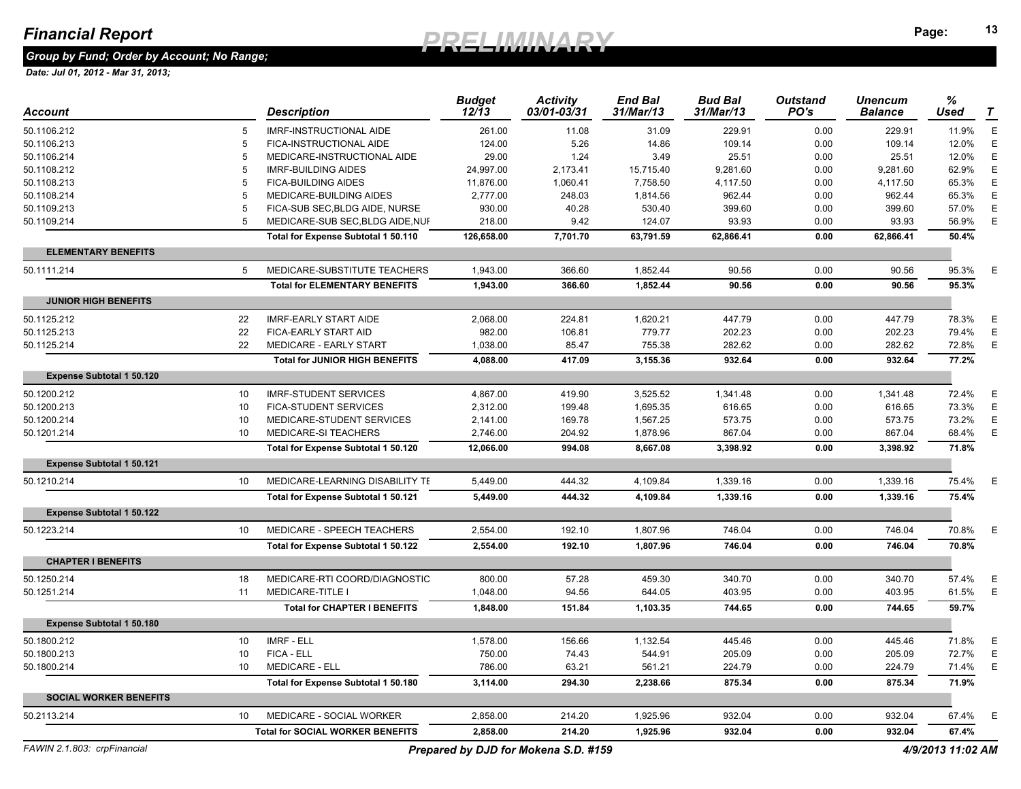### *Group by Fund; Order by Account; No Range;*

| Account                          |                 | <b>Description</b>                      | <b>Budget</b><br>$12/\bar{1}3$ | <b>Activity</b><br>03/01-03/31       | <b>End Bal</b><br>31/Mar/13 | <b>Bud Bal</b><br>31/Mar/13 | <b>Outstand</b><br>PO's | Unencum<br>Balance | %<br>Used         | T |
|----------------------------------|-----------------|-----------------------------------------|--------------------------------|--------------------------------------|-----------------------------|-----------------------------|-------------------------|--------------------|-------------------|---|
| 50.1106.212                      | 5               | <b>IMRF-INSTRUCTIONAL AIDE</b>          | 261.00                         | 11.08                                | 31.09                       | 229.91                      | 0.00                    | 229.91             | 11.9%             | E |
| 50.1106.213                      | 5               | FICA-INSTRUCTIONAL AIDE                 | 124.00                         | 5.26                                 | 14.86                       | 109.14                      | 0.00                    | 109.14             | 12.0%             | E |
| 50.1106.214                      | 5               | MEDICARE-INSTRUCTIONAL AIDE             | 29.00                          | 1.24                                 | 3.49                        | 25.51                       | 0.00                    | 25.51              | 12.0%             | E |
| 50.1108.212                      | 5               | <b>IMRF-BUILDING AIDES</b>              | 24,997.00                      | 2,173.41                             | 15,715.40                   | 9,281.60                    | 0.00                    | 9,281.60           | 62.9%             | E |
| 50.1108.213                      | 5               | <b>FICA-BUILDING AIDES</b>              | 11,876.00                      | 1,060.41                             | 7,758.50                    | 4,117.50                    | 0.00                    | 4,117.50           | 65.3%             | E |
| 50.1108.214                      | 5               | MEDICARE-BUILDING AIDES                 | 2,777.00                       | 248.03                               | 1,814.56                    | 962.44                      | 0.00                    | 962.44             | 65.3%             | E |
| 50.1109.213                      | 5               | FICA-SUB SEC, BLDG AIDE, NURSE          | 930.00                         | 40.28                                | 530.40                      | 399.60                      | 0.00                    | 399.60             | 57.0%             | E |
| 50.1109.214                      | 5               | MEDICARE-SUB SEC, BLDG AIDE, NUI        | 218.00                         | 9.42                                 | 124.07                      | 93.93                       | 0.00                    | 93.93              | 56.9%             | Е |
|                                  |                 | Total for Expense Subtotal 1 50.110     | 126,658.00                     | 7,701.70                             | 63,791.59                   | 62,866.41                   | 0.00                    | 62,866.41          | 50.4%             |   |
| <b>ELEMENTARY BENEFITS</b>       |                 |                                         |                                |                                      |                             |                             |                         |                    |                   |   |
| 50.1111.214                      | $5^{\circ}$     | MEDICARE-SUBSTITUTE TEACHERS            | 1.943.00                       | 366.60                               | 1.852.44                    | 90.56                       | 0.00                    | 90.56              | 95.3%             | E |
|                                  |                 | <b>Total for ELEMENTARY BENEFITS</b>    | 1,943.00                       | 366.60                               | 1,852.44                    | 90.56                       | 0.00                    | 90.56              | 95.3%             |   |
| <b>JUNIOR HIGH BENEFITS</b>      |                 |                                         |                                |                                      |                             |                             |                         |                    |                   |   |
| 50.1125.212                      | 22              | <b>IMRF-EARLY START AIDE</b>            | 2,068.00                       | 224.81                               | 1,620.21                    | 447.79                      | 0.00                    | 447.79             | 78.3%             | E |
| 50.1125.213                      | 22              | FICA-EARLY START AID                    | 982.00                         | 106.81                               | 779.77                      | 202.23                      | 0.00                    | 202.23             | 79.4%             | E |
| 50.1125.214                      | 22              | MEDICARE - EARLY START                  | 1,038.00                       | 85.47                                | 755.38                      | 282.62                      | 0.00                    | 282.62             | 72.8%             | E |
|                                  |                 | <b>Total for JUNIOR HIGH BENEFITS</b>   | 4,088.00                       | 417.09                               | 3,155.36                    | 932.64                      | 0.00                    | 932.64             | 77.2%             |   |
| <b>Expense Subtotal 1 50.120</b> |                 |                                         |                                |                                      |                             |                             |                         |                    |                   |   |
| 50.1200.212                      | 10              | <b>IMRF-STUDENT SERVICES</b>            | 4,867.00                       | 419.90                               | 3,525.52                    | 1,341.48                    | 0.00                    | 1,341.48           | 72.4%             | E |
| 50.1200.213                      | 10              | <b>FICA-STUDENT SERVICES</b>            | 2,312.00                       | 199.48                               | 1,695.35                    | 616.65                      | 0.00                    | 616.65             | 73.3%             | E |
| 50.1200.214                      | 10              | MEDICARE-STUDENT SERVICES               | 2,141.00                       | 169.78                               | 1,567.25                    | 573.75                      | 0.00                    | 573.75             | 73.2%             | E |
| 50.1201.214                      | 10              | MEDICARE-SI TEACHERS                    | 2,746.00                       | 204.92                               | 1,878.96                    | 867.04                      | 0.00                    | 867.04             | 68.4%             | E |
|                                  |                 | Total for Expense Subtotal 1 50.120     | 12,066.00                      | 994.08                               | 8,667.08                    | 3,398.92                    | 0.00                    | 3,398.92           | 71.8%             |   |
| <b>Expense Subtotal 1 50.121</b> |                 |                                         |                                |                                      |                             |                             |                         |                    |                   |   |
| 50.1210.214                      | 10 <sup>°</sup> | MEDICARE-LEARNING DISABILITY TE         | 5,449.00                       | 444.32                               | 4,109.84                    | 1,339.16                    | 0.00                    | 1,339.16           | 75.4%             | Е |
|                                  |                 | Total for Expense Subtotal 1 50.121     | 5,449.00                       | 444.32                               | 4,109.84                    | 1,339.16                    | 0.00                    | 1,339.16           | 75.4%             |   |
| <b>Expense Subtotal 1 50.122</b> |                 |                                         |                                |                                      |                             |                             |                         |                    |                   |   |
| 50.1223.214                      | 10 <sup>°</sup> | MEDICARE - SPEECH TEACHERS              | 2,554.00                       | 192.10                               | 1,807.96                    | 746.04                      | 0.00                    | 746.04             | 70.8%             | E |
|                                  |                 | Total for Expense Subtotal 1 50.122     | 2,554.00                       | 192.10                               | 1,807.96                    | 746.04                      | 0.00                    | 746.04             | 70.8%             |   |
| <b>CHAPTER I BENEFITS</b>        |                 |                                         |                                |                                      |                             |                             |                         |                    |                   |   |
| 50.1250.214                      | 18              | MEDICARE-RTI COORD/DIAGNOSTIC           | 800.00                         | 57.28                                | 459.30                      | 340.70                      | 0.00                    | 340.70             | 57.4%             | E |
| 50.1251.214                      | 11              | <b>MEDICARE-TITLE I</b>                 | 1,048.00                       | 94.56                                | 644.05                      | 403.95                      | 0.00                    | 403.95             | 61.5%             | E |
|                                  |                 | <b>Total for CHAPTER I BENEFITS</b>     | 1,848.00                       | 151.84                               | 1,103.35                    | 744.65                      | 0.00                    | 744.65             | 59.7%             |   |
| Expense Subtotal 1 50.180        |                 |                                         |                                |                                      |                             |                             |                         |                    |                   |   |
| 50.1800.212                      | 10 <sup>1</sup> | <b>IMRF - ELL</b>                       | 1,578.00                       | 156.66                               | 1,132.54                    | 445.46                      | 0.00                    | 445.46             | 71.8%             | E |
| 50.1800.213                      | 10              | FICA - ELL                              | 750.00                         | 74.43                                | 544.91                      | 205.09                      | 0.00                    | 205.09             | 72.7%             | E |
| 50.1800.214                      | 10              | <b>MEDICARE - ELL</b>                   | 786.00                         | 63.21                                | 561.21                      | 224.79                      | 0.00                    | 224.79             | 71.4%             | E |
|                                  |                 | Total for Expense Subtotal 1 50.180     | 3,114.00                       | 294.30                               | 2,238.66                    | 875.34                      | 0.00                    | 875.34             | 71.9%             |   |
| <b>SOCIAL WORKER BENEFITS</b>    |                 |                                         |                                |                                      |                             |                             |                         |                    |                   |   |
| 50.2113.214                      | 10              | MEDICARE - SOCIAL WORKER                | 2,858.00                       | 214.20                               | 1,925.96                    | 932.04                      | 0.00                    | 932.04             | 67.4%             | Е |
|                                  |                 | <b>Total for SOCIAL WORKER BENEFITS</b> | 2,858.00                       | 214.20                               | 1,925.96                    | 932.04                      | 0.00                    | 932.04             | 67.4%             |   |
| FAWIN 2.1.803: crpFinancial      |                 |                                         |                                | Prepared by DJD for Mokena S.D. #159 |                             |                             |                         |                    | 4/9/2013 11:02 AM |   |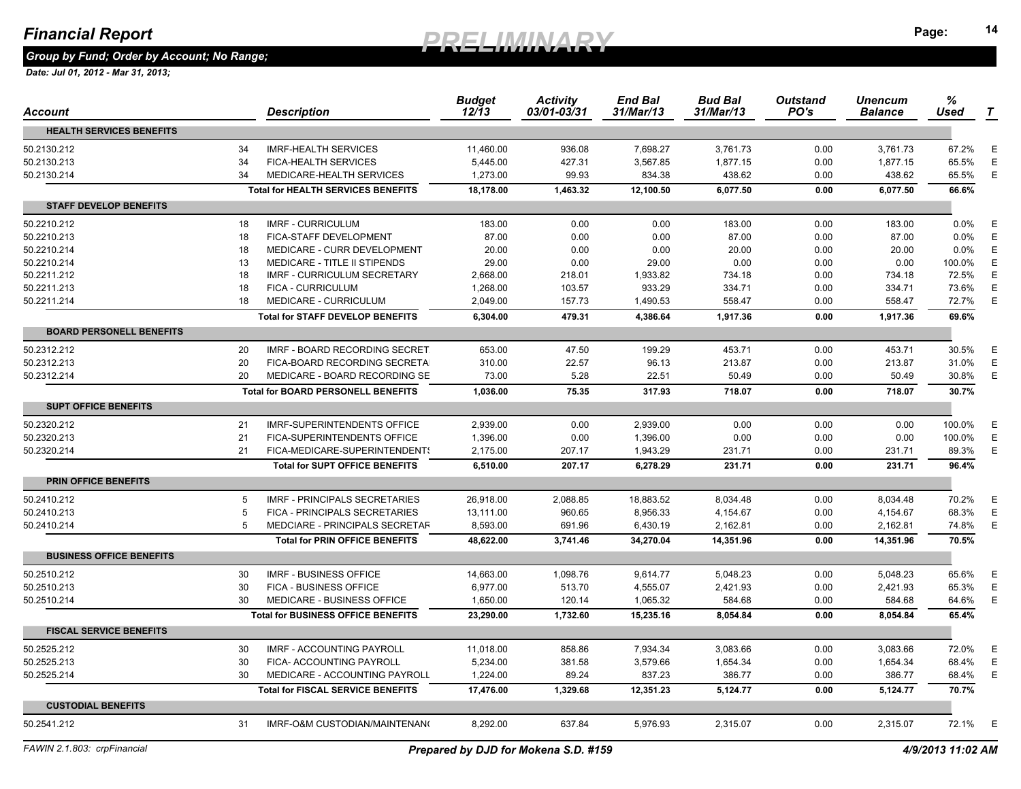*Group by Fund; Order by Account; No Range;* 

| Account                         |          | <b>Description</b>                        | <b>Budget</b><br>$12/\overline{1}3$ | <b>Activity</b><br>03/01-03/31 | <b>End Bal</b><br>31/Mar/13 | <b>Bud Bal</b><br>31/Mar/13 | <b>Outstand</b><br>PO's | Unencum<br><b>Balance</b> | %<br><b>Used</b> | T           |
|---------------------------------|----------|-------------------------------------------|-------------------------------------|--------------------------------|-----------------------------|-----------------------------|-------------------------|---------------------------|------------------|-------------|
| <b>HEALTH SERVICES BENEFITS</b> |          |                                           |                                     |                                |                             |                             |                         |                           |                  |             |
| 50.2130.212                     | 34       | <b>IMRF-HEALTH SERVICES</b>               | 11,460.00                           | 936.08                         | 7,698.27                    | 3,761.73                    | 0.00                    | 3,761.73                  | 67.2%            | Е           |
| 50.2130.213                     | 34       | <b>FICA-HEALTH SERVICES</b>               | 5,445.00                            | 427.31                         | 3,567.85                    | 1,877.15                    | 0.00                    | 1,877.15                  | 65.5%            | Ε           |
| 50.2130.214                     | 34       | MEDICARE-HEALTH SERVICES                  | 1,273.00                            | 99.93                          | 834.38                      | 438.62                      | 0.00                    | 438.62                    | 65.5%            | E           |
|                                 |          | <b>Total for HEALTH SERVICES BENEFITS</b> | 18,178.00                           | 1,463.32                       | 12,100.50                   | 6,077.50                    | 0.00                    | 6,077.50                  | 66.6%            |             |
| <b>STAFF DEVELOP BENEFITS</b>   |          |                                           |                                     |                                |                             |                             |                         |                           |                  |             |
| 50.2210.212                     | 18       | <b>IMRF - CURRICULUM</b>                  | 183.00                              | 0.00                           | 0.00                        | 183.00                      | 0.00                    | 183.00                    | 0.0%             | $\mathsf E$ |
| 50.2210.213                     | 18       | FICA-STAFF DEVELOPMENT                    | 87.00                               | 0.00                           | 0.00                        | 87.00                       | 0.00                    | 87.00                     | 0.0%             | Ε           |
| 50.2210.214                     | 18       | MEDICARE - CURR DEVELOPMENT               | 20.00                               | 0.00                           | 0.00                        | 20.00                       | 0.00                    | 20.00                     | 0.0%             | Ε           |
| 50.2210.214                     | 13       | MEDICARE - TITLE II STIPENDS              | 29.00                               | 0.00                           | 29.00                       | 0.00                        | 0.00                    | 0.00                      | 100.0%           | Ε           |
| 50.2211.212                     | 18       | IMRF - CURRICULUM SECRETARY               | 2,668.00                            | 218.01                         | 1,933.82                    | 734.18                      | 0.00                    | 734.18                    | 72.5%            | Ε           |
| 50.2211.213                     | 18       | <b>FICA - CURRICULUM</b>                  | 1,268.00                            | 103.57                         | 933.29                      | 334.71                      | 0.00                    | 334.71                    | 73.6%            | Ε           |
| 50.2211.214                     | 18       | MEDICARE - CURRICULUM                     | 2,049.00                            | 157.73                         | 1,490.53                    | 558.47                      | 0.00                    | 558.47                    | 72.7%            | $\mathsf E$ |
|                                 |          | <b>Total for STAFF DEVELOP BENEFITS</b>   | 6,304.00                            | 479.31                         | 4,386.64                    | 1,917.36                    | 0.00                    | 1,917.36                  | 69.6%            |             |
| <b>BOARD PERSONELL BENEFITS</b> |          |                                           |                                     |                                |                             |                             |                         |                           |                  |             |
| 50.2312.212                     | 20       | IMRF - BOARD RECORDING SECRET             | 653.00                              | 47.50                          | 199.29                      | 453.71                      | 0.00                    | 453.71                    | 30.5%            | E           |
| 50.2312.213                     | 20       | FICA-BOARD RECORDING SECRETA              | 310.00                              | 22.57                          | 96.13                       | 213.87                      | 0.00                    | 213.87                    | 31.0%            | $\mathsf E$ |
| 50.2312.214                     | 20       | MEDICARE - BOARD RECORDING SE             | 73.00                               | 5.28                           | 22.51                       | 50.49                       | 0.00                    | 50.49                     | 30.8%            | Ε           |
|                                 |          | <b>Total for BOARD PERSONELL BENEFITS</b> | 1,036.00                            | 75.35                          | 317.93                      | 718.07                      | 0.00                    | 718.07                    | 30.7%            |             |
| <b>SUPT OFFICE BENEFITS</b>     |          |                                           |                                     |                                |                             |                             |                         |                           |                  |             |
| 50.2320.212                     | 21       | <b>IMRF-SUPERINTENDENTS OFFICE</b>        | 2,939.00                            | 0.00                           | 2,939.00                    | 0.00                        | 0.00                    | 0.00                      | 100.0%           | E           |
| 50.2320.213                     | 21       | <b>FICA-SUPERINTENDENTS OFFICE</b>        | 1,396.00                            | 0.00                           | 1,396.00                    | 0.00                        | 0.00                    | 0.00                      | 100.0%           | E           |
| 50.2320.214                     | 21       | FICA-MEDICARE-SUPERINTENDENTS             | 2,175.00                            | 207.17                         | 1,943.29                    | 231.71                      | 0.00                    | 231.71                    | 89.3%            | Ε           |
|                                 |          | <b>Total for SUPT OFFICE BENEFITS</b>     | 6,510.00                            | 207.17                         | 6,278.29                    | 231.71                      | 0.00                    | 231.71                    | 96.4%            |             |
| <b>PRIN OFFICE BENEFITS</b>     |          |                                           |                                     |                                |                             |                             |                         |                           |                  |             |
| 50.2410.212                     | .5       | <b>IMRF - PRINCIPALS SECRETARIES</b>      |                                     | 2,088.85                       | 18.883.52                   | 8,034.48                    | 0.00                    |                           | 70.2%            | $\mathsf E$ |
| 50.2410.213                     | -5       | FICA - PRINCIPALS SECRETARIES             | 26,918.00<br>13,111.00              | 960.65                         | 8,956.33                    |                             | 0.00                    | 8,034.48<br>4,154.67      | 68.3%            | $\mathsf E$ |
| 50.2410.214                     | 5        | MEDCIARE - PRINCIPALS SECRETAF            | 8,593.00                            | 691.96                         | 6,430.19                    | 4,154.67<br>2,162.81        | 0.00                    | 2,162.81                  | 74.8%            | $\mathsf E$ |
|                                 |          | <b>Total for PRIN OFFICE BENEFITS</b>     | 48,622.00                           | 3,741.46                       | 34,270.04                   | 14,351.96                   | 0.00                    | 14.351.96                 | 70.5%            |             |
| <b>BUSINESS OFFICE BENEFITS</b> |          |                                           |                                     |                                |                             |                             |                         |                           |                  |             |
|                                 |          |                                           |                                     |                                |                             |                             |                         |                           |                  |             |
| 50.2510.212                     | 30       | <b>IMRF - BUSINESS OFFICE</b>             | 14,663.00                           | 1,098.76                       | 9,614.77                    | 5,048.23                    | 0.00                    | 5,048.23                  | 65.6%            | E           |
| 50.2510.213                     | 30<br>30 | FICA - BUSINESS OFFICE                    | 6,977.00                            | 513.70                         | 4,555.07                    | 2,421.93                    | 0.00                    | 2,421.93                  | 65.3%            | Ε<br>Е      |
| 50.2510.214                     |          | MEDICARE - BUSINESS OFFICE                | 1,650.00                            | 120.14                         | 1,065.32                    | 584.68                      | 0.00                    | 584.68                    | 64.6%            |             |
| <b>FISCAL SERVICE BENEFITS</b>  |          | <b>Total for BUSINESS OFFICE BENEFITS</b> | 23,290.00                           | 1,732.60                       | 15,235.16                   | 8,054.84                    | 0.00                    | 8,054.84                  | 65.4%            |             |
|                                 |          |                                           |                                     |                                |                             |                             |                         |                           |                  |             |
| 50.2525.212                     | 30       | <b>IMRF - ACCOUNTING PAYROLL</b>          | 11,018.00                           | 858.86                         | 7,934.34                    | 3,083.66                    | 0.00                    | 3.083.66                  | 72.0%            | E           |
| 50.2525.213                     | 30       | FICA- ACCOUNTING PAYROLL                  | 5,234.00                            | 381.58                         | 3,579.66                    | 1,654.34                    | 0.00                    | 1,654.34                  | 68.4%            | $\mathsf E$ |
| 50.2525.214                     | 30       | MEDICARE - ACCOUNTING PAYROLL             | 1,224.00                            | 89.24                          | 837.23                      | 386.77                      | 0.00                    | 386.77                    | 68.4%            | E           |
|                                 |          | <b>Total for FISCAL SERVICE BENEFITS</b>  | 17.476.00                           | 1,329.68                       | 12.351.23                   | 5.124.77                    | 0.00                    | 5,124.77                  | 70.7%            |             |
| <b>CUSTODIAL BENEFITS</b>       |          |                                           |                                     |                                |                             |                             |                         |                           |                  |             |
| 50.2541.212                     | 31       | IMRF-O&M CUSTODIAN/MAINTENAN(             | 8,292.00                            | 637.84                         | 5,976.93                    | 2,315.07                    | 0.00                    | 2,315.07                  | 72.1%            | E           |
|                                 |          |                                           |                                     |                                |                             |                             |                         |                           |                  |             |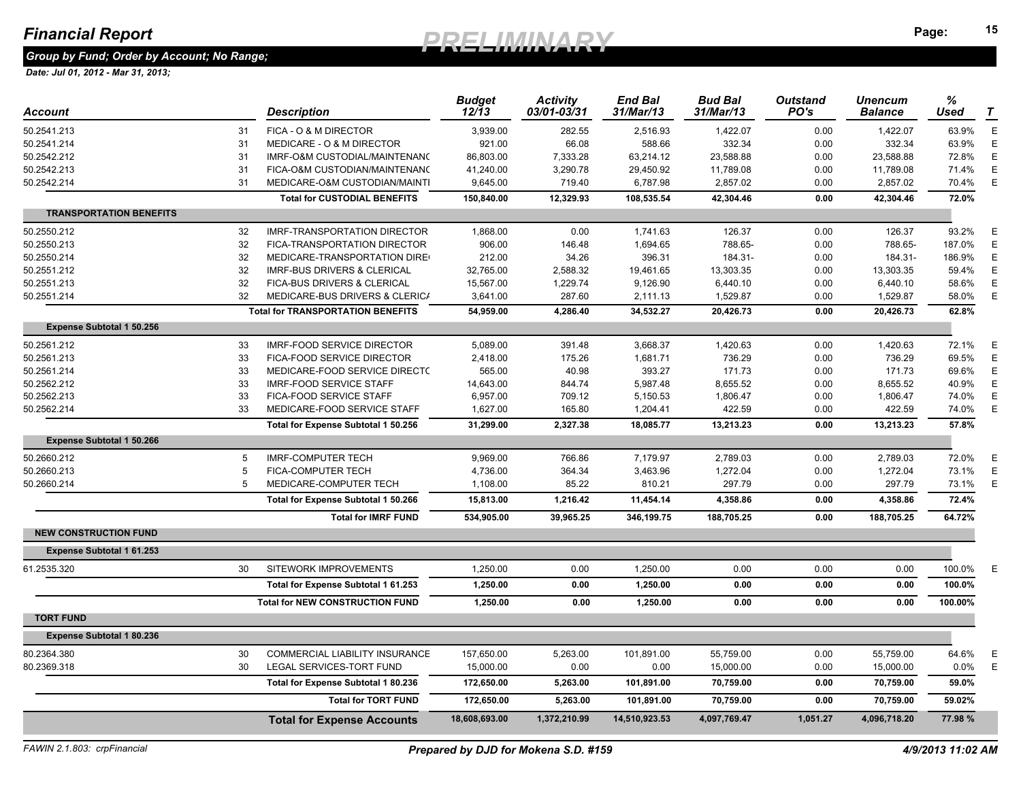### *Group by Fund; Order by Account; No Range;*

| Account                          |    | <b>Description</b>                       | <b>Budget</b><br>$12/\bar{1}3$ | <b>Activity</b><br>03/01-03/31 | <b>End Bal</b><br>31/Mar/13 | <b>Bud Bal</b><br>31/Mar/13 | <b>Outstand</b><br>PO's | Unencum<br><b>Balance</b> | $\%$<br><b>Used</b> | $\tau$      |
|----------------------------------|----|------------------------------------------|--------------------------------|--------------------------------|-----------------------------|-----------------------------|-------------------------|---------------------------|---------------------|-------------|
| 50.2541.213                      | 31 | FICA - O & M DIRECTOR                    | 3,939.00                       | 282.55                         | 2,516.93                    | 1,422.07                    | 0.00                    | 1,422.07                  | 63.9%               | $\mathsf E$ |
| 50.2541.214                      | 31 | MEDICARE - O & M DIRECTOR                | 921.00                         | 66.08                          | 588.66                      | 332.34                      | 0.00                    | 332.34                    | 63.9%               | Ε           |
| 50.2542.212                      | 31 | IMRF-O&M CUSTODIAL/MAINTENANO            | 86,803.00                      | 7,333.28                       | 63,214.12                   | 23,588.88                   | 0.00                    | 23,588.88                 | 72.8%               | Ε           |
| 50.2542.213                      | 31 | FICA-O&M CUSTODIAN/MAINTENANO            | 41,240.00                      | 3,290.78                       | 29,450.92                   | 11,789.08                   | 0.00                    | 11,789.08                 | 71.4%               | Ε           |
| 50.2542.214                      | 31 | MEDICARE-O&M CUSTODIAN/MAINTI            | 9,645.00                       | 719.40                         | 6,787.98                    | 2,857.02                    | 0.00                    | 2,857.02                  | 70.4%               | $\mathsf E$ |
|                                  |    | <b>Total for CUSTODIAL BENEFITS</b>      | 150,840.00                     | 12,329.93                      | 108,535.54                  | 42,304.46                   | 0.00                    | 42,304.46                 | 72.0%               |             |
| <b>TRANSPORTATION BENEFITS</b>   |    |                                          |                                |                                |                             |                             |                         |                           |                     |             |
| 50.2550.212                      | 32 | <b>IMRF-TRANSPORTATION DIRECTOR</b>      | 1,868.00                       | 0.00                           | 1,741.63                    | 126.37                      | 0.00                    | 126.37                    | 93.2%               | E           |
| 50.2550.213                      | 32 | FICA-TRANSPORTATION DIRECTOR             | 906.00                         | 146.48                         | 1,694.65                    | 788.65-                     | 0.00                    | 788.65-                   | 187.0%              | $\mathsf E$ |
| 50.2550.214                      | 32 | MEDICARE-TRANSPORTATION DIRE             | 212.00                         | 34.26                          | 396.31                      | 184.31-                     | 0.00                    | 184.31-                   | 186.9%              | Ε           |
| 50.2551.212                      | 32 | <b>IMRF-BUS DRIVERS &amp; CLERICAL</b>   | 32,765.00                      | 2,588.32                       | 19,461.65                   | 13,303.35                   | 0.00                    | 13,303.35                 | 59.4%               | $\mathsf E$ |
| 50.2551.213                      | 32 | FICA-BUS DRIVERS & CLERICAL              | 15,567.00                      | 1,229.74                       | 9,126.90                    | 6,440.10                    | 0.00                    | 6,440.10                  | 58.6%               | Ε           |
| 50.2551.214                      | 32 | MEDICARE-BUS DRIVERS & CLERICA           | 3,641.00                       | 287.60                         | 2,111.13                    | 1,529.87                    | 0.00                    | 1,529.87                  | 58.0%               | E           |
|                                  |    | <b>Total for TRANSPORTATION BENEFITS</b> | 54,959.00                      | 4,286.40                       | 34,532.27                   | 20,426.73                   | 0.00                    | 20,426.73                 | 62.8%               |             |
| <b>Expense Subtotal 1 50.256</b> |    |                                          |                                |                                |                             |                             |                         |                           |                     |             |
| 50.2561.212                      | 33 | <b>IMRF-FOOD SERVICE DIRECTOR</b>        | 5,089.00                       | 391.48                         | 3,668.37                    | 1,420.63                    | 0.00                    | 1,420.63                  | 72.1%               | E           |
| 50.2561.213                      | 33 | FICA-FOOD SERVICE DIRECTOR               | 2,418.00                       | 175.26                         | 1,681.71                    | 736.29                      | 0.00                    | 736.29                    | 69.5%               | $\mathsf E$ |
| 50.2561.214                      | 33 | MEDICARE-FOOD SERVICE DIRECTO            | 565.00                         | 40.98                          | 393.27                      | 171.73                      | 0.00                    | 171.73                    | 69.6%               | $\mathsf E$ |
| 50.2562.212                      | 33 | <b>IMRF-FOOD SERVICE STAFF</b>           | 14,643.00                      | 844.74                         | 5,987.48                    | 8,655.52                    | 0.00                    | 8,655.52                  | 40.9%               | E           |
| 50.2562.213                      | 33 | FICA-FOOD SERVICE STAFF                  | 6,957.00                       | 709.12                         | 5,150.53                    | 1,806.47                    | 0.00                    | 1,806.47                  | 74.0%               | $\mathsf E$ |
| 50.2562.214                      | 33 | MEDICARE-FOOD SERVICE STAFF              | 1,627.00                       | 165.80                         | 1,204.41                    | 422.59                      | 0.00                    | 422.59                    | 74.0%               | Ε           |
|                                  |    | Total for Expense Subtotal 1 50.256      | 31,299.00                      | 2,327.38                       | 18,085.77                   | 13,213.23                   | 0.00                    | 13,213.23                 | 57.8%               |             |
| <b>Expense Subtotal 1 50.266</b> |    |                                          |                                |                                |                             |                             |                         |                           |                     |             |
| 50.2660.212                      | 5  | <b>IMRF-COMPUTER TECH</b>                | 9,969.00                       | 766.86                         | 7,179.97                    | 2,789.03                    | 0.00                    | 2,789.03                  | 72.0%               | E           |
| 50.2660.213                      |    | FICA-COMPUTER TECH                       | 4,736.00                       | 364.34                         | 3,463.96                    | 1,272.04                    | 0.00                    | 1,272.04                  | 73.1%               | $\mathsf E$ |
| 50.2660.214                      | 5  | MEDICARE-COMPUTER TECH                   | 1,108.00                       | 85.22                          | 810.21                      | 297.79                      | 0.00                    | 297.79                    | 73.1%               | E           |
|                                  |    | Total for Expense Subtotal 1 50.266      | 15,813.00                      | 1,216.42                       | 11,454.14                   | 4,358.86                    | 0.00                    | 4,358.86                  | 72.4%               |             |
|                                  |    | <b>Total for IMRF FUND</b>               | 534,905.00                     | 39,965.25                      | 346,199.75                  | 188,705.25                  | 0.00                    | 188,705.25                | 64.72%              |             |
| <b>NEW CONSTRUCTION FUND</b>     |    |                                          |                                |                                |                             |                             |                         |                           |                     |             |
| <b>Expense Subtotal 1 61.253</b> |    |                                          |                                |                                |                             |                             |                         |                           |                     |             |
| 61.2535.320                      | 30 | SITEWORK IMPROVEMENTS                    | 1,250.00                       | 0.00                           | 1,250.00                    | 0.00                        | 0.00                    | 0.00                      | 100.0%              | E           |
|                                  |    | Total for Expense Subtotal 1 61.253      | 1,250.00                       | 0.00                           | 1,250.00                    | 0.00                        | 0.00                    | 0.00                      | 100.0%              |             |
|                                  |    | <b>Total for NEW CONSTRUCTION FUND</b>   | 1,250.00                       | 0.00                           | 1,250.00                    | 0.00                        | 0.00                    | 0.00                      | 100.00%             |             |
| <b>TORT FUND</b>                 |    |                                          |                                |                                |                             |                             |                         |                           |                     |             |
| <b>Expense Subtotal 1 80.236</b> |    |                                          |                                |                                |                             |                             |                         |                           |                     |             |
| 80.2364.380                      | 30 | <b>COMMERCIAL LIABILITY INSURANCE</b>    | 157,650.00                     | 5,263.00                       | 101,891.00                  | 55,759.00                   | 0.00                    | 55,759.00                 | 64.6%               | E           |
| 80.2369.318                      | 30 | LEGAL SERVICES-TORT FUND                 | 15,000.00                      | 0.00                           | 0.00                        | 15,000.00                   | 0.00                    | 15,000.00                 | $0.0\%$             | $\mathsf E$ |
|                                  |    | Total for Expense Subtotal 1 80.236      | 172,650.00                     | 5,263.00                       | 101,891.00                  | 70,759.00                   | 0.00                    | 70,759.00                 | 59.0%               |             |
|                                  |    | <b>Total for TORT FUND</b>               | 172,650.00                     | 5,263.00                       | 101,891.00                  | 70,759.00                   | 0.00                    | 70,759.00                 | 59.02%              |             |
|                                  |    | <b>Total for Expense Accounts</b>        | 18,608,693.00                  | 1,372,210.99                   | 14,510,923.53               | 4,097,769.47                | 1,051.27                | 4,096,718.20              | 77.98%              |             |
|                                  |    |                                          |                                |                                |                             |                             |                         |                           |                     |             |